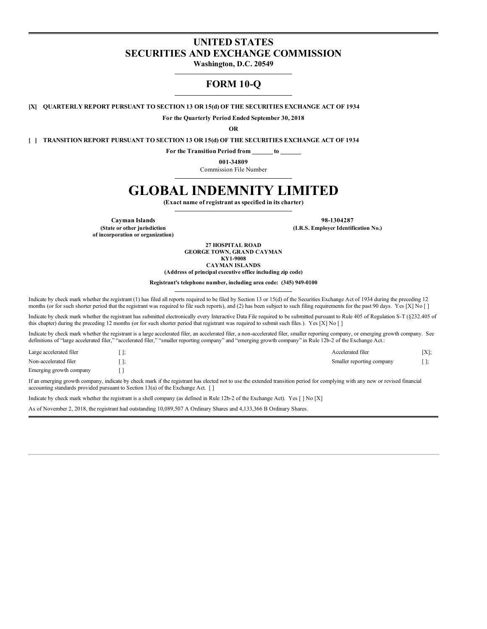# **UNITED STATES SECURITIES AND EXCHANGE COMMISSION**

**Washington, D.C. 20549**

## **FORM 10-Q**

**[X] QUARTERLY REPORT PURSUANT TO SECTION 13 OR 15(d) OF THE SECURITIES EXCHANGE ACT OF 1934**

**For the Quarterly Period Ended September 30, 2018**

**OR**

**[ ] TRANSITION REPORT PURSUANT TO SECTION 13 OR 15(d) OF THE SECURITIES EXCHANGE ACT OF 1934**

**For the Transition Period from to**

**001-34809**

Commission File Number

# **GLOBAL INDEMNITY LIMITED**

**(Exact name of registrant as specified in its charter)**

**Cayman Islands 98-1304287 (State or other jurisdiction of incorporation or organization)**

**(I.R.S. Employer Identification No.)**

**27 HOSPITAL ROAD GEORGE TOWN, GRAND CAYMAN KY1-9008 CAYMAN ISLANDS**

**(Address of principal executive office including zip code)**

**Registrant's telephone number, including area code: (345) 949-0100**

Indicate by check mark whether the registrant (1) has filed all reports required to be filed by Section 13 or 15(d) of the Securities Exchange Act of 1934 during the preceding 12 months (or for such shorter period that the registrant was required to file such reports), and (2) has been subject to such filing requirements for the past 90 days. Yes [X] No []

Indicate by check mark whether the registrant has submitted electronically every Interactive Data File required to be submitted pursuant to Rule 405 of Regulation S-T (§232.405 of this chapter) during the preceding 12 months (or for such shorter period that registrant was required to submit such files.). Yes [X] No [ ]

Indicate by check mark whether the registrant is a large accelerated filer, an accelerated filer, a non-accelerated filer, smaller reporting company, or emerging growth company. See definitions of "large accelerated filer," "accelerated filer," "smaller reporting company" and "emerging growth company" in Rule 12b-2 of the Exchange Act.:

| Large accelerated filer | Accelerated filer         | [X]: |
|-------------------------|---------------------------|------|
| Non-accelerated filer   | Smaller reporting company | ' 1; |

Emerging growth company [ ]

If an emerging growth company, indicate by check mark if the registrant has elected not to use the extended transition period for complying with any new or revised financial accounting standards provided pursuant to Section 13(a) of the Exchange Act. [ ]

Indicate by check mark whether the registrant is a shell company (as defined in Rule 12b-2 of the Exchange Act). Yes [ ] No [X]

As of November 2, 2018, the registrant had outstanding 10,089,507 A Ordinary Shares and 4,133,366 B Ordinary Shares.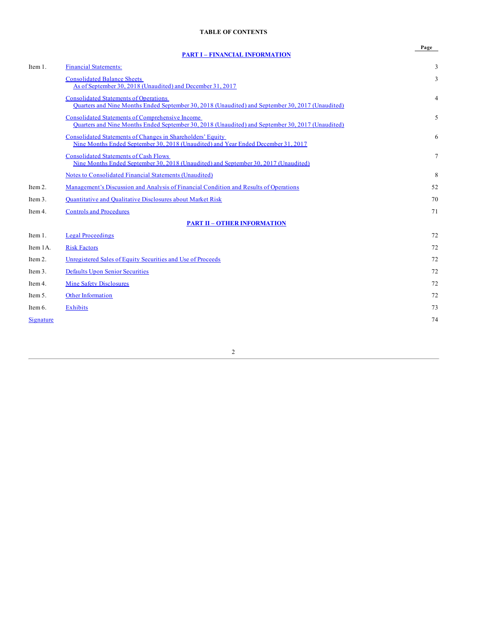### **TABLE OF CONTENTS**

**PART I – FINANCIAL [INFORMATION](#page-2-0)**

**Page**

| Item 1.   | <b>Financial Statements:</b>                                                                                                                               | 3              |
|-----------|------------------------------------------------------------------------------------------------------------------------------------------------------------|----------------|
|           | <b>Consolidated Balance Sheets</b><br>As of September 30, 2018 (Unaudited) and December 31, 2017                                                           | 3              |
|           | <b>Consolidated Statements of Operations</b><br>Ouarters and Nine Months Ended September 30, 2018 (Unaudited) and September 30, 2017 (Unaudited)           | $\overline{4}$ |
|           | <b>Consolidated Statements of Comprehensive Income</b><br>Ouarters and Nine Months Ended September 30, 2018 (Unaudited) and September 30, 2017 (Unaudited) | 5              |
|           | Consolidated Statements of Changes in Shareholders' Equity<br>Nine Months Ended September 30, 2018 (Unaudited) and Year Ended December 31, 2017            | 6              |
|           | <b>Consolidated Statements of Cash Flows</b><br>Nine Months Ended September 30, 2018 (Unaudited) and September 30, 2017 (Unaudited)                        | 7              |
|           | Notes to Consolidated Financial Statements (Unaudited)                                                                                                     | 8              |
| Item 2.   | Management's Discussion and Analysis of Financial Condition and Results of Operations                                                                      | 52             |
| Item 3.   | <b>Quantitative and Qualitative Disclosures about Market Risk</b>                                                                                          | 70             |
| Item 4.   | <b>Controls and Procedures</b>                                                                                                                             | 71             |
|           | <b>PART II - OTHER INFORMATION</b>                                                                                                                         |                |
| Item 1.   | <b>Legal Proceedings</b>                                                                                                                                   | 72             |
| Item 1A.  | <b>Risk Factors</b>                                                                                                                                        | 72             |
| Item 2.   | Unregistered Sales of Equity Securities and Use of Proceeds                                                                                                | 72             |
| Item 3.   | <b>Defaults Upon Senior Securities</b>                                                                                                                     | 72             |
| Item 4.   | <b>Mine Safety Disclosures</b>                                                                                                                             | 72             |
| Item 5.   | Other Information                                                                                                                                          | 72             |
| Item 6.   | <b>Exhibits</b>                                                                                                                                            | 73             |
| Signature |                                                                                                                                                            | 74             |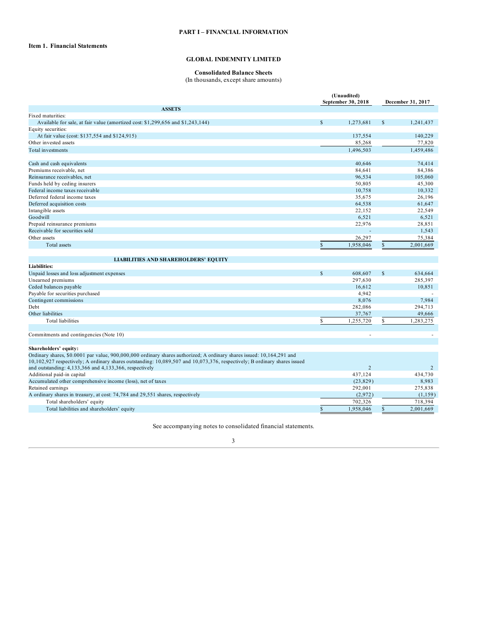### **PART I – FINANCIAL INFORMATION**

### **GLOBAL INDEMNITY LIMITED**

#### **Consolidated Balance Sheets**

(In thousands, except share amounts)

<span id="page-2-0"></span>

|                                                                                                                           |             | (Unaudited)<br>September 30, 2018 | December 31, 2017 |           |  |  |
|---------------------------------------------------------------------------------------------------------------------------|-------------|-----------------------------------|-------------------|-----------|--|--|
| <b>ASSETS</b>                                                                                                             |             |                                   |                   |           |  |  |
| Fixed maturities:                                                                                                         |             |                                   |                   |           |  |  |
| Available for sale, at fair value (amortized cost: \$1,299,656 and \$1,243,144)                                           | \$          | 1,273,681                         | $\mathbb{S}$      | 1,241,437 |  |  |
| Equity securities:                                                                                                        |             |                                   |                   |           |  |  |
| At fair value (cost: \$137,554 and \$124,915)                                                                             |             | 137,554                           |                   | 140,229   |  |  |
| Other invested assets                                                                                                     |             | 85,268                            |                   | 77,820    |  |  |
| Total investments                                                                                                         |             | 1.496.503                         |                   | 1,459,486 |  |  |
| Cash and cash equivalents                                                                                                 |             | 40,646                            |                   | 74,414    |  |  |
| Premiums receivable, net                                                                                                  |             | 84,641                            |                   | 84,386    |  |  |
| Reinsurance receivables, net                                                                                              |             | 96,534                            |                   | 105,060   |  |  |
| Funds held by ceding insurers                                                                                             |             | 50,805                            |                   | 45,300    |  |  |
| Federal income taxes receivable                                                                                           |             | 10,758                            |                   | 10,332    |  |  |
| Deferred federal income taxes                                                                                             |             | 35,675                            |                   | 26,196    |  |  |
| Deferred acquisition costs                                                                                                |             | 64,538                            |                   | 61,647    |  |  |
| Intangible assets                                                                                                         |             | 22,152                            |                   | 22,549    |  |  |
| Goodwill                                                                                                                  |             | 6,521                             |                   | 6,521     |  |  |
| Prepaid reinsurance premiums                                                                                              |             | 22,976                            |                   | 28,851    |  |  |
| Receivable for securities sold                                                                                            |             |                                   |                   | 1,543     |  |  |
| Other assets                                                                                                              |             | 26,297                            |                   | 75,384    |  |  |
| Total assets                                                                                                              | \$          | 1,958,046                         |                   | 2,001,669 |  |  |
| <b>LIABILITIES AND SHAREHOLDERS' EQUITY</b>                                                                               |             |                                   |                   |           |  |  |
| <b>Liabilities:</b>                                                                                                       |             |                                   |                   |           |  |  |
| Unpaid losses and loss adjustment expenses                                                                                | $\mathbf S$ | 608,607                           | \$                | 634,664   |  |  |
| Unearned premiums                                                                                                         |             | 297,630                           |                   | 285,397   |  |  |
| Ceded balances payable                                                                                                    |             | 16,612                            |                   | 10,851    |  |  |
| Payable for securities purchased                                                                                          |             | 4,942                             |                   |           |  |  |
| Contingent commissions                                                                                                    |             | 8,076                             |                   | 7,984     |  |  |
| Debt                                                                                                                      |             | 282,086                           |                   | 294,713   |  |  |
| Other liabilities                                                                                                         |             | 37,767                            |                   | 49,666    |  |  |
| <b>Total liabilities</b>                                                                                                  | \$          | 1,255,720                         | S                 | 1,283,275 |  |  |
| Commitments and contingencies (Note 10)                                                                                   |             | ×.                                |                   |           |  |  |
| Shareholders' equity:                                                                                                     |             |                                   |                   |           |  |  |
| Ordinary shares, \$0.0001 par value, 900,000,000 ordinary shares authorized; A ordinary shares issued: 10,164,291 and     |             |                                   |                   |           |  |  |
| 10,102,927 respectively; A ordinary shares outstanding: 10,089,507 and 10,073,376, respectively; B ordinary shares issued |             |                                   |                   |           |  |  |
| and outstanding: 4,133,366 and 4,133,366, respectively                                                                    |             | $\overline{2}$                    |                   | 2         |  |  |
| Additional paid-in capital                                                                                                |             | 437,124                           |                   | 434,730   |  |  |
| Accumulated other comprehensive income (loss), net of taxes                                                               |             | (23, 829)                         |                   | 8,983     |  |  |
| Retained earnings                                                                                                         |             | 292,001                           |                   | 275,838   |  |  |
| A ordinary shares in treasury, at cost: 74,784 and 29,551 shares, respectively                                            |             | (2,972)                           |                   | (1, 159)  |  |  |
| Total shareholders' equity                                                                                                |             | 702.326                           |                   | 718,394   |  |  |
| Total liabilities and shareholders' equity                                                                                | \$          | 1,958,046                         | $\mathbb{S}$      | 2,001,669 |  |  |

See accompanying notes to consolidated financial statements.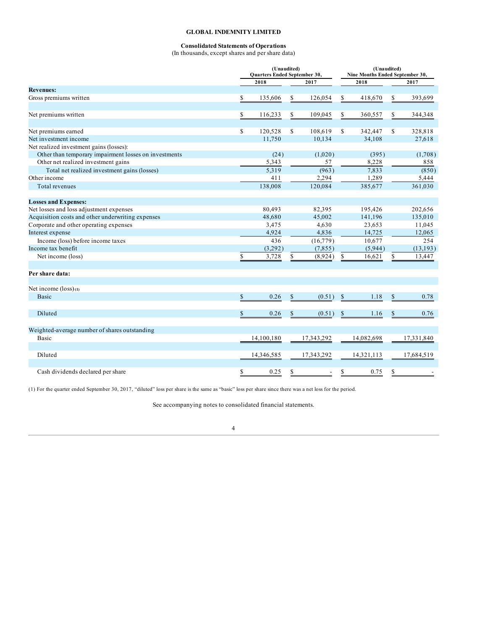### **Consolidated Statements of Operations**

(In thousands, except shares and per share data)

<span id="page-3-0"></span>

|                                                               | (Unaudited)<br>Quarters Ended September 30, |               | (Unaudited)<br>Nine Months Ended September 30, |            |    |            |  |  |  |
|---------------------------------------------------------------|---------------------------------------------|---------------|------------------------------------------------|------------|----|------------|--|--|--|
|                                                               | 2018                                        | 2017          |                                                | 2018       |    | 2017       |  |  |  |
| <b>Revenues:</b>                                              |                                             |               |                                                |            |    |            |  |  |  |
| Gross premiums written                                        | \$<br>135,606                               | \$<br>126,054 | \$                                             | 418,670    | S  | 393,699    |  |  |  |
| Net premiums written                                          | \$<br>116,233                               | \$<br>109,045 | \$                                             | 360,557    | \$ | 344,348    |  |  |  |
| Net premiums earned                                           | \$<br>120,528                               | \$<br>108,619 | \$                                             | 342,447    | \$ | 328,818    |  |  |  |
| Net investment income                                         | 11,750                                      | 10,134        |                                                | 34,108     |    | 27,618     |  |  |  |
| Net realized investment gains (losses):                       |                                             |               |                                                |            |    |            |  |  |  |
| Other than temporary impairment losses on investments         | (24)                                        | (1,020)       |                                                | (395)      |    | (1,708)    |  |  |  |
| Other net realized investment gains                           | 5,343                                       | 57            |                                                | 8,228      |    | 858        |  |  |  |
| Total net realized investment gains (losses)                  | 5,319                                       | (963)         |                                                | 7,833      |    | (850)      |  |  |  |
| Other income                                                  | 411                                         | 2,294         |                                                | 1,289      |    | 5,444      |  |  |  |
| Total revenues                                                | 138,008                                     | 120,084       |                                                | 385,677    |    | 361,030    |  |  |  |
| <b>Losses and Expenses:</b>                                   |                                             |               |                                                |            |    |            |  |  |  |
| Net losses and loss adjustment expenses                       | 80,493                                      | 82,395        |                                                | 195,426    |    | 202,656    |  |  |  |
| Acquisition costs and other underwriting expenses             | 48,680                                      | 45,002        |                                                | 141,196    |    | 135,010    |  |  |  |
| Corporate and other operating expenses                        | 3,475                                       | 4,630         |                                                | 23,653     |    | 11,045     |  |  |  |
| Interest expense                                              | 4,924                                       | 4,836         |                                                | 14,725     |    | 12,065     |  |  |  |
| Income (loss) before income taxes                             | 436                                         | (16,779)      |                                                | 10,677     |    | 254        |  |  |  |
| Income tax benefit                                            | (3,292)                                     | (7, 855)      |                                                | (5,944)    |    | (13, 193)  |  |  |  |
| Net income (loss)                                             | \$<br>3,728                                 | \$<br>(8,924) | \$                                             | 16,621     | \$ | 13,447     |  |  |  |
| Per share data:                                               |                                             |               |                                                |            |    |            |  |  |  |
|                                                               |                                             |               |                                                |            |    |            |  |  |  |
| Net income (loss)(1)                                          |                                             |               |                                                |            |    |            |  |  |  |
| <b>Basic</b>                                                  | \$<br>0.26                                  | \$<br>(0.51)  | \$                                             | 1.18       | \$ | 0.78       |  |  |  |
| Diluted                                                       | \$<br>0.26                                  | \$<br>(0.51)  | \$                                             | 1.16       | \$ | 0.76       |  |  |  |
|                                                               |                                             |               |                                                |            |    |            |  |  |  |
| Weighted-average number of shares outstanding<br><b>Basic</b> |                                             |               |                                                |            |    |            |  |  |  |
|                                                               | 14,100,180                                  | 17,343,292    |                                                | 14,082,698 |    | 17,331,840 |  |  |  |
| Diluted                                                       | 14,346,585                                  | 17,343,292    |                                                | 14,321,113 |    | 17,684,519 |  |  |  |
| Cash dividends declared per share                             | \$<br>0.25                                  | \$            | \$                                             | 0.75       | \$ |            |  |  |  |
|                                                               |                                             |               |                                                |            |    |            |  |  |  |

(1) For the quarter ended September 30, 2017, "diluted" loss per share is the same as "basic" loss per share since there was a net loss for the period.

See accompanying notes to consolidated financial statements.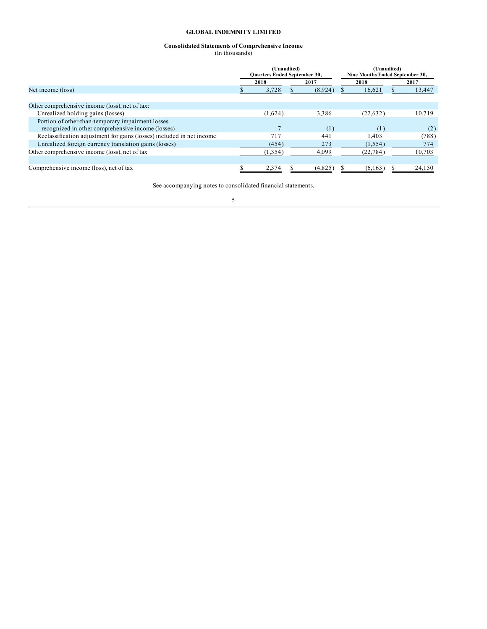#### **Consolidated Statements of Comprehensive Income**

(In thousands)

<span id="page-4-0"></span>

|                                                                       |  | <b>Ouarters Ended September 30,</b> | (Unaudited) |         | (Unaudited)<br>Nine Months Ended September 30, |        |  |  |
|-----------------------------------------------------------------------|--|-------------------------------------|-------------|---------|------------------------------------------------|--------|--|--|
|                                                                       |  | 2018                                |             | 2017    | 2018                                           | 2017   |  |  |
| Net income (loss)                                                     |  | 3,728                               |             | (8,924) | 16,621                                         | 13,447 |  |  |
|                                                                       |  |                                     |             |         |                                                |        |  |  |
| Other comprehensive income (loss), net of tax:                        |  |                                     |             |         |                                                |        |  |  |
| Unrealized holding gains (losses)                                     |  | (1,624)                             |             | 3,386   | (22, 632)                                      | 10,719 |  |  |
| Portion of other-than-temporary impairment losses                     |  |                                     |             |         |                                                |        |  |  |
| recognized in other comprehensive income (losses)                     |  |                                     |             | (1)     | (1)                                            | (2)    |  |  |
| Reclassification adjustment for gains (losses) included in net income |  | 717                                 |             | 441     | 1.403                                          | (788)  |  |  |
| Unrealized foreign currency translation gains (losses)                |  | (454)                               |             | 273     | (1, 554)                                       | 774    |  |  |
| Other comprehensive income (loss), net of tax                         |  | (1, 354)                            |             | 4,099   | (22, 784)                                      | 10,703 |  |  |
|                                                                       |  |                                     |             |         |                                                |        |  |  |
| Comprehensive income (loss), net of tax                               |  | 2,374                               |             | (4,825) | (6,163)                                        | 24,150 |  |  |

See accompanying notes to consolidated financial statements.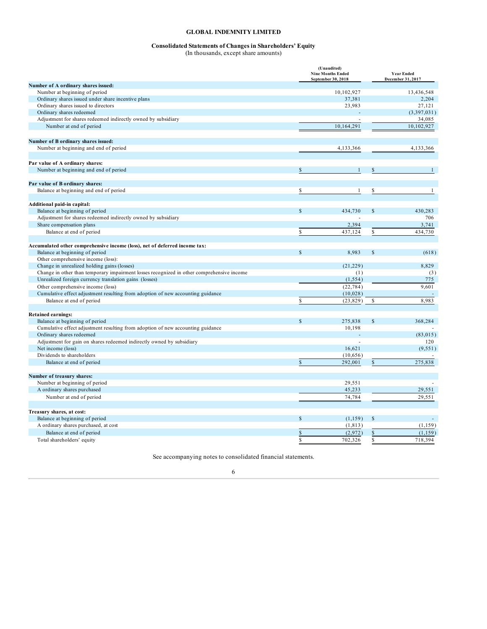#### **Consolidated Statements of Changes in Shareholders' Equity**

(In thousands, except share amounts)

<span id="page-5-0"></span>

|                                                                                           |             | (Unaudited)<br><b>Nine Months Ended</b><br>September 30, 2018 |              | <b>Year Ended</b><br>December 31, 2017 |
|-------------------------------------------------------------------------------------------|-------------|---------------------------------------------------------------|--------------|----------------------------------------|
| Number of A ordinary shares issued:                                                       |             |                                                               |              |                                        |
| Number at beginning of period                                                             |             | 10,102,927                                                    |              | 13,436,548                             |
| Ordinary shares issued under share incentive plans                                        |             | 37,381                                                        |              | 2,204                                  |
| Ordinary shares issued to directors                                                       |             | 23,983                                                        |              | 27,121                                 |
| Ordinary shares redeemed                                                                  |             |                                                               |              | (3,397,031)                            |
| Adjustment for shares redeemed indirectly owned by subsidiary                             |             |                                                               |              | 34,085                                 |
| Number at end of period                                                                   |             | 10,164,291                                                    |              | 10,102,927                             |
| Number of B ordinary shares issued:                                                       |             |                                                               |              |                                        |
| Number at beginning and end of period                                                     |             | 4,133,366                                                     |              | 4,133,366                              |
|                                                                                           |             |                                                               |              |                                        |
| Par value of A ordinary shares:                                                           |             |                                                               |              |                                        |
| Number at beginning and end of period                                                     | \$.         | $\mathbf{1}$                                                  | \$           | $\mathbf{1}$                           |
| Par value of B ordinary shares:                                                           |             |                                                               |              |                                        |
| Balance at beginning and end of period                                                    | \$          | $\overline{1}$                                                | \$           | $\mathbf{1}$                           |
| Additional paid-in capital:                                                               |             |                                                               |              |                                        |
| Balance at beginning of period                                                            | <b>S</b>    | 434,730                                                       | $\mathbb{S}$ | 430,283                                |
| Adjustment for shares redeemed indirectly owned by subsidiary                             |             |                                                               |              | 706                                    |
| Share compensation plans                                                                  |             | 2,394                                                         |              | 3,741                                  |
| Balance at end of period                                                                  | S           | 437,124                                                       | $\mathbf S$  | 434,730                                |
|                                                                                           |             |                                                               |              |                                        |
| Accumulated other comprehensive income (loss), net of deferred income tax:                |             |                                                               |              |                                        |
| Balance at beginning of period                                                            | <b>S</b>    | 8.983                                                         | $\mathsf{s}$ | (618)                                  |
| Other comprehensive income (loss):                                                        |             |                                                               |              |                                        |
| Change in unrealized holding gains (losses)                                               |             | (21, 229)                                                     |              | 8,829                                  |
| Change in other than temporary impairment losses recognized in other comprehensive income |             | (1)                                                           |              | (3)                                    |
| Unrealized foreign currency translation gains (losses)                                    |             | (1, 554)                                                      |              | 775                                    |
| Other comprehensive income (loss)                                                         |             | (22, 784)                                                     |              | 9,601                                  |
| Cumulative effect adjustment resulting from adoption of new accounting guidance           |             | (10,028)                                                      |              |                                        |
| Balance at end of period                                                                  | S           | (23, 829)                                                     | \$           | 8,983                                  |
| <b>Retained earnings:</b>                                                                 |             |                                                               |              |                                        |
| Balance at beginning of period                                                            | $\mathbf S$ | 275,838                                                       | $\mathbb{S}$ | 368,284                                |
| Cumulative effect adjustment resulting from adoption of new accounting guidance           |             | 10,198                                                        |              |                                        |
| Ordinary shares redeemed                                                                  |             |                                                               |              | (83, 015)                              |
| Adjustment for gain on shares redeemed indirectly owned by subsidiary                     |             | L,                                                            |              | 120                                    |
| Net income (loss)                                                                         |             | 16,621                                                        |              | (9, 551)                               |
| Dividends to shareholders                                                                 |             | (10, 656)                                                     |              |                                        |
| Balance at end of period                                                                  | \$          | 292,001                                                       | $\mathsf{s}$ | 275,838                                |
|                                                                                           |             |                                                               |              |                                        |
| Number of treasury shares:<br>Number at beginning of period                               |             | 29,551                                                        |              |                                        |
| A ordinary shares purchased                                                               |             | 45,233                                                        |              | 29,551                                 |
| Number at end of period                                                                   |             | 74,784                                                        |              | 29,551                                 |
|                                                                                           |             |                                                               |              |                                        |
| Treasury shares, at cost:                                                                 |             |                                                               |              |                                        |
| Balance at beginning of period                                                            | $\mathbf S$ | (1,159)                                                       | $\mathbb{S}$ |                                        |
| A ordinary shares purchased, at cost                                                      |             | (1, 813)                                                      |              | (1, 159)                               |
| Balance at end of period                                                                  | S           | (2,972)                                                       | \$           | (1, 159)                               |
| Total shareholders' equity                                                                | \$          | 702,326                                                       | $\mathsf{s}$ | 718,394                                |

See accompanying notes to consolidated financial statements.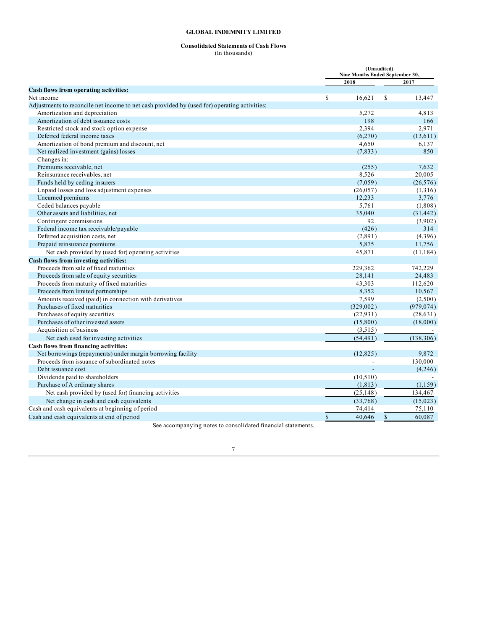### **Consolidated Statements of Cash Flows** (In thousands)

<span id="page-6-0"></span>

|                                                                                              | (Unaudited)<br>Nine Months Ended September 30. |           |    |            |  |
|----------------------------------------------------------------------------------------------|------------------------------------------------|-----------|----|------------|--|
|                                                                                              |                                                | 2018      |    | 2017       |  |
| Cash flows from operating activities:                                                        |                                                |           |    |            |  |
| Net income                                                                                   | \$                                             | 16.621    | S  | 13,447     |  |
| Adjustments to reconcile net income to net cash provided by (used for) operating activities: |                                                |           |    |            |  |
| Amortization and depreciation                                                                |                                                | 5,272     |    | 4.813      |  |
| Amortization of debt issuance costs                                                          |                                                | 198       |    | 166        |  |
| Restricted stock and stock option expense                                                    |                                                | 2,394     |    | 2,971      |  |
| Deferred federal income taxes                                                                |                                                | (6,270)   |    | (13,611)   |  |
| Amortization of bond premium and discount, net                                               |                                                | 4,650     |    | 6,137      |  |
| Net realized investment (gains) losses                                                       |                                                | (7, 833)  |    | 850        |  |
| Changes in:                                                                                  |                                                |           |    |            |  |
| Premiums receivable, net                                                                     |                                                | (255)     |    | 7,632      |  |
| Reinsurance receivables, net                                                                 |                                                | 8,526     |    | 20,005     |  |
| Funds held by ceding insurers                                                                |                                                | (7,059)   |    | (26, 576)  |  |
| Unpaid losses and loss adjustment expenses                                                   |                                                | (26, 057) |    | (1,316)    |  |
| Unearned premiums                                                                            |                                                | 12,233    |    | 3,776      |  |
| Ceded balances payable                                                                       |                                                | 5,761     |    | (1,808)    |  |
| Other assets and liabilities, net                                                            |                                                | 35,040    |    | (31, 442)  |  |
| Contingent commissions                                                                       |                                                | 92        |    | (3,902)    |  |
| Federal income tax receivable/payable                                                        |                                                | (426)     |    | 314        |  |
| Deferred acquisition costs, net                                                              |                                                | (2,891)   |    | (4,396)    |  |
| Prepaid reinsurance premiums                                                                 |                                                | 5,875     |    | 11,756     |  |
| Net cash provided by (used for) operating activities                                         |                                                | 45,871    |    | (11, 184)  |  |
| Cash flows from investing activities:                                                        |                                                |           |    |            |  |
| Proceeds from sale of fixed maturities                                                       |                                                | 229,362   |    | 742,229    |  |
| Proceeds from sale of equity securities                                                      |                                                | 28,141    |    | 24,483     |  |
| Proceeds from maturity of fixed maturities                                                   |                                                | 43,303    |    | 112,620    |  |
| Proceeds from limited partnerships                                                           |                                                | 8,352     |    | 10,567     |  |
| Amounts received (paid) in connection with derivatives                                       |                                                | 7,599     |    | (2,500)    |  |
| Purchases of fixed maturities                                                                |                                                | (329,002) |    | (979, 074) |  |
| Purchases of equity securities                                                               |                                                | (22, 931) |    | (28, 631)  |  |
| Purchases of other invested assets                                                           |                                                | (15,800)  |    | (18,000)   |  |
| Acquisition of business                                                                      |                                                | (3,515)   |    |            |  |
| Net cash used for investing activities                                                       |                                                | (54, 491) |    | (138, 306) |  |
| Cash flows from financing activities:                                                        |                                                |           |    |            |  |
| Net borrowings (repayments) under margin borrowing facility                                  |                                                | (12, 825) |    | 9,872      |  |
| Proceeds from issuance of subordinated notes                                                 |                                                |           |    | 130,000    |  |
| Debt issuance cost                                                                           |                                                |           |    | (4,246)    |  |
| Dividends paid to shareholders                                                               |                                                | (10, 510) |    |            |  |
| Purchase of A ordinary shares                                                                |                                                | (1, 813)  |    | (1,159)    |  |
| Net cash provided by (used for) financing activities                                         |                                                | (25, 148) |    | 134,467    |  |
| Net change in cash and cash equivalents                                                      |                                                | (33,768)  |    | (15,023)   |  |
| Cash and cash equivalents at beginning of period                                             |                                                | 74,414    |    | 75,110     |  |
| Cash and cash equivalents at end of period                                                   | \$                                             | 40,646    | \$ | 60,087     |  |

See accompanying notes to consolidated financial statements.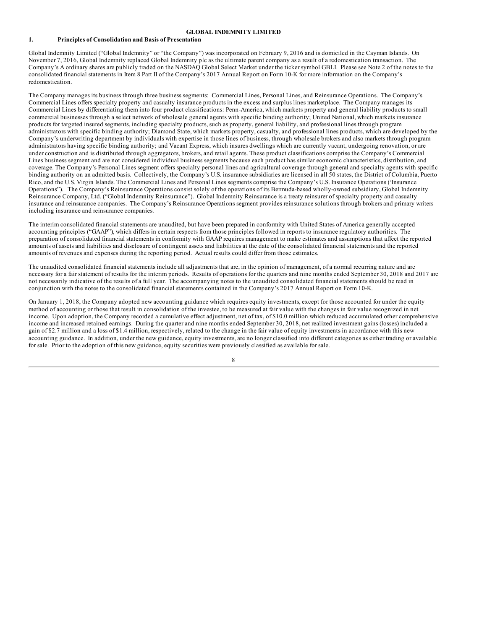#### <span id="page-7-0"></span>**1. Principles of Consolidation and Basis of Presentation**

Global Indemnity Limited ("Global Indemnity" or "the Company") was incorporated on February 9, 2016 and is domiciled in the Cayman Islands. On November 7, 2016, Global Indemnity replaced Global Indemnity plc as the ultimate parent company as a result of a redomestication transaction. The Company's A ordinary shares are publicly traded on the NASDAQ Global Select Market under the ticker symbol GBLI. Please see Note 2 of the notes to the consolidated financial statements in Item 8 Part II of the Company's 2017 Annual Report on Form 10-K for more information on the Company's redomestication.

The Company manages its business through three business segments: Commercial Lines, Personal Lines, and Reinsurance Operations. The Company's Commercial Lines offers specialty property and casualty insurance products in the excess and surplus lines marketplace. The Company manages its Commercial Lines by differentiating them into four product classifications: Penn-America, which markets property and general liability products to small commercial businesses through a select network of wholesale general agents with specific binding authority; United National, which markets insurance products for targeted insured segments, including specialty products, such as property, general liability, and professional lines through program administrators with specific binding authority; Diamond State, which markets property, casualty, and professional lines products, which are developed by the Company's underwriting department by individuals with expertise in those lines of business, through wholesale brokers and also markets through program administrators having specific binding authority; and Vacant Express, which insures dwellings which are currently vacant, undergoing renovation, or are under construction and is distributed through aggregators, brokers, and retail agents. These product classifications comprise the Company's Commercial Lines business segment and are not considered individual business segments because each product has similar economic characteristics, distribution, and coverage. The Company's Personal Lines segment offers specialty personal lines and agricultural coverage through general and specialty agents with specific binding authority on an admitted basis. Collectively, the Company's U.S. insurance subsidiaries are licensed in all 50 states, the District of Columbia, Puerto Rico, and the U.S. Virgin Islands. The Commercial Lines and Personal Lines segments comprise the Company's U.S. Insurance Operations ('Insurance Operations"). The Company's Reinsurance Operations consist solely of the operations of its Bermuda-based wholly-owned subsidiary, Global Indemnity Reinsurance Company, Ltd. ("Global Indemnity Reinsurance"). Global Indemnity Reinsurance is a treaty reinsurer of specialty property and casualty insurance and reinsurance companies. The Company's Reinsurance Operations segment provides reinsurance solutions through brokers and primary writers including insurance and reinsurance companies.

The interim consolidated financial statements are unaudited, but have been prepared in conformity with United States of America generally accepted accounting principles ("GAAP"), which differs in certain respects from those principles followed in reports to insurance regulatory authorities. The preparation of consolidated financial statements in conformity with GAAP requires management to make estimates and assumptions that affect the reported amounts of assets and liabilities and disclosure of contingent assets and liabilities at the date of the consolidated financial statements and the reported amounts of revenues and expenses during the reporting period. Actual results could differ from those estimates.

The unaudited consolidated financial statements include all adjustments that are, in the opinion of management, of a normal recurring nature and are necessary for a fair statement of results for the interim periods. Results of operations for the quarters and nine months ended September 30, 2018 and 2017 are not necessarily indicative of the results of a full year. The accompanying notes to the unaudited consolidated financial statements should be read in conjunction with the notes to the consolidated financial statements contained in the Company's 2017 Annual Report on Form 10-K.

On January 1, 2018, the Company adopted new accounting guidance which requires equity investments, except for those accounted for under the equity method of accounting or those that result in consolidation of the investee, to be measured at fair value with the changes in fair value recognized in net income. Upon adoption, the Company recorded a cumulative effect adjustment, net of tax, of \$10.0 million which reduced accumulated other comprehensive income and increased retained earnings. During the quarter and nine months ended September 30, 2018, net realized investment gains (losses) included a gain of \$2.7 million and a loss of \$1.4 million, respectively, related to the change in the fair value of equity investments in accordance with this new accounting guidance. In addition, under the new guidance, equity investments, are no longer classified into different categories as either trading or available for sale. Prior to the adoption of this new guidance, equity securities were previously classified as available for sale.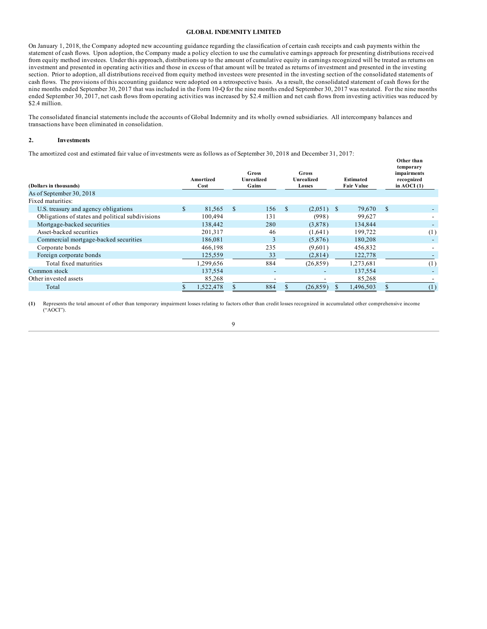On January 1, 2018, the Company adopted new accounting guidance regarding the classification of certain cash receipts and cash payments within the statement of cash flows. Upon adoption, the Company made a policy election to use the cumulative earnings approach for presenting distributions received from equity method investees. Under this approach, distributions up to the amount of cumulative equity in earnings recognized will be treated as returns on investment and presented in operating activities and those in excess of that amount will be treated as returns of investment and presented in the investing section. Prior to adoption, all distributions received from equity method investees were presented in the investing section of the consolidated statements of cash flows. The provisions of this accounting guidance were adopted on a retrospective basis. As a result, the consolidated statement of cash flows for the nine months ended September 30, 2017 that was included in the Form 10-Q for the nine months ended September 30, 2017 was restated. For the nine months ended September 30, 2017, net cash flows from operating activities was increased by \$2.4 million and net cash flows from investing activities was reduced by \$2.4 million.

The consolidated financial statements include the accounts of Global Indemnity and its wholly owned subsidiaries. All intercompany balances and transactions have been eliminated in consolidation.

#### **2. Investments**

The amortized cost and estimated fair value of investments were as follows as of September 30, 2018 and December 31, 2017:

| (Dollars in thousands)                           |    | Amortized<br>Cost |               | Gross<br>Unrealized<br>Gains |          | Gross<br>Unrealized<br>Losses | Estimated<br><b>Fair Value</b> |               | temporary<br>impairments<br>recognized<br>in AOCI $(1)$ |
|--------------------------------------------------|----|-------------------|---------------|------------------------------|----------|-------------------------------|--------------------------------|---------------|---------------------------------------------------------|
| As of September 30, 2018                         |    |                   |               |                              |          |                               |                                |               |                                                         |
| Fixed maturities:                                |    |                   |               |                              |          |                               |                                |               |                                                         |
| U.S. treasury and agency obligations             | \$ | 81,565            | <sup>\$</sup> | 156                          | <b>S</b> | $(2,051)$ \$                  | 79.670                         | <sup>\$</sup> |                                                         |
| Obligations of states and political subdivisions |    | 100,494           |               | 131                          |          | (998)                         | 99,627                         |               |                                                         |
| Mortgage-backed securities                       |    | 138,442           |               | 280                          |          | (3,878)                       | 134,844                        |               |                                                         |
| Asset-backed securities                          |    | 201,317           |               | 46                           |          | (1,641)                       | 199,722                        |               | (1)                                                     |
| Commercial mortgage-backed securities            |    | 186,081           |               | 3                            |          | (5,876)                       | 180,208                        |               |                                                         |
| Corporate bonds                                  |    | 466,198           |               | 235                          |          | (9,601)                       | 456,832                        |               |                                                         |
| Foreign corporate bonds                          |    | 125,559           |               | 33                           |          | (2,814)                       | 122,778                        |               |                                                         |
| Total fixed maturities                           |    | 1,299,656         |               | 884                          |          | (26, 859)                     | 1,273,681                      |               | (1)                                                     |
| Common stock                                     |    | 137,554           |               | $\overline{\phantom{0}}$     |          | $\overline{\phantom{0}}$      | 137,554                        |               |                                                         |
| Other invested assets                            |    | 85,268            |               |                              |          |                               | 85,268                         |               |                                                         |
| Total                                            |    | 1,522,478         |               | 884                          |          | (26, 859)                     | 1,496,503                      |               |                                                         |

**Other than**

**(1)** Represents the total amount of other than temporary impairment losses relating to factors other than credit losses recognized in accumulated other comprehensive income ("AOCI").

 $\overline{Q}$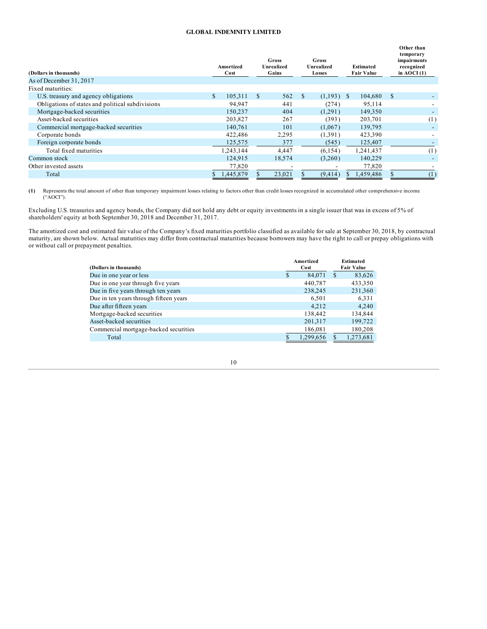| (Dollars in thousands)                           |    | Amortized<br>Cost |               | Gross<br>Unrealized<br>Gains | Gross<br>Unrealized<br>Losses |              |  | <b>Estimated</b><br><b>Fair Value</b> |               | Other than<br>temporary<br>impairments<br>recognized<br>in AOCI $(1)$ |
|--------------------------------------------------|----|-------------------|---------------|------------------------------|-------------------------------|--------------|--|---------------------------------------|---------------|-----------------------------------------------------------------------|
| As of December 31, 2017                          |    |                   |               |                              |                               |              |  |                                       |               |                                                                       |
| Fixed maturities:                                |    |                   |               |                              |                               |              |  |                                       |               |                                                                       |
| U.S. treasury and agency obligations             | \$ | 105,311           | <sup>\$</sup> | 562                          | <sup>\$</sup>                 | $(1,193)$ \$ |  | 104,680                               | <sup>\$</sup> |                                                                       |
| Obligations of states and political subdivisions |    | 94,947            |               | 441                          |                               | (274)        |  | 95,114                                |               |                                                                       |
| Mortgage-backed securities                       |    | 150,237           |               | 404                          |                               | (1,291)      |  | 149,350                               |               |                                                                       |
| Asset-backed securities                          |    | 203,827           |               | 267                          |                               | (393)        |  | 203,701                               |               | (1)                                                                   |
| Commercial mortgage-backed securities            |    | 140,761           |               | 101                          |                               | (1,067)      |  | 139,795                               |               |                                                                       |
| Corporate bonds                                  |    | 422,486           |               | 2,295                        |                               | (1,391)      |  | 423,390                               |               |                                                                       |
| Foreign corporate bonds                          |    | 125,575           |               | 377                          |                               | (545)        |  | 125,407                               |               |                                                                       |
| Total fixed maturities                           |    | 1,243,144         |               | 4,447                        |                               | (6, 154)     |  | 1,241,437                             |               | (1)                                                                   |
| Common stock                                     |    | 124,915           |               | 18,574                       |                               | (3,260)      |  | 140,229                               |               |                                                                       |
| Other invested assets                            |    | 77,820            |               |                              |                               |              |  | 77,820                                |               |                                                                       |
| Total                                            |    | 1,445,879         |               | 23,021                       |                               | (9, 414)     |  | 1,459,486                             |               | (1)                                                                   |

**(1)** Represents the total amount of other than temporary impairment losses relating to factors other than credit losses recognized in accumulated other comprehensive income ("AOCI").

Excluding U.S. treasuries and agency bonds, the Company did not hold any debt or equity investments in a single issuer that was in excess of 5% of shareholders' equity at both September 30, 2018 and December 31, 2017.

The amortized cost and estimated fair value of the Company's fixed maturities portfolio classified as available for sale at September 30, 2018, by contractual maturity, are shown below. Actual maturities may differ from contractual maturities because borrowers may have the right to call or prepay obligations with or without call or prepayment penalties.

| (Dollars in thousands)                 |   | Amortized<br>Cost |   | <b>Estimated</b><br><b>Fair Value</b> |
|----------------------------------------|---|-------------------|---|---------------------------------------|
| Due in one year or less                | S | 84,071            | S | 83,626                                |
| Due in one year through five years     |   | 440,787           |   | 433,350                               |
| Due in five years through ten years    |   | 238,245           |   | 231,360                               |
| Due in ten years through fifteen years |   | 6,501             |   | 6,331                                 |
| Due after fifteen years                |   | 4.212             |   | 4,240                                 |
| Mortgage-backed securities             |   | 138,442           |   | 134,844                               |
| Asset-backed securities                |   | 201,317           |   | 199,722                               |
| Commercial mortgage-backed securities  |   | 186,081           |   | 180,208                               |
| Total                                  |   | 1,299,656         |   | 1,273,681                             |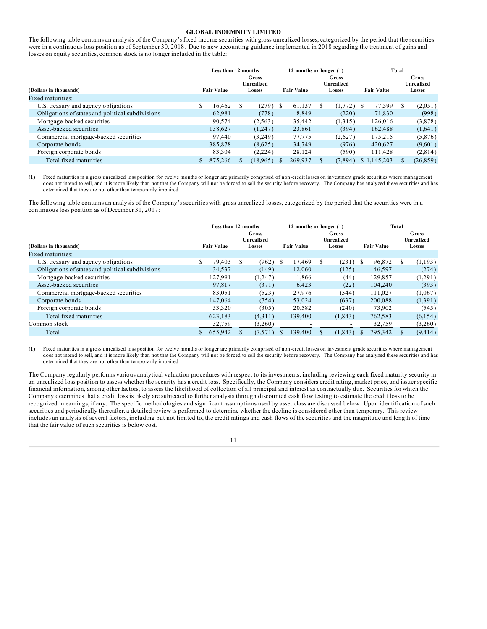The following table contains an analysis of the Company's fixed income securities with gross unrealized losses, categorized by the period that the securities were in a continuous loss position as of September 30, 2018. Due to new accounting guidance implemented in 2018 regarding the treatment of gains and losses on equity securities, common stock is no longer included in the table:

|                                                  | Less than 12 months                                |         |     |                   | 12 months or longer (1) |         |                               | Total             |              |                                      |           |
|--------------------------------------------------|----------------------------------------------------|---------|-----|-------------------|-------------------------|---------|-------------------------------|-------------------|--------------|--------------------------------------|-----------|
| (Dollars in thousands)                           | Gross<br>Unrealized<br><b>Fair Value</b><br>Losses |         |     | <b>Fair Value</b> |                         |         | Gross<br>Unrealized<br>Losses | <b>Fair Value</b> |              | Gross<br><b>Unrealized</b><br>Losses |           |
| Fixed maturities:                                |                                                    |         |     |                   |                         |         |                               |                   |              |                                      |           |
| U.S. treasury and agency obligations             |                                                    | 16,462  | \$. | (279)             | - \$                    | 61,137  | -S                            | (1,772)           | 77,599<br>-S | S                                    | (2,051)   |
| Obligations of states and political subdivisions |                                                    | 62.981  |     | (778)             |                         | 8.849   |                               | (220)             | 71,830       |                                      | (998)     |
| Mortgage-backed securities                       |                                                    | 90,574  |     | (2, 563)          |                         | 35,442  |                               | (1,315)           | 126,016      |                                      | (3,878)   |
| Asset-backed securities                          |                                                    | 138,627 |     | (1,247)           |                         | 23,861  |                               | (394)             | 162,488      |                                      | (1,641)   |
| Commercial mortgage-backed securities            |                                                    | 97.440  |     | (3,249)           |                         | 77,775  |                               | (2,627)           | 175.215      |                                      | (5,876)   |
| Corporate bonds                                  |                                                    | 385,878 |     | (8,625)           |                         | 34,749  |                               | (976)             | 420,627      |                                      | (9,601)   |
| Foreign corporate bonds                          |                                                    | 83,304  |     | (2,224)           |                         | 28,124  |                               | (590)             | 111,428      |                                      | (2,814)   |
| Total fixed maturities                           |                                                    | 875,266 |     | (18, 965)         |                         | 269,937 |                               | (7,894)           | \$1,145,203  |                                      | (26, 859) |

**(1)** Fixed maturities in a gross unrealized loss position for twelve months or longer are primarily comprised of non-credit losses on investment grade securities where management does not intend to sell, and it is more likely than not that the Company will not be forced to sell the security before recovery. The Company has analyzed these securities and has determined that they are not other than temporarily impaired.

The following table contains an analysis of the Company's securities with gross unrealized losses, categorized by the period that the securities were in a continuous loss position as of December 31, 2017:

|                                                           |                   | Less than 12 months |    |                               |    | 12 months or longer (1) |                               |            |    | Total             |   |                               |  |
|-----------------------------------------------------------|-------------------|---------------------|----|-------------------------------|----|-------------------------|-------------------------------|------------|----|-------------------|---|-------------------------------|--|
| (Dollars in thousands)                                    | <b>Fair Value</b> |                     |    | Gross<br>Unrealized<br>Losses |    | <b>Fair Value</b>       | Gross<br>Unrealized<br>Losses |            |    | <b>Fair Value</b> |   | Gross<br>Unrealized<br>Losses |  |
| Fixed maturities:<br>U.S. treasury and agency obligations | S                 | 79,403              | S. | (962)                         | -S | 17,469                  | -S                            | $(231)$ \$ |    | 96,872            | S | (1,193)                       |  |
| Obligations of states and political subdivisions          |                   | 34,537              |    | (149)                         |    | 12,060                  |                               | (125)      |    | 46,597            |   | (274)                         |  |
| Mortgage-backed securities                                |                   | 127,991             |    | (1,247)                       |    | 1,866                   |                               | (44)       |    | 129,857           |   | (1,291)                       |  |
| Asset-backed securities                                   |                   | 97.817              |    | (371)                         |    | 6.423                   |                               | (22)       |    | 104,240           |   | (393)                         |  |
| Commercial mortgage-backed securities                     |                   | 83,051              |    | (523)                         |    | 27,976                  |                               | (544)      |    | 111,027           |   | (1,067)                       |  |
| Corporate bonds                                           |                   | 147,064             |    | (754)                         |    | 53,024                  |                               | (637)      |    | 200,088           |   | (1,391)                       |  |
| Foreign corporate bonds                                   |                   | 53,320              |    | (305)                         |    | 20,582                  |                               | (240)      |    | 73,902            |   | (545)                         |  |
| Total fixed maturities                                    |                   | 623,183             |    | (4,311)                       |    | 139,400                 |                               | (1, 843)   |    | 762,583           |   | (6,154)                       |  |
| Common stock                                              |                   | 32,759              |    | (3,260)                       |    |                         |                               |            |    | 32,759            |   | (3,260)                       |  |
| Total                                                     |                   | 655,942             |    | (7,571)                       |    | 139,400                 |                               | (1, 843)   | ъ. | 795,342           |   | (9, 414)                      |  |

**(1)** Fixed maturities in a gross unrealized loss position for twelve months or longer are primarily comprised of non-credit losses on investment grade securities where management does not intend to sell, and it is more likely than not that the Company will not be forced to sell the security before recovery. The Company has analyzed these securities and has determined that they are not other than temporarily impaired.

The Company regularly performs various analytical valuation procedures with respect to its investments, including reviewing each fixed maturity security in an unrealized loss position to assess whether the security has a credit loss. Specifically, the Company considers credit rating, market price, and issuer specific financial information, among other factors, to assess the likelihood of collection of all principal and interest as contractually due. Securities for which the Company determines that a credit loss is likely are subjected to further analysis through discounted cash flow testing to estimate the credit loss to be recognized in earnings, if any. The specific methodologies and significant assumptions used by asset class are discussed below. Upon identification of such securities and periodically thereafter, a detailed review is performed to determine whether the decline is considered other than temporary. This review includes an analysis of several factors, including but not limited to, the credit ratings and cash flows of the securities and the magnitude and length of time that the fair value of such securities is below cost.

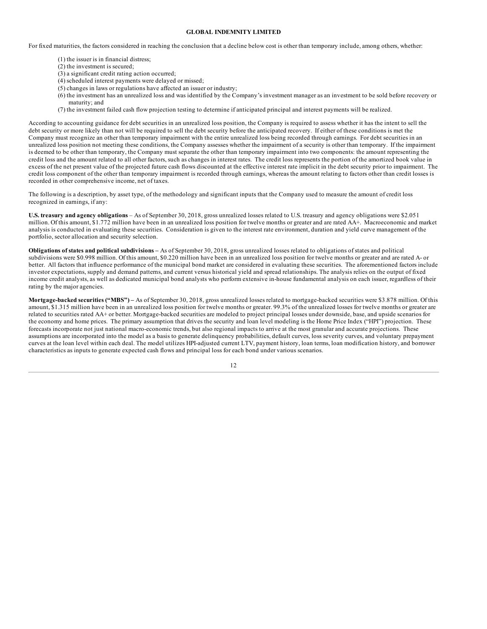For fixed maturities, the factors considered in reaching the conclusion that a decline below cost is other than temporary include, among others, whether:

- (1) the issuer is in financial distress;
- (2) the investment is secured;
- (3) a significant credit rating action occurred;
- (4) scheduled interest payments were delayed or missed;
- (5) changes in laws or regulations have affected an issuer or industry;
- (6) the investment has an unrealized loss and was identified by the Company's investment manager as an investment to be sold before recovery or maturity; and
- (7) the investment failed cash flow projection testing to determine if anticipated principal and interest payments will be realized.

According to accounting guidance for debt securities in an unrealized loss position, the Company is required to assess whether it has the intent to sell the debt security or more likely than not will be required to sell the debt security before the anticipated recovery. If either of these conditions is met the Company must recognize an other than temporary impairment with the entire unrealized loss being recorded through earnings. For debt securities in an unrealized loss position not meeting these conditions, the Company assesses whether the impairment of a security is other than temporary. If the impairment is deemed to be other than temporary, the Company must separate the other than temporary impairment into two components: the amount representing the credit loss and the amount related to all other factors, such as changes in interest rates. The credit loss represents the portion of the amortized book value in excess of the net present value of the projected future cash flows discounted at the effective interest rate implicit in the debt security prior to impairment. The credit loss component of the other than temporary impairment is recorded through earnings, whereas the amount relating to factors other than credit losses is recorded in other comprehensive income, net of taxes.

The following is a description, by asset type, of the methodology and significant inputs that the Company used to measure the amount of credit loss recognized in earnings, if any:

**U.S. treasury and agency obligations** – As of September 30, 2018, gross unrealized losses related to U.S. treasury and agency obligations were \$2.051 million. Of this amount, \$1.772 million have been in an unrealized loss position for twelve months or greater and are rated AA+. Macroeconomic and market analysis is conducted in evaluating these securities. Consideration is given to the interest rate environment, duration and yield curve management of the portfolio, sector allocation and security selection.

**Obligations of states and political subdivisions –** As of September 30, 2018, gross unrealized losses related to obligations of states and political subdivisions were \$0.998 million. Of this amount, \$0.220 million have been in an unrealized loss position for twelve months or greater and are rated A- or better. All factors that influence performance of the municipal bond market are considered in evaluating these securities. The aforementioned factors include investor expectations, supply and demand patterns, and current versus historical yield and spread relationships. The analysis relies on the output of fixed income credit analysts, as well as dedicated municipal bond analysts who perform extensive in-house fundamental analysis on each issuer, regardless of their rating by the major agencies.

**Mortgage-backed securities ("MBS") –** As of September 30, 2018, gross unrealized losses related to mortgage-backed securities were \$3.878 million. Of this amount, \$1.315 million have been in an unrealized loss position for twelve months or greater. 99.3% of the unrealized losses for twelve months or greater are related to securities rated AA+ or better. Mortgage-backed securities are modeled to project principal losses under downside, base, and upside scenarios for the economy and home prices. The primary assumption that drives the security and loan level modeling is the Home Price Index ("HPI") projection. These forecasts incorporate not just national macro-economic trends, but also regional impacts to arrive at the most granular and accurate projections. These assumptions are incorporated into the model as a basis to generate delinquency probabilities, default curves, loss severity curves, and voluntary prepayment curves at the loan level within each deal. The model utilizes HPI-adjusted current LTV, payment history, loan terms, loan modification history, and borrower characteristics as inputs to generate expected cash flows and principal loss for each bond under various scenarios.

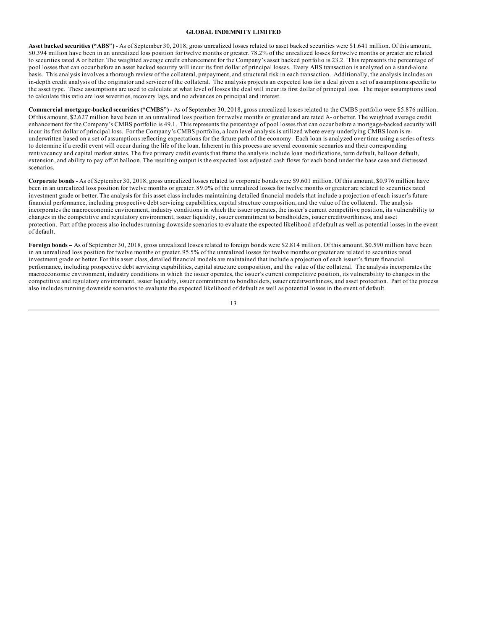**Asset backed securities ("ABS") -** As of September 30, 2018, gross unrealized losses related to asset backed securities were \$1.641 million. Of this amount, \$0.394 million have been in an unrealized loss position for twelve months or greater. 78.2% of the unrealized losses for twelve months or greater are related to securities rated A or better. The weighted average credit enhancement for the Company's asset backed portfolio is 23.2. This represents the percentage of pool losses that can occur before an asset backed security will incur its first dollar of principal losses. Every ABS transaction is analyzed on a stand-alone basis. This analysis involves a thorough review of the collateral, prepayment, and structural risk in each transaction. Additionally, the analysis includes an in-depth credit analysis of the originator and servicer of the collateral. The analysis projects an expected loss for a deal given a set of assumptions specific to the asset type. These assumptions are used to calculate at what level of losses the deal will incur its first dollar of principal loss. The major assumptions used to calculate this ratio are loss severities, recovery lags, and no advances on principal and interest.

**Commercial mortgage-backed securities ("CMBS") -** As of September 30, 2018, gross unrealized losses related to the CMBS portfolio were \$5.876 million. Of this amount, \$2.627 million have been in an unrealized loss position for twelve months or greater and are rated A- or better. The weighted average credit enhancement for the Company's CMBS portfolio is 49.1. This represents the percentage of pool losses that can occur before a mortgage-backed security will incur its first dollar of principal loss. For the Company's CMBS portfolio, a loan level analysis is utilized where every underlying CMBS loan is reunderwritten based on a set of assumptions reflecting expectations for the future path of the economy. Each loan is analyzed over time using a series of tests to determine if a credit event will occur during the life of the loan. Inherent in this process are several economic scenarios and their corresponding rent/vacancy and capital market states. The five primary credit events that frame the analysis include loan modifications, term default, balloon default, extension, and ability to pay off at balloon. The resulting output is the expected loss adjusted cash flows for each bond under the base case and distressed scenarios.

**Corporate bonds -** As of September 30, 2018, gross unrealized losses related to corporate bonds were \$9.601 million. Of this amount, \$0.976 million have been in an unrealized loss position for twelve months or greater. 89.0% of the unrealized losses for twelve months or greater are related to securities rated investment grade or better. The analysis for this asset class includes maintaining detailed financial models that include a projection of each issuer's future financial performance, including prospective debt servicing capabilities, capital structure composition, and the value of the collateral. The analysis incorporates the macroeconomic environment, industry conditions in which the issuer operates, the issuer's current competitive position, its vulnerability to changes in the competitive and regulatory environment, issuer liquidity, issuer commitment to bondholders, issuer creditworthiness, and asset protection. Part of the process also includes running downside scenarios to evaluate the expected likelihood of default as well as potential losses in the event of default.

**Foreign bonds –** As of September 30, 2018, gross unrealized losses related to foreign bonds were \$2.814 million. Of this amount, \$0.590 million have been in an unrealized loss position for twelve months or greater. 95.5% of the unrealized losses for twelve months or greater are related to securities rated investment grade or better. For this asset class, detailed financial models are maintained that include a projection of each issuer's future financial performance, including prospective debt servicing capabilities, capital structure composition, and the value of the collateral. The analysis incorporates the macroeconomic environment, industry conditions in which the issuer operates, the issuer's current competitive position, its vulnerability to changes in the competitive and regulatory environment, issuer liquidity, issuer commitment to bondholders, issuer creditworthiness, and asset protection. Part of the process also includes running downside scenarios to evaluate the expected likelihood of default as well as potential losses in the event of default.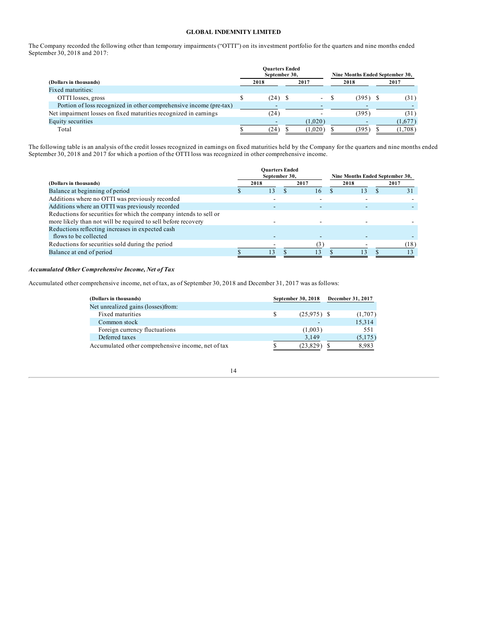The Company recorded the following other than temporary impairments ("OTTI") on its investment portfolio for the quarters and nine months ended September 30, 2018 and 2017:

|                                                                    |  | <b>Ouarters Ended</b><br>September 30, |                          | Nine Months Ended September 30, |          |  |         |
|--------------------------------------------------------------------|--|----------------------------------------|--------------------------|---------------------------------|----------|--|---------|
| (Dollars in thousands)                                             |  | 2018                                   | 2017                     |                                 | 2018     |  | 2017    |
| Fixed maturities:                                                  |  |                                        |                          |                                 |          |  |         |
| OTTI losses, gross                                                 |  | (24)                                   | $\overline{\phantom{a}}$ |                                 | (395) \$ |  | (31)    |
| Portion of loss recognized in other comprehensive income (pre-tax) |  | -                                      |                          |                                 |          |  |         |
| Net impairment losses on fixed maturities recognized in earnings   |  | (24)                                   | -                        |                                 | (395)    |  | (31)    |
| Equity securities                                                  |  |                                        | (1,020)                  |                                 |          |  | (1,677) |
| Total                                                              |  | (24)                                   | (1,020)                  |                                 | (395)    |  | (1,708) |

The following table is an analysis of the credit losses recognized in earnings on fixed maturities held by the Company for the quarters and nine months ended September 30, 2018 and 2017 for which a portion of the OTTI loss was recognized in other comprehensive income.

|                                                                                                                                     |  | <b>Quarters Ended</b><br>September 30, |   |      | Nine Months Ended September 30, |      |  |      |
|-------------------------------------------------------------------------------------------------------------------------------------|--|----------------------------------------|---|------|---------------------------------|------|--|------|
| (Dollars in thousands)                                                                                                              |  | 2018                                   |   | 2017 |                                 | 2018 |  | 2017 |
| Balance at beginning of period                                                                                                      |  | 13                                     | ъ | 16   |                                 | 13   |  | 31   |
| Additions where no OTTI was previously recorded                                                                                     |  |                                        |   |      |                                 |      |  |      |
| Additions where an OTTI was previously recorded                                                                                     |  |                                        |   |      |                                 |      |  |      |
| Reductions for securities for which the company intends to sell or<br>more likely than not will be required to sell before recovery |  |                                        |   |      |                                 |      |  |      |
| Reductions reflecting increases in expected cash<br>flows to be collected                                                           |  |                                        |   |      |                                 |      |  |      |
| Reductions for securities sold during the period                                                                                    |  |                                        |   |      |                                 |      |  | (18) |
| Balance at end of period                                                                                                            |  | 13                                     |   |      |                                 | 13   |  |      |

#### *Accumulated Other Comprehensive Income, Net of Tax*

Accumulated other comprehensive income, net of tax, as of September 30, 2018 and December 31, 2017 was as follows:

| (Dollars in thousands)                             |   | September 30, 2018 | December 31, 2017 |         |  |
|----------------------------------------------------|---|--------------------|-------------------|---------|--|
| Net unrealized gains (losses) from:                |   |                    |                   |         |  |
| Fixed maturities                                   | S | $(25,975)$ \$      |                   | (1,707) |  |
| Common stock                                       |   |                    |                   | 15,314  |  |
| Foreign currency fluctuations                      |   | (1,003)            |                   | 551     |  |
| Deferred taxes                                     |   | 3.149              |                   | (5,175) |  |
| Accumulated other comprehensive income, net of tax |   | (23.829)           |                   | 8,983   |  |

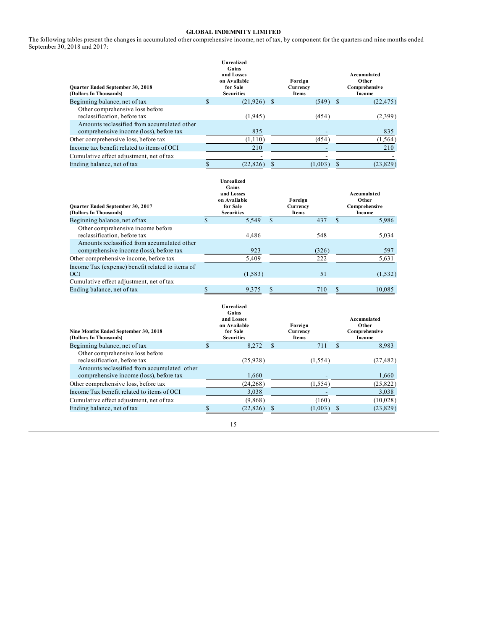The following tables present the changes in accumulated other comprehensive income, net of tax, by component for the quarters and nine months ended September 30, 2018 and 2017:

| Quarter Ended September 30, 2018<br>(Dollars In Thousands)                             | Unrealized<br>Gains<br>and Losses<br>on Available<br>for Sale<br><b>Securities</b> | Foreign<br>Currency<br>Items | Accumulated<br>Other<br>Comprehensive<br><b>Income</b> |
|----------------------------------------------------------------------------------------|------------------------------------------------------------------------------------|------------------------------|--------------------------------------------------------|
| Beginning balance, net of tax                                                          | (21, 926)                                                                          | (549)                        | (22, 475)                                              |
| Other comprehensive loss before<br>reclassification, before tax                        | (1,945)                                                                            | (454)                        | (2,399)                                                |
| Amounts reclassified from accumulated other<br>comprehensive income (loss), before tax | 835                                                                                |                              | 835                                                    |
| Other comprehensive loss, before tax                                                   | (1, 110)                                                                           | (454)                        | (1, 564)                                               |
| Income tax benefit related to items of OCI                                             | 210                                                                                |                              | 210                                                    |
| Cumulative effect adjustment, net of tax                                               |                                                                                    |                              |                                                        |
| Ending balance, net of tax                                                             | (22, 826)                                                                          | (1,003)                      | (23, 829)                                              |

| Quarter Ended September 30, 2017<br>(Dollars In Thousands) |   | Unrealized<br>Gains<br>and Losses<br>on Available<br>for Sale<br><b>Securities</b> |    | Foreign<br>Currency<br>Items | Accumulated<br>Other<br>Comprehensive<br>Income |
|------------------------------------------------------------|---|------------------------------------------------------------------------------------|----|------------------------------|-------------------------------------------------|
| Beginning balance, net of tax                              |   | 5.549                                                                              | S  | 437                          | 5,986                                           |
| Other comprehensive income before                          |   |                                                                                    |    |                              |                                                 |
| reclassification, before tax                               |   | 4,486                                                                              |    | 548                          | 5,034                                           |
| Amounts reclassified from accumulated other                |   |                                                                                    |    |                              |                                                 |
| comprehensive income (loss), before tax                    |   | 923                                                                                |    | (326)                        | 597                                             |
| Other comprehensive income, before tax                     |   | 5,409                                                                              |    | 222                          | 5,631                                           |
| Income Tax (expense) benefit related to items of           |   |                                                                                    |    |                              |                                                 |
| OCI                                                        |   | (1,583)                                                                            |    | 51                           | (1, 532)                                        |
| Cumulative effect adjustment, net of tax                   |   |                                                                                    |    |                              |                                                 |
| Ending balance, net of tax                                 | S | 9.375                                                                              | \$ | 710                          | 10.085                                          |

| Nine Months Ended September 30, 2018<br>(Dollars In Thousands)                         | Unrealized<br>Gains<br>and Losses<br>on Available<br>for Sale<br><b>Securities</b> |   | Foreign<br>Currency<br><b>Items</b> | Accumulated<br>Other<br>Comprehensive<br>Income |
|----------------------------------------------------------------------------------------|------------------------------------------------------------------------------------|---|-------------------------------------|-------------------------------------------------|
| Beginning balance, net of tax                                                          | 8.272                                                                              | S | 711                                 | 8.983                                           |
| Other comprehensive loss before<br>reclassification, before tax                        | (25,928)                                                                           |   | (1,554)                             | (27, 482)                                       |
| Amounts reclassified from accumulated other<br>comprehensive income (loss), before tax | 1.660                                                                              |   |                                     | 1,660                                           |
| Other comprehensive loss, before tax                                                   | (24, 268)                                                                          |   | (1,554)                             | (25, 822)                                       |
| Income Tax benefit related to items of OCI                                             | 3,038                                                                              |   |                                     | 3,038                                           |
| Cumulative effect adjustment, net of tax                                               | (9,868)                                                                            |   | (160)                               | (10,028)                                        |
| Ending balance, net of tax                                                             | (22.826)                                                                           |   | (1,003)                             | (23, 829)                                       |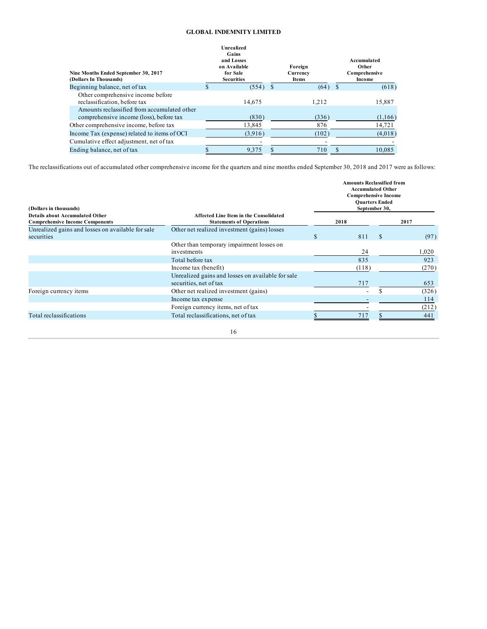| Nine Months Ended September 30, 2017<br>(Dollars In Thousands) | Unrealized<br>Gains<br>and Losses<br>on Available<br>for Sale<br><b>Securities</b> | Foreign<br>Currency<br>Items | Accumulated<br>Other<br>Comprehensive<br>Income |
|----------------------------------------------------------------|------------------------------------------------------------------------------------|------------------------------|-------------------------------------------------|
| Beginning balance, net of tax                                  | $(554)$ \$                                                                         | (64)                         | (618)                                           |
| Other comprehensive income before                              |                                                                                    |                              |                                                 |
| reclassification, before tax                                   | 14,675                                                                             | 1.212                        | 15,887                                          |
| Amounts reclassified from accumulated other                    |                                                                                    |                              |                                                 |
| comprehensive income (loss), before tax                        | (830)                                                                              | (336)                        | (1,166)                                         |
| Other comprehensive income, before tax                         | 13,845                                                                             | 876                          | 14,721                                          |
| Income Tax (expense) related to items of OCI                   | (3,916)                                                                            | (102)                        | (4,018)                                         |
| Cumulative effect adjustment, net of tax                       |                                                                                    |                              |                                                 |
| Ending balance, net of tax                                     | 9,375                                                                              | 710                          | 10.085                                          |

The reclassifications out of accumulated other comprehensive income for the quarters and nine months ended September 30, 2018 and 2017 were as follows:

| (Dollars in thousands)                                                           |                                                                             | <b>Amounts Reclassified from</b><br><b>Accumulated Other</b><br><b>Comprehensive Income</b><br><b>Quarters Ended</b><br>September 30,<br>2018<br>2017<br>\$<br>811<br>\$. |       |   |       |  |
|----------------------------------------------------------------------------------|-----------------------------------------------------------------------------|---------------------------------------------------------------------------------------------------------------------------------------------------------------------------|-------|---|-------|--|
| <b>Details about Accumulated Other</b><br><b>Comprehensive Income Components</b> | Affected Line Item in the Consolidated<br><b>Statements of Operations</b>   |                                                                                                                                                                           |       |   |       |  |
| Unrealized gains and losses on available for sale<br>securities                  | Other net realized investment (gains) losses                                |                                                                                                                                                                           |       |   | (97)  |  |
|                                                                                  | Other than temporary impairment losses on<br>investments                    |                                                                                                                                                                           | 24    |   | 1,020 |  |
|                                                                                  | Total before tax                                                            |                                                                                                                                                                           | 835   |   | 923   |  |
|                                                                                  | Income tax (benefit)                                                        |                                                                                                                                                                           | (118) |   | (270) |  |
|                                                                                  | Unrealized gains and losses on available for sale<br>securities, net of tax |                                                                                                                                                                           | 717   |   | 653   |  |
| Foreign currency items                                                           | Other net realized investment (gains)                                       |                                                                                                                                                                           |       | Ś | (326) |  |
|                                                                                  | Income tax expense                                                          |                                                                                                                                                                           |       |   | 114   |  |
|                                                                                  | Foreign currency items, net of tax                                          |                                                                                                                                                                           |       |   | (212) |  |
| Total reclassifications                                                          | Total reclassifications, net of tax                                         |                                                                                                                                                                           | 717   |   | 441   |  |
|                                                                                  | 16                                                                          |                                                                                                                                                                           |       |   |       |  |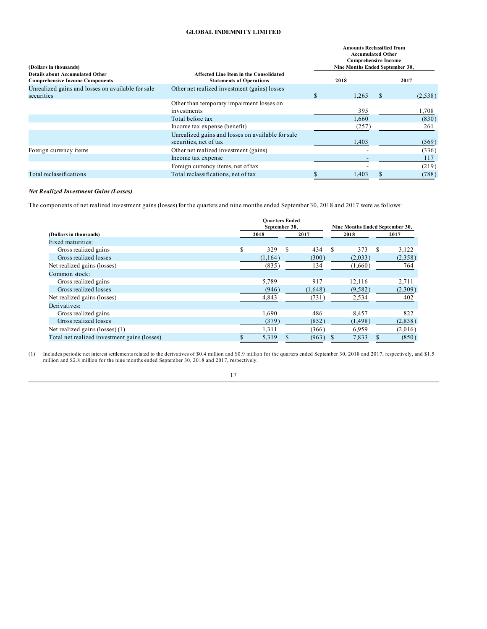| (Dollars in thousands)                                                           |                                                                             | <b>Amounts Reclassified from</b><br><b>Accumulated Other</b><br><b>Comprehensive Income</b><br>Nine Months Ended September 30, |       |      |         |  |
|----------------------------------------------------------------------------------|-----------------------------------------------------------------------------|--------------------------------------------------------------------------------------------------------------------------------|-------|------|---------|--|
| <b>Details about Accumulated Other</b><br><b>Comprehensive Income Components</b> | Affected Line Item in the Consolidated<br><b>Statements of Operations</b>   |                                                                                                                                | 2018  | 2017 |         |  |
| Unrealized gains and losses on available for sale<br>securities                  | Other net realized investment (gains) losses                                | S                                                                                                                              | 1,265 | S    | (2,538) |  |
|                                                                                  | Other than temporary impairment losses on<br>investments                    |                                                                                                                                | 395   |      | 1,708   |  |
|                                                                                  | Total before tax                                                            |                                                                                                                                | 1,660 |      | (830)   |  |
|                                                                                  | Income tax expense (benefit)                                                |                                                                                                                                | (257) |      | 261     |  |
|                                                                                  | Unrealized gains and losses on available for sale<br>securities, net of tax |                                                                                                                                | 1,403 |      | (569)   |  |
| Foreign currency items                                                           | Other net realized investment (gains)                                       |                                                                                                                                |       |      | (336)   |  |
|                                                                                  | Income tax expense                                                          |                                                                                                                                |       |      | 117     |  |
|                                                                                  | Foreign currency items, net of tax                                          |                                                                                                                                |       |      | (219)   |  |
| Total reclassifications                                                          | Total reclassifications, net of tax                                         |                                                                                                                                | 1.403 |      | (788)   |  |

### *Net Realized Investment Gains (Losses)*

The components of net realized investment gains (losses) for the quarters and nine months ended September 30, 2018 and 2017 were as follows:

|                                              | <b>Ouarters Ended</b><br>September 30, |   |         | Nine Months Ended September 30, |          |   |         |
|----------------------------------------------|----------------------------------------|---|---------|---------------------------------|----------|---|---------|
| (Dollars in thousands)                       | 2018                                   |   | 2017    | 2018                            |          |   | 2017    |
| Fixed maturities:                            |                                        |   |         |                                 |          |   |         |
| Gross realized gains                         | \$<br>329                              | S | 434     | -S                              | 373      | S | 3,122   |
| Gross realized losses                        | (1,164)                                |   | (300)   |                                 | (2,033)  |   | (2,358) |
| Net realized gains (losses)                  | (835)                                  |   | 134     |                                 | (1,660)  |   | 764     |
| Common stock:                                |                                        |   |         |                                 |          |   |         |
| Gross realized gains                         | 5,789                                  |   | 917     |                                 | 12.116   |   | 2,711   |
| Gross realized losses                        | (946)                                  |   | (1,648) |                                 | (9,582)  |   | (2,309) |
| Net realized gains (losses)                  | 4,843                                  |   | (731)   |                                 | 2,534    |   | 402     |
| Derivatives:                                 |                                        |   |         |                                 |          |   |         |
| Gross realized gains                         | 1,690                                  |   | 486     |                                 | 8,457    |   | 822     |
| Gross realized losses                        | (379)                                  |   | (852)   |                                 | (1, 498) |   | (2,838) |
| Net realized gains (losses) (1)              | 1,311                                  |   | (366)   |                                 | 6,959    |   | (2,016) |
| Total net realized investment gains (losses) | 5,319                                  |   | (963)   |                                 | 7,833    |   | (850)   |

(1) Includes periodic net interest settlements related to the derivatives of \$0.4 million and \$0.9 million for the quarters ended September 30, 2018 and 2017, respectively, and \$1.5 million and \$2.8 million for the nine mo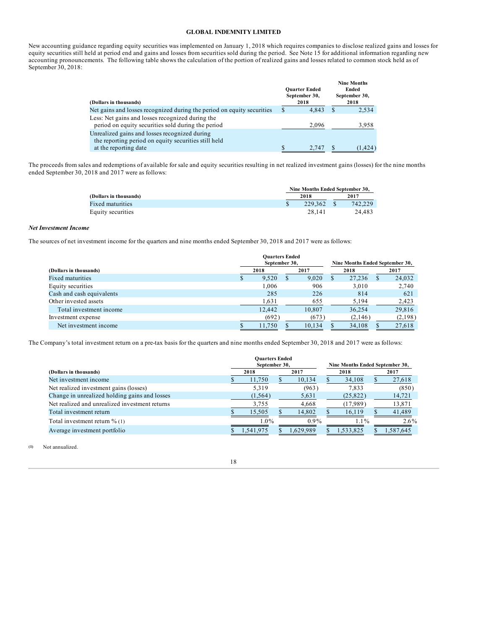New accounting guidance regarding equity securities was implemented on January 1, 2018 which requires companies to disclose realized gains and losses for equity securities still held at period end and gains and losses from securities sold during the period. See Note 15 for additional information regarding new accounting pronouncements. The following table shows the calculation of the portion of realized gains and losses related to common stock held as of September 30, 2018:

| (Dollars in thousands)                                                                                 |   | <b>Quarter Ended</b><br>September 30,<br>2018 |   | <b>Nine Months</b><br>Ended<br>September 30,<br>2018 |  |  |
|--------------------------------------------------------------------------------------------------------|---|-----------------------------------------------|---|------------------------------------------------------|--|--|
| Net gains and losses recognized during the period on equity securities                                 | S | 4.843                                         | S | 2,534                                                |  |  |
| Less: Net gains and losses recognized during the<br>period on equity securities sold during the period |   | 2.096                                         |   | 3,958                                                |  |  |
| Unrealized gains and losses recognized during<br>the reporting period on equity securities still held  |   |                                               |   |                                                      |  |  |
| at the reporting date                                                                                  | S | 2.747                                         |   | (1.424)                                              |  |  |

The proceeds from sales and redemptions of available for sale and equity securities resulting in net realized investment gains (losses) for the nine months ended September 30, 2018 and 2017 were as follows:

|                         | Nine Months Ended September 30. |      |         |
|-------------------------|---------------------------------|------|---------|
| (Dollars in thousands)  | 2018                            | 2017 |         |
| <b>Fixed maturities</b> | 229.362                         |      | 742.229 |
| Equity securities       | 28.141                          |      | 24.483  |

#### *Net Investment Income*

The sources of net investment income for the quarters and nine months ended September 30, 2018 and 2017 were as follows:

|                           |  | <b>Quarters Ended</b><br>September 30, |   |              |  | Nine Months Ended September 30, |  |         |  |      |
|---------------------------|--|----------------------------------------|---|--------------|--|---------------------------------|--|---------|--|------|
| (Dollars in thousands)    |  | 2018                                   |   | 2017<br>2018 |  |                                 |  |         |  | 2017 |
| Fixed maturities          |  | 9,520                                  | S | 9.020        |  | 27.236                          |  | 24,032  |  |      |
| Equity securities         |  | 1.006                                  |   | 906          |  | 3.010                           |  | 2,740   |  |      |
| Cash and cash equivalents |  | 285                                    |   | 226          |  | 814                             |  | 621     |  |      |
| Other invested assets     |  | 1,631                                  |   | 655          |  | 5,194                           |  | 2,423   |  |      |
| Total investment income   |  | 12.442                                 |   | 10.807       |  | 36.254                          |  | 29,816  |  |      |
| Investment expense        |  | (692)                                  |   | (673)        |  | (2,146)                         |  | (2,198) |  |      |
| Net investment income     |  | 11,750                                 |   | 10,134       |  | 34,108                          |  | 27,618  |  |      |

The Company's total investment return on a pre-tax basis for the quarters and nine months ended September 30, 2018 and 2017 were as follows:

|                                                | <b>Quarters Ended</b><br>September 30, |          | Nine Months Ended September 30, |           |
|------------------------------------------------|----------------------------------------|----------|---------------------------------|-----------|
| (Dollars in thousands)                         | 2018                                   | 2017     | 2018                            | 2017      |
| Net investment income                          | 11,750                                 | 10,134   | 34,108                          | 27,618    |
| Net realized investment gains (losses)         | 5,319                                  | (963)    | 7,833                           | (850)     |
| Change in unrealized holding gains and losses  | (1, 564)                               | 5,631    | (25, 822)                       | 14,721    |
| Net realized and unrealized investment returns | 3,755                                  | 4,668    | (17,989)                        | 13,871    |
| Total investment return                        | 15,505                                 | 14,802   | 16,119                          | 41,489    |
| Total investment return $\%$ (1)               | $1.0\%$                                | $0.9\%$  | $1.1\%$                         | $2.6\%$   |
| Average investment portfolio                   | 1,541,975                              | .629.989 | .533.825                        | 1,587,645 |

**(1)** Not annualized.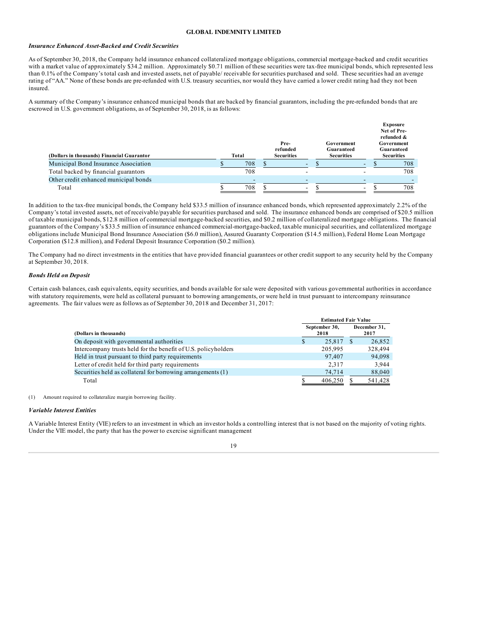#### *Insurance Enhanced Asset-Backed and Credit Securities*

As of September 30, 2018, the Company held insurance enhanced collateralized mortgage obligations, commercial mortgage-backed and credit securities with a market value of approximately \$34.2 million. Approximately \$0.71 million of these securities were tax-free municipal bonds, which represented less than 0.1% of the Company's total cash and invested assets, net of payable/ receivable for securities purchased and sold. These securities had an average rating of "AA." None of these bonds are pre-refunded with U.S. treasury securities, nor would they have carried a lower credit rating had they not been insured.

A summary of the Company's insurance enhanced municipal bonds that are backed by financial guarantors, including the pre-refunded bonds that are escrowed in U.S. government obligations, as of September 30, 2018, is as follows:

| (Dollars in thousands) Financial Guarantor  | Total | Pre-<br>refunded<br><b>Securities</b> | Government<br>Guaranteed<br><b>Securities</b> |                          | Exposure<br>Net of Pre-<br>refunded &<br>Government<br>Guaranteed<br><b>Securities</b> |
|---------------------------------------------|-------|---------------------------------------|-----------------------------------------------|--------------------------|----------------------------------------------------------------------------------------|
| <b>Municipal Bond Insurance Association</b> | 708   | $\overline{\phantom{0}}$              |                                               |                          | 708                                                                                    |
| Total backed by financial guarantors        | 708   |                                       |                                               |                          | 708                                                                                    |
| Other credit enhanced municipal bonds       |       | -                                     |                                               |                          |                                                                                        |
| Total                                       | 708   | $\overline{\phantom{a}}$              |                                               | $\overline{\phantom{0}}$ | 708                                                                                    |

In addition to the tax-free municipal bonds, the Company held \$33.5 million of insurance enhanced bonds, which represented approximately 2.2% of the Company's total invested assets, net of receivable/payable for securities purchased and sold. The insurance enhanced bonds are comprised of \$20.5 million of taxable municipal bonds, \$12.8 million of commercial mortgage-backed securities, and \$0.2 million of collateralized mortgage obligations. The financial guarantors of the Company's \$33.5 million of insurance enhanced commercial-mortgage-backed, taxable municipal securities, and collateralized mortgage obligations include Municipal Bond Insurance Association (\$6.0 million), Assured Guaranty Corporation (\$14.5 million), Federal Home Loan Mortgage Corporation (\$12.8 million), and Federal Deposit Insurance Corporation (\$0.2 million).

The Company had no direct investments in the entities that have provided financial guarantees or other credit support to any security held by the Company at September 30, 2018.

#### *Bonds Held on Deposit*

Certain cash balances, cash equivalents, equity securities, and bonds available for sale were deposited with various governmental authorities in accordance with statutory requirements, were held as collateral pursuant to borrowing arrangements, or were held in trust pursuant to intercompany reinsurance agreements. The fair values were as follows as of September 30, 2018 and December 31, 2017:

|                                                                |   | <b>Estimated Fair Value</b> |                      |
|----------------------------------------------------------------|---|-----------------------------|----------------------|
| (Dollars in thousands)                                         |   | September 30,<br>2018       | December 31.<br>2017 |
| On deposit with governmental authorities                       | S | 25.817                      | 26,852               |
| Intercompany trusts held for the benefit of U.S. policyholders |   | 205,995                     | 328,494              |
| Held in trust pursuant to third party requirements             |   | 97.407                      | 94,098               |
| Letter of credit held for third party requirements             |   | 2.317                       | 3.944                |
| Securities held as collateral for borrowing arrangements (1)   |   | 74,714                      | 88,040               |
| Total                                                          |   | 406.250                     | 541,428              |

(1) Amount required to collateralize margin borrowing facility.

#### *Variable Interest Entities*

A Variable Interest Entity (VIE) refers to an investment in which an investor holds a controlling interest that is not based on the majority of voting rights. Under the VIE model, the party that has the power to exercise significant management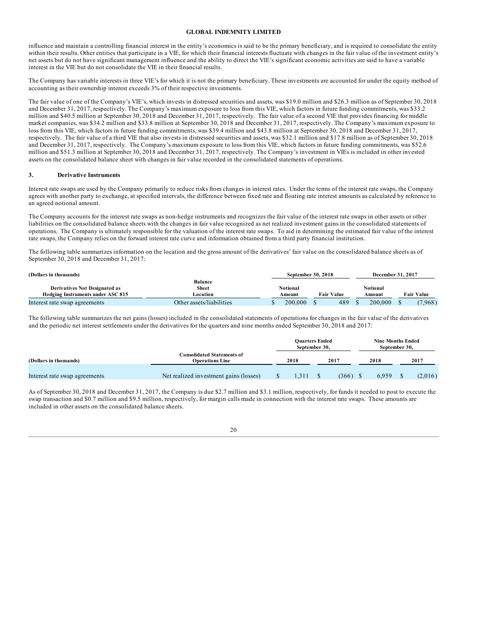influence and maintain a controlling financial interest in the entity's economics is said to be the primary beneficiary, and is required to consolidate the entity within their results. Other entities that participate in a VIE, for which their financial interests fluctuate with changes in the fair value of the investment entity's net assets but do not have significant management influence and the ability to direct the VIE's significant economic activities are said to have a variable interest in the VIE but do not consolidate the VIE in their financial results.

The Company has variable interests in three VIE's for which it is not the primary beneficiary. These investments are accounted for under the equity method of accounting as their ownership interest exceeds 3% of their respective investments.

The fair value of one of the Company's VIE's, which invests in distressed securities and assets, was \$19.0 million and \$26.3 million as of September 30, 2018 and December 31, 2017, respectively. The Company's maximum exposure to loss from this VIE, which factors in future funding commitments, was \$33.2 million and \$40.5 million at September 30, 2018 and December 31, 2017, respectively. The fair value of a second VIE that provides financing for middle market companies, was \$34.2 million and \$33.8 million at September 30, 2018 and December 31, 2017, respectively. The Company's maximum exposure to loss from this VIE, which factors in future funding commitments, was \$39.4 million and \$43.8 million at September 30, 2018 and December 31, 2017, respectively. The fair value of a third VIE that also invests in distressed securities and assets, was \$32.1 million and \$17.8 million as of September 30, 2018 and December 31, 2017, respectively. The Company's maximum exposure to loss from this VIE, which factors in future funding commitments, was \$52.6 million and \$51.3 million at September 30, 2018 and December 31, 2017, respectively. The Company's investment in VIEs is included in other invested assets on the consolidated balance sheet with changes in fair value recorded in the consolidated statements of operations.

#### **3. Derivative Instruments**

Interest rate swaps are used by the Company primarily to reduce risks from changes in interest rates. Under the terms of the interest rate swaps, the Company agrees with another party to exchange, at specified intervals, the difference between fixed rate and floating rate interest amounts as calculated by reference to an agreed notional amount.

The Company accounts for the interest rate swaps as non-hedge instruments and recognizes the fair value of the interest rate swaps in other assets or other liabilities on the consolidated balance sheets with the changes in fair value recognized as net realized investment gains in the consolidated statements of operations. The Company is ultimately responsible for the valuation of the interest rate swaps. To aid in determining the estimated fair value of the interest rate swaps, the Company relies on the forward interest rate curve and information obtained from a third party financial institution.

The following table summarizes information on the location and the gross amount of the derivatives' fair value on the consolidated balance sheets as of September 30, 2018 and December 31, 2017:

| (Dollars in thousands)               |                          | September 30, 2018 |                 |  |     |  | December 31, 2017 |  |                   |  |        |  |                   |
|--------------------------------------|--------------------------|--------------------|-----------------|--|-----|--|-------------------|--|-------------------|--|--------|--|-------------------|
|                                      | <b>Balance</b>           |                    |                 |  |     |  |                   |  |                   |  |        |  |                   |
| <b>Derivatives Not Designated as</b> | Sheet                    |                    | <b>Notional</b> |  |     |  | Notional          |  |                   |  |        |  |                   |
| Hedging Instruments under ASC 815    | Location                 |                    | Amount          |  |     |  |                   |  | <b>Fair Value</b> |  | Amount |  | <b>Fair Value</b> |
| Interest rate swap agreements        | Other assets/liabilities |                    | 200,000         |  | 489 |  | 200,000           |  | (7,968)           |  |        |  |                   |

The following table summarizes the net gains (losses) included in the consolidated statements of operations for changes in the fair value of the derivatives and the periodic net interest settlements under the derivatives for the quarters and nine months ended September 30, 2018 and 2017:

|                               |                                                             | <b>Quarters Ended</b><br>September 30. |       |  | <b>Nine Months Ended</b><br>September 30. |  |         |  |
|-------------------------------|-------------------------------------------------------------|----------------------------------------|-------|--|-------------------------------------------|--|---------|--|
| (Dollars in thousands)        | <b>Consolidated Statements of</b><br><b>Operations Line</b> | 2018                                   | 2017  |  | 2018                                      |  | 2017    |  |
| Interest rate swap agreements | Net realized investment gains (losses)                      | .311                                   | (366) |  | 6.959                                     |  | (2,016) |  |

As of September 30, 2018 and December 31, 2017, the Company is due \$2.7 million and \$3.1 million, respectively, for funds it needed to post to execute the swap transaction and \$0.7 million and \$9.5 million, respectively, for margin calls made in connection with the interest rate swaps. These amounts are included in other assets on the consolidated balance sheets.

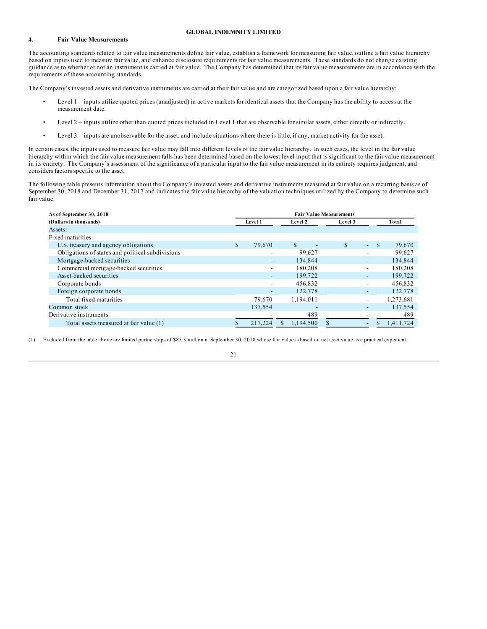#### **4. Fair Value Measurements**

The accounting standards related to fair value measurements define fair value, establish a framework for measuring fair value, outline a fair value hierarchy based on inputs used to measure fair value, and enhance disclosure requirements for fair value measurements. These standards do not change existing guidance as to whether or not an instrument is carried at fair value. The Company has determined that its fair value measurements are in accordance with the requirements of these accounting standards.

The Company's invested assets and derivative instruments are carried at their fair value and are categorized based upon a fair value hierarchy:

- Level 1 inputs utilize quoted prices (unadjusted) in active markets for identical assets that the Company has the ability to access at the measurement date.
- Level 2 inputs utilize other than quoted prices included in Level 1 that are observable for similar assets, either directly or indirectly.
- Level 3 inputs are unobservable for the asset, and include situations where there is little, if any, market activity for the asset.

In certain cases, the inputs used to measure fair value may fall into different levels of the fair value hierarchy. In such cases, the level in the fair value hierarchy within which the fair value measurement falls has been determined based on the lowest level input that is significant to the fair value measurement in its entirety. The Company's assessment of the significance of a particular input to the fair value measurement in its entirety requires judgment, and considers factors specific to the asset.

The following table presents information about the Company's invested assets and derivative instruments measured at fair value on a recurring basis as of September 30, 2018 and December 31, 2017 and indicates the fair value hierarchy of the valuation techniques utilized by the Company to determine such fair value.

| As of September 30, 2018                         | <b>Fair Value Measurements</b> |                |  |           |    |         |       |           |
|--------------------------------------------------|--------------------------------|----------------|--|-----------|----|---------|-------|-----------|
| (Dollars in thousands)                           |                                | <b>Level 1</b> |  | Level 2   |    | Level 3 |       | Total     |
| Assets:                                          |                                |                |  |           |    |         |       |           |
| Fixed maturities:                                |                                |                |  |           |    |         |       |           |
| U.S. treasury and agency obligations             | \$                             | 79,670         |  | S.        | \$ |         | $- S$ | 79,670    |
| Obligations of states and political subdivisions |                                | -              |  | 99,627    |    |         |       | 99,627    |
| Mortgage-backed securities                       |                                | ۰              |  | 134,844   |    |         |       | 134,844   |
| Commercial mortgage-backed securities            |                                | ٠              |  | 180,208   |    |         |       | 180,208   |
| Asset-backed securities                          |                                | ۰              |  | 199,722   |    |         |       | 199,722   |
| Corporate bonds                                  |                                | -              |  | 456,832   |    |         |       | 456,832   |
| Foreign corporate bonds                          |                                |                |  | 122,778   |    |         |       | 122,778   |
| Total fixed maturities                           |                                | 79,670         |  | 1.194.011 |    |         |       | 1,273,681 |
| Common stock                                     |                                | 137,554        |  |           |    |         |       | 137,554   |
| Derivative instruments                           |                                |                |  | 489       |    |         |       | 489       |
| Total assets measured at fair value (1)          |                                | 217,224        |  | 1,194,500 |    |         |       | 1,411,724 |

(1) Excluded from the table above are limited partnerships of \$85.3 million at September 30, 2018 whose fair value is based on net asset value as a practical expedient.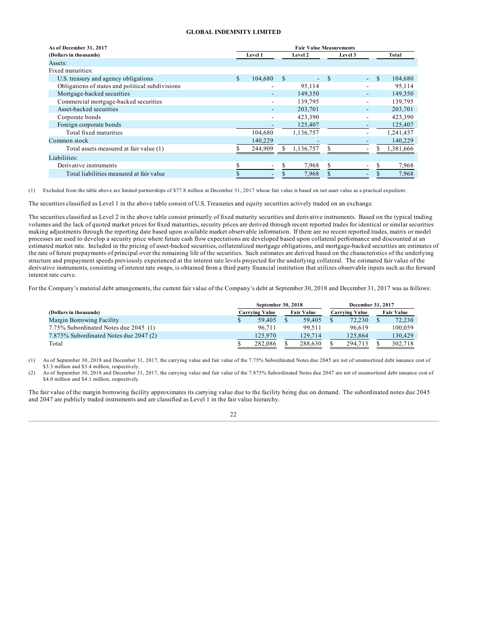| As of December 31, 2017                          | <b>Fair Value Measurements</b> |                          |    |            |              |  |                           |           |  |
|--------------------------------------------------|--------------------------------|--------------------------|----|------------|--------------|--|---------------------------|-----------|--|
| (Dollars in thousands)                           |                                | <b>Level 1</b>           |    | Level 2    | Level 3      |  | Total                     |           |  |
| Assets:                                          |                                |                          |    |            |              |  |                           |           |  |
| Fixed maturities:                                |                                |                          |    |            |              |  |                           |           |  |
| U.S. treasury and agency obligations             | $\mathbb{S}$                   | 104.680                  | -S | <b>TAX</b> | <sup>S</sup> |  | $\omega_{\rm{max}}$<br>-S | 104,680   |  |
| Obligations of states and political subdivisions |                                |                          |    | 95,114     |              |  |                           | 95,114    |  |
| Mortgage-backed securities                       |                                |                          |    | 149,350    |              |  |                           | 149,350   |  |
| Commercial mortgage-backed securities            |                                |                          |    | 139,795    |              |  |                           | 139,795   |  |
| Asset-backed securities                          |                                |                          |    | 203,701    |              |  |                           | 203,701   |  |
| Corporate bonds                                  |                                |                          |    | 423,390    |              |  |                           | 423,390   |  |
| Foreign corporate bonds                          |                                |                          |    | 125,407    |              |  |                           | 125,407   |  |
| Total fixed maturities                           |                                | 104,680                  |    | 1,136,757  |              |  |                           | 1,241,437 |  |
| Common stock                                     |                                | 140,229                  |    |            |              |  |                           | 140,229   |  |
| Total assets measured at fair value (1)          |                                | 244,909                  |    | 1,136,757  |              |  |                           | 1,381,666 |  |
| Liabilities:                                     |                                |                          |    |            |              |  |                           |           |  |
| Derivative instruments                           |                                | $\overline{\phantom{0}}$ |    | 7,968      | S            |  | S                         | 7,968     |  |
| Total liabilities measured at fair value         |                                |                          |    | 7,968      |              |  |                           | 7,968     |  |

(1) Excluded from the table above are limited partnerships of \$77.8 million at December 31, 2017 whose fair value is based on net asset value as a practical expedient.

The securities classified as Level 1 in the above table consist of U.S. Treasuries and equity securities actively traded on an exchange.

The securities classified as Level 2 in the above table consist primarily of fixed maturity securities and derivative instruments. Based on the typical trading volumes and the lack of quoted market prices for fixed maturities, security prices are derived through recent reported trades for identical or similar securities making adjustments through the reporting date based upon available market observable information. If there are no recent reported trades, matrix or model processes are used to develop a security price where future cash flow expectations are developed based upon collateral performance and discounted at an estimated market rate. Included in the pricing of asset-backed securities, collateralized mortgage obligations, and mortgage-backed securities are estimates of the rate of future prepayments of principal over the remaining life of the securities. Such estimates are derived based on the characteristics of the underlying structure and prepayment speeds previously experienced at the interest rate levels projected for the underlying collateral. The estimated fair value of the derivative instruments, consisting of interest rate swaps, is obtained from a third party financial institution that utilizes observable inputs such as the forward interest rate curve.

For the Company's material debt arrangements, the current fair value of the Company's debt at September 30, 2018 and December 31, 2017 was as follows:

|                                        | September 30, 2018                         |  |         |                |         | December 31, 2017 |                   |  |
|----------------------------------------|--------------------------------------------|--|---------|----------------|---------|-------------------|-------------------|--|
| (Dollars in thousands)                 | <b>Fair Value</b><br><b>Carrying Value</b> |  |         | Carrying Value |         |                   | <b>Fair Value</b> |  |
| <b>Margin Borrowing Facility</b>       | 59.405                                     |  | 59,405  |                | 72,230  |                   | 72,230            |  |
| 7.75% Subordinated Notes due 2045 (1)  | 96.711                                     |  | 99.511  |                | 96.619  |                   | 100.059           |  |
| 7.875% Subordinated Notes due 2047 (2) | 125,970                                    |  | 129,714 |                | 125,864 |                   | 130,429           |  |
| Total                                  | 282,086                                    |  | 288.630 |                | 294.713 |                   | 302.718           |  |

(1) As of September 30, 2018 and December 31, 2017, the carrying value and fair value of the 7.75% Subordinated Notes due 2045 are net of unamortized debt issuance cost of \$3.3 million and \$3.4 million, respectively.

(2) As of September 30, 2018 and December 31, 2017, the carrying value and fair value of the 7.875% Subordinated Notes due 2047 are net of unamortized debt issuance cost of \$4.0 million and \$4.1 million, respectively.

The fair value of the margin borrowing facility approximates its carrying value due to the facility being due on demand. The subordinated notes due 2045 and 2047 are publicly traded instruments and are classified as Level 1 in the fair value hierarchy.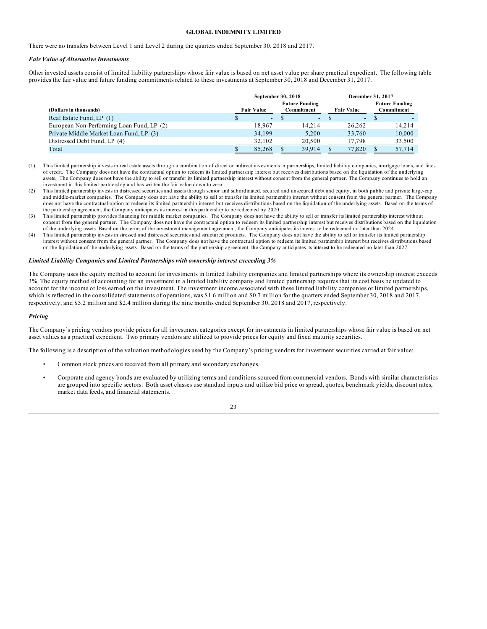There were no transfers between Level 1 and Level 2 during the quarters ended September 30, 2018 and 2017.

#### *Fair Value of Alternative Investments*

Other invested assets consist of limited liability partnerships whose fair value is based on net asset value per share practical expedient. The following table provides the fair value and future funding commitments related to these investments at September 30, 2018 and December 31, 2017.

|                                           | September 30, 2018 |  |                                                          | December 31, 2017 |        |                                     |        |  |  |
|-------------------------------------------|--------------------|--|----------------------------------------------------------|-------------------|--------|-------------------------------------|--------|--|--|
| (Dollars in thousands)                    | <b>Fair Value</b>  |  | <b>Future Funding</b><br><b>Fair Value</b><br>Commitment |                   |        | <b>Future Funding</b><br>Commitment |        |  |  |
| Real Estate Fund, LP (1)                  | ٠                  |  | ÷.                                                       |                   | $\sim$ |                                     |        |  |  |
| European Non-Performing Loan Fund, LP (2) | 18.967             |  | 14.214                                                   |                   | 26.262 |                                     | 14.214 |  |  |
| Private Middle Market Loan Fund, LP (3)   | 34,199             |  | 5.200                                                    |                   | 33,760 |                                     | 10,000 |  |  |
| Distressed Debt Fund, LP (4)              | 32,102             |  | 20,500                                                   |                   | 17.798 |                                     | 33,500 |  |  |
| Total                                     | 85,268             |  | 39.914                                                   |                   | 77.820 |                                     | 57,714 |  |  |

- (1) This limited partnership invests in real estate assets through a combination of direct or indirect investments in partnerships, limited liability companies, mortgage loans, and lines of credit. The Company does not have the contractual option to redeem its limited partnership interest but receives distributions based on the liquidation of the underlying assets. The Company does not have the ability to sell or transfer its limited partnership interest without consent from the general partner. The Company continues to hold an investment in this limited partnership and has written the fair value down to zero.
- (2) This limited partnership invests in distressed securities and assets through senior and subordinated, secured and unsecured debt and equity, in both public and private large-cap and middle-market companies. The Company does not have the ability to sell or transfer its limited partnership interest without consent from the general partner. The Company does not have the contractual option to redeem its limited partnership interest but receives distributions based on the liquidation of the underlying assets. Based on the terms of the partnership agreement, the Company anticipates its interest in this partnership to be redeemed by 2020.
- (3) This limited partnership provides financing for middle market companies. The Company does not have the ability to sell or transfer its limited partnership interest without consent from the general partner. The Company does not have the contractual option to redeem its limited partnership interest but receives distributions based on the liquidation of the underlying assets. Based on the terms of the investment management agreement, the Company anticipates its interest to be redeemed no later than 2024.
- (4) This limited partnership invests in stressed and distressed securities and structured products. The Company does not have the ability to sell or transfer its limited partnership interest without consent from the general partner. The Company does not have the contractual option to redeem its limited partnership interest but receives distributions based on the liquidation of the underlying assets. Based on the terms of the partnership agreement, the Company anticipates its interest to be redeemed no later than 2027.

#### *Limited Liability Companies and Limited Partnerships with ownership interest exceeding 3%*

The Company uses the equity method to account for investments in limited liability companies and limited partnerships where its ownership interest exceeds 3%. The equity method of accounting for an investment in a limited liability company and limited partnership requires that its cost basis be updated to account for the income or loss earned on the investment. The investment income associated with these limited liability companies or limited partnerships, which is reflected in the consolidated statements of operations, was \$1.6 million and \$0.7 million for the quarters ended September 30, 2018 and 2017, respectively, and \$5.2 million and \$2.4 million during the nine months ended September 30, 2018 and 2017, respectively.

#### *Pricing*

The Company's pricing vendors provide prices for all investment categories except for investments in limited partnerships whose fair value is based on net asset values as a practical expedient. Two primary vendors are utilized to provide prices for equity and fixed maturity securities.

The following is a description of the valuation methodologies used by the Company's pricing vendors for investment securities carried at fair value:

- Common stock prices are received from all primary and secondary exchanges.
- Corporate and agency bonds are evaluated by utilizing terms and conditions sourced from commercial vendors. Bonds with similar characteristics are grouped into specific sectors. Both asset classes use standard inputs and utilize bid price or spread, quotes, benchmark yields, discount rates, market data feeds, and financial statements.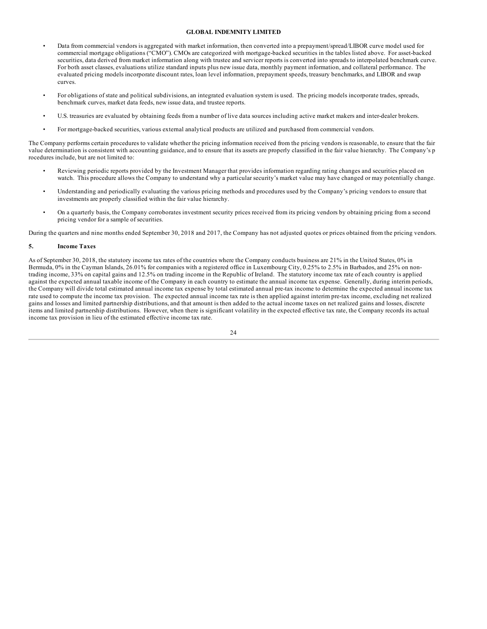- Data from commercial vendors is aggregated with market information, then converted into a prepayment/spread/LIBOR curve model used for commercial mortgage obligations ("CMO"). CMOs are categorized with mortgage-backed securities in the tables listed above. For asset-backed securities, data derived from market information along with trustee and servicer reports is converted into spreads to interpolated benchmark curve. For both asset classes, evaluations utilize standard inputs plus new issue data, monthly payment information, and collateral performance. The evaluated pricing models incorporate discount rates, loan level information, prepayment speeds, treasury benchmarks, and LIBOR and swap curves.
- For obligations of state and political subdivisions, an integrated evaluation system is used. The pricing models incorporate trades, spreads, benchmark curves, market data feeds, new issue data, and trustee reports.
- U.S. treasuries are evaluated by obtaining feeds from a number of live data sources including active market makers and inter-dealer brokers.
- For mortgage-backed securities, various external analytical products are utilized and purchased from commercial vendors.

The Company performs certain procedures to validate whether the pricing information received from the pricing vendors is reasonable, to ensure that the fair value determination is consistent with accounting guidance, and to ensure that its assets are properly classified in the fair value hierarchy. The Company's p rocedures include, but are not limited to:

- Reviewing periodic reports provided by the Investment Manager that provides information regarding rating changes and securities placed on watch. This procedure allows the Company to understand why a particular security's market value may have changed or may potentially change.
- Understanding and periodically evaluating the various pricing methods and procedures used by the Company's pricing vendors to ensure that investments are properly classified within the fair value hierarchy.
- On a quarterly basis, the Company corroborates investment security prices received from its pricing vendors by obtaining pricing from a second pricing vendor for a sample of securities.

During the quarters and nine months ended September 30, 2018 and 2017, the Company has not adjusted quotes or prices obtained from the pricing vendors.

#### **5. Income Taxes**

As of September 30, 2018, the statutory income tax rates of the countries where the Company conducts business are 21% in the United States, 0% in Bermuda, 0% in the Cayman Islands, 26.01% for companies with a registered office in Luxembourg City, 0.25% to 2.5% in Barbados, and 25% on nontrading income, 33% on capital gains and 12.5% on trading income in the Republic of Ireland. The statutory income tax rate of each country is applied against the expected annual taxable income of the Company in each country to estimate the annual income tax expense. Generally, during interim periods, the Company will divide total estimated annual income tax expense by total estimated annual pre-tax income to determine the expected annual income tax rate used to compute the income tax provision. The expected annual income tax rate is then applied against interim pre-tax income, excluding net realized gains and losses and limited partnership distributions, and that amount is then added to the actual income taxes on net realized gains and losses, discrete items and limited partnership distributions. However, when there is significant volatility in the expected effective tax rate, the Company records its actual income tax provision in lieu of the estimated effective income tax rate.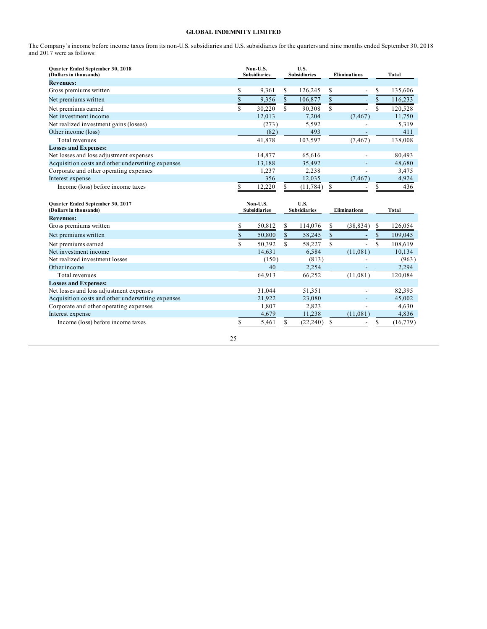The Company's income before income taxes from its non-U.S. subsidiaries and U.S. subsidiaries for the quarters and nine months ended September 30, 2018 and 2017 were as follows:

| Quarter Ended September 30, 2018<br>(Dollars in thousands) | Non-U.S.<br><b>Subsidiaries</b> |                                 |     | U.S.<br><b>Subsidiaries</b><br><b>Eliminations</b> |    |                     | Total |              |
|------------------------------------------------------------|---------------------------------|---------------------------------|-----|----------------------------------------------------|----|---------------------|-------|--------------|
| <b>Revenues:</b>                                           |                                 |                                 |     |                                                    |    |                     |       |              |
| Gross premiums written                                     | \$                              | 9,361                           | \$  | 126,245                                            | \$ | L,                  | \$    | 135,606      |
| Net premiums written                                       | \$                              | 9,356                           | \$  | 106,877                                            | \$ | ÷,                  | \$    | 116,233      |
| Net premiums earned                                        | \$                              | 30,220                          | \$. | 90,308                                             | S  | $\overline{a}$      | \$    | 120,528      |
| Net investment income                                      |                                 | 12,013                          |     | 7,204                                              |    | (7, 467)            |       | 11,750       |
| Net realized investment gains (losses)                     |                                 | (273)                           |     | 5,592                                              |    |                     |       | 5,319        |
| Other income (loss)                                        |                                 | (82)                            |     | 493                                                |    |                     |       | 411          |
| Total revenues                                             |                                 | 41,878                          |     | 103,597                                            |    | (7, 467)            |       | 138,008      |
| <b>Losses and Expenses:</b>                                |                                 |                                 |     |                                                    |    |                     |       |              |
| Net losses and loss adjustment expenses                    |                                 | 14,877                          |     | 65,616                                             |    |                     |       | 80,493       |
| Acquisition costs and other underwriting expenses          |                                 | 13,188                          |     | 35,492                                             |    |                     |       | 48,680       |
| Corporate and other operating expenses                     |                                 | 1,237                           |     | 2,238                                              |    |                     |       | 3,475        |
| Interest expense                                           |                                 | 356                             |     | 12,035                                             |    | (7, 467)            |       | 4,924        |
| Income (loss) before income taxes                          | \$                              | 12,220                          | \$  | (11, 784)                                          | \$ |                     | \$    | 436          |
|                                                            |                                 |                                 |     |                                                    |    |                     |       |              |
|                                                            |                                 |                                 |     |                                                    |    |                     |       |              |
| Quarter Ended September 30, 2017<br>(Dollars in thousands) |                                 | Non-U.S.<br><b>Subsidiaries</b> |     | U.S.<br><b>Subsidiaries</b>                        |    | <b>Eliminations</b> |       | <b>Total</b> |
| <b>Revenues:</b>                                           |                                 |                                 |     |                                                    |    |                     |       |              |
| Gross premiums written                                     | \$                              | 50,812                          | \$  | 114,076                                            | \$ | (38, 834)           | S     | 126,054      |
| Net premiums written                                       | \$                              | 50,800                          | \$  | 58,245                                             | \$ |                     | \$    | 109,045      |
| Net premiums earned                                        | \$                              | 50,392                          | \$  | 58,227                                             | \$ |                     | \$    | 108,619      |
| Net investment income                                      |                                 | 14,631                          |     | 6,584                                              |    | (11,081)            |       | 10,134       |
| Net realized investment losses                             |                                 | (150)                           |     | (813)                                              |    |                     |       | (963)        |
| Other income                                               |                                 | 40                              |     | 2,254                                              |    |                     |       | 2,294        |
| Total revenues                                             |                                 | 64,913                          |     | 66,252                                             |    | (11,081)            |       | 120,084      |
| <b>Losses and Expenses:</b>                                |                                 |                                 |     |                                                    |    |                     |       |              |
| Net losses and loss adjustment expenses                    |                                 | 31,044                          |     | 51,351                                             |    |                     |       | 82,395       |
| Acquisition costs and other underwriting expenses          |                                 | 21,922                          |     | 23,080                                             |    |                     |       | 45,002       |
| Corporate and other operating expenses                     |                                 | 1,807                           |     | 2,823                                              |    |                     |       | 4,630        |

Income (loss) before income taxes  $\frac{\$}{\$}$   $\frac{5,461}{\$}$   $\frac{\$}{\$}$   $\frac{(22,240)}{\$}$   $\frac{\$}{\$}$   $\frac{(16,779)}{}$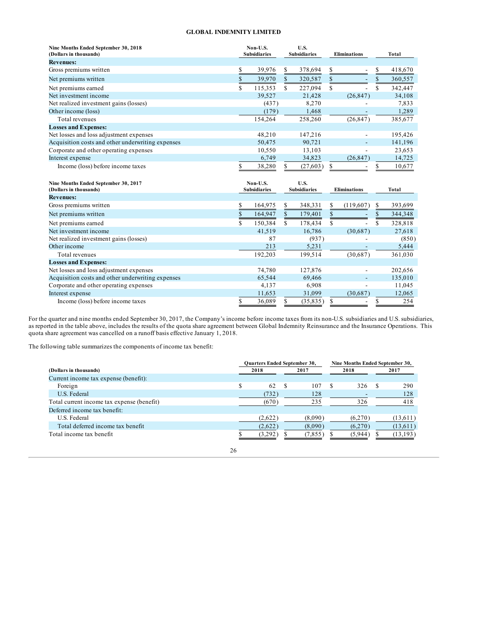| Nine Months Ended September 30, 2018<br>(Dollars in thousands) | Non-U.S.<br>U.S.<br><b>Subsidiaries</b><br><b>Subsidiaries</b> |         | <b>Eliminations</b> |           |   | Total     |    |         |
|----------------------------------------------------------------|----------------------------------------------------------------|---------|---------------------|-----------|---|-----------|----|---------|
| <b>Revenues:</b>                                               |                                                                |         |                     |           |   |           |    |         |
| Gross premiums written                                         |                                                                | 39,976  |                     | 378,694   | S |           | S. | 418,670 |
| Net premiums written                                           |                                                                | 39,970  |                     | 320,587   |   |           |    | 360,557 |
| Net premiums earned                                            |                                                                | 115,353 | S.                  | 227,094   | S | ۰         | S  | 342,447 |
| Net investment income                                          |                                                                | 39,527  |                     | 21,428    |   | (26, 847) |    | 34,108  |
| Net realized investment gains (losses)                         |                                                                | (437)   |                     | 8,270     |   |           |    | 7,833   |
| Other income (loss)                                            |                                                                | (179)   |                     | 1,468     |   |           |    | 1,289   |
| Total revenues                                                 |                                                                | 154,264 |                     | 258,260   |   | (26, 847) |    | 385,677 |
| <b>Losses and Expenses:</b>                                    |                                                                |         |                     |           |   |           |    |         |
| Net losses and loss adjustment expenses                        |                                                                | 48,210  |                     | 147,216   |   |           |    | 195,426 |
| Acquisition costs and other underwriting expenses              |                                                                | 50,475  |                     | 90,721    |   |           |    | 141,196 |
| Corporate and other operating expenses                         |                                                                | 10,550  |                     | 13,103    |   |           |    | 23,653  |
| Interest expense                                               |                                                                | 6,749   |                     | 34,823    |   | (26, 847) |    | 14,725  |
| Income (loss) before income taxes                              |                                                                | 38,280  |                     | (27, 603) |   |           |    | 10,677  |

| Nine Months Ended September 30, 2017<br>(Dollars in thousands) | Non-U.S.<br><b>Subsidiaries</b> |   | U.S.<br><b>Subsidiaries</b> | <b>Eliminations</b> |                          |   | Total   |
|----------------------------------------------------------------|---------------------------------|---|-----------------------------|---------------------|--------------------------|---|---------|
| <b>Revenues:</b>                                               |                                 |   |                             |                     |                          |   |         |
| Gross premiums written                                         | 164,975                         |   | 348,331                     | S                   | (119,607)                | S | 393,699 |
| Net premiums written                                           | 164,947                         |   | 179,401                     |                     |                          |   | 344,348 |
| Net premiums earned                                            | 150.384                         | S | 178,434                     | S                   | $\overline{\phantom{a}}$ | S | 328,818 |
| Net investment income                                          | 41,519                          |   | 16,786                      |                     | (30,687)                 |   | 27,618  |
| Net realized investment gains (losses)                         | 87                              |   | (937)                       |                     |                          |   | (850)   |
| Other income                                                   | 213                             |   | 5,231                       |                     |                          |   | 5,444   |
| Total revenues                                                 | 192,203                         |   | 199,514                     |                     | (30,687)                 |   | 361,030 |
| <b>Losses and Expenses:</b>                                    |                                 |   |                             |                     |                          |   |         |
| Net losses and loss adjustment expenses                        | 74,780                          |   | 127,876                     |                     |                          |   | 202,656 |
| Acquisition costs and other underwriting expenses              | 65,544                          |   | 69,466                      |                     |                          |   | 135,010 |
| Corporate and other operating expenses                         | 4,137                           |   | 6,908                       |                     |                          |   | 11,045  |
| Interest expense                                               | 11,653                          |   | 31,099                      |                     | (30.687)                 |   | 12,065  |
| Income (loss) before income taxes                              | 36,089                          |   | (35, 835)                   |                     |                          |   | 254     |

For the quarter and nine months ended September 30, 2017, the Company's income before income taxes from its non-U.S. subsidiaries and U.S. subsidiaries, as reported in the table above, includes the results of the quota share agreement between Global Indemnity Reinsurance and the Insurance Operations. This quota share agreement was cancelled on a runoff basis effective January 1, 2018.

The following table summarizes the components of income tax benefit:

|                                            |  | <b>Quarters Ended September 30,</b> |      |          | Nine Months Ended September 30, |                          |      |           |
|--------------------------------------------|--|-------------------------------------|------|----------|---------------------------------|--------------------------|------|-----------|
| (Dollars in thousands)                     |  | 2018                                | 2017 |          | 2018                            |                          | 2017 |           |
| Current income tax expense (benefit):      |  |                                     |      |          |                                 |                          |      |           |
| Foreign                                    |  | 62                                  | £.   | 107      | S                               | 326                      |      | 290       |
| U.S. Federal                               |  | (732)                               |      | 128      |                                 | $\overline{\phantom{a}}$ |      | 128       |
| Total current income tax expense (benefit) |  | (670)                               |      | 235      |                                 | 326                      |      | 418       |
| Deferred income tax benefit:               |  |                                     |      |          |                                 |                          |      |           |
| U.S. Federal                               |  | (2,622)                             |      | (8,090)  |                                 | (6,270)                  |      | (13,611)  |
| Total deferred income tax benefit          |  | (2,622)                             |      | (8,090)  |                                 | (6,270)                  |      | (13,611)  |
| Total income tax benefit                   |  | (3,292)                             |      | (7, 855) |                                 | (5,944)                  |      | (13, 193) |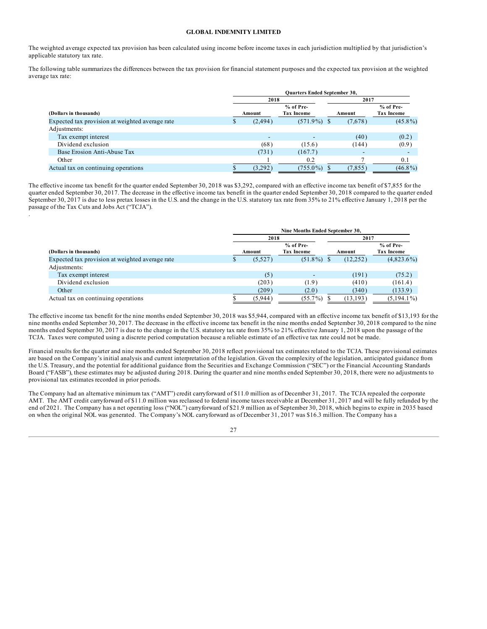The weighted average expected tax provision has been calculated using income before income taxes in each jurisdiction multiplied by that jurisdiction's applicable statutory tax rate.

The following table summarizes the differences between the tax provision for financial statement purposes and the expected tax provision at the weighted average tax rate:

|                                                 |  | <b>Ouarters Ended September 30,</b> |                                  |        |                          |                          |  |  |  |  |  |  |
|-------------------------------------------------|--|-------------------------------------|----------------------------------|--------|--------------------------|--------------------------|--|--|--|--|--|--|
|                                                 |  | 2018                                |                                  |        | 2017                     |                          |  |  |  |  |  |  |
| (Dollars in thousands)                          |  | Amount                              | $%$ of Pre-<br><b>Tax Income</b> | Amount |                          | % of Pre-<br>Tax Income  |  |  |  |  |  |  |
| Expected tax provision at weighted average rate |  | (2, 494)                            | $(571.9\%)$ \$                   |        | (7,678)                  | $(45.8\%)$               |  |  |  |  |  |  |
| Adjustments:                                    |  |                                     |                                  |        |                          |                          |  |  |  |  |  |  |
| Tax exempt interest                             |  | $\overline{\phantom{a}}$            |                                  |        | (40)                     | (0.2)                    |  |  |  |  |  |  |
| Dividend exclusion                              |  | (68)                                | (15.6)                           |        | (144)                    | (0.9)                    |  |  |  |  |  |  |
| Base Erosion Anti-Abuse Tax                     |  | (731)                               | (167.7)                          |        | $\overline{\phantom{0}}$ | $\overline{\phantom{a}}$ |  |  |  |  |  |  |
| Other                                           |  |                                     | 0.2                              |        |                          | 0.1                      |  |  |  |  |  |  |
| Actual tax on continuing operations             |  | (3,292)                             | $(755.0\%)$ \$                   |        | (7, 855)                 | $(46.8\%)$               |  |  |  |  |  |  |

The effective income tax benefit for the quarter ended September 30, 2018 was \$3,292, compared with an effective income tax benefit of \$7,855 for the quarter ended September 30, 2017. The decrease in the effective income tax benefit in the quarter ended September 30, 2018 compared to the quarter ended September 30, 2017 is due to less pretax losses in the U.S. and the change in the U.S. statutory tax rate from 35% to 21% effective January 1, 2018 per the passage of the Tax Cuts and Jobs Act ("TCJA").

.

|                                                 | Nine Months Ended September 30, |                                  |        |           |                                  |  |  |  |  |  |  |  |
|-------------------------------------------------|---------------------------------|----------------------------------|--------|-----------|----------------------------------|--|--|--|--|--|--|--|
|                                                 | 2018                            |                                  |        | 2017      |                                  |  |  |  |  |  |  |  |
| (Dollars in thousands)                          | Amount                          | $%$ of Pre-<br><b>Tax Income</b> | Amount |           | $%$ of Pre-<br><b>Tax Income</b> |  |  |  |  |  |  |  |
| Expected tax provision at weighted average rate | (5,527)                         | $(51.8\%)$ \$                    |        | (12, 252) | $(4,823.6\%)$                    |  |  |  |  |  |  |  |
| Adjustments:                                    |                                 |                                  |        |           |                                  |  |  |  |  |  |  |  |
| Tax exempt interest                             | (5)                             |                                  |        | (191)     | (75.2)                           |  |  |  |  |  |  |  |
| Dividend exclusion                              | (203)                           | (1.9)                            |        | (410)     | (161.4)                          |  |  |  |  |  |  |  |
| Other                                           | (209)                           | (2.0)                            |        | (340)     | (133.9)                          |  |  |  |  |  |  |  |
| Actual tax on continuing operations             | (5,944)                         | $(55.7\%)$ \$                    |        | (13, 193) | $(5,194.1\%)$                    |  |  |  |  |  |  |  |

The effective income tax benefit for the nine months ended September 30, 2018 was \$5,944, compared with an effective income tax benefit of \$13,193 for the nine months ended September 30, 2017. The decrease in the effective income tax benefit in the nine months ended September 30, 2018 compared to the nine months ended September 30, 2017 is due to the change in the U.S. statutory tax rate from 35% to 21% effective January 1, 2018 upon the passage of the TCJA. Taxes were computed using a discrete period computation because a reliable estimate of an effective tax rate could not be made.

Financial results for the quarter and nine months ended September 30, 2018 reflect provisional tax estimates related to the TCJA. These provisional estimates are based on the Company's initial analysis and current interpretation of the legislation. Given the complexity of the legislation, anticipated guidance from the U.S. Treasury, and the potential for additional guidance from the Securities and Exchange Commission ("SEC") or the Financial Accounting Standards Board ("FASB"), these estimates may be adjusted during 2018. During the quarter and nine months ended September 30, 2018, there were no adjustments to provisional tax estimates recorded in prior periods.

The Company had an alternative minimum tax ("AMT") credit carryforward of \$11.0 million as of December 31, 2017. The TCJA repealed the corporate AMT. The AMT credit carryforward of \$11.0 million was reclassed to federal income taxes receivable at December 31, 2017 and will be fully refunded by the end of 2021. The Company has a net operating loss ("NOL") carryforward of \$21.9 million as of September 30, 2018, which begins to expire in 2035 based on when the original NOL was generated. The Company's NOL carryforward as of December 31, 2017 was \$16.3 million. The Company has a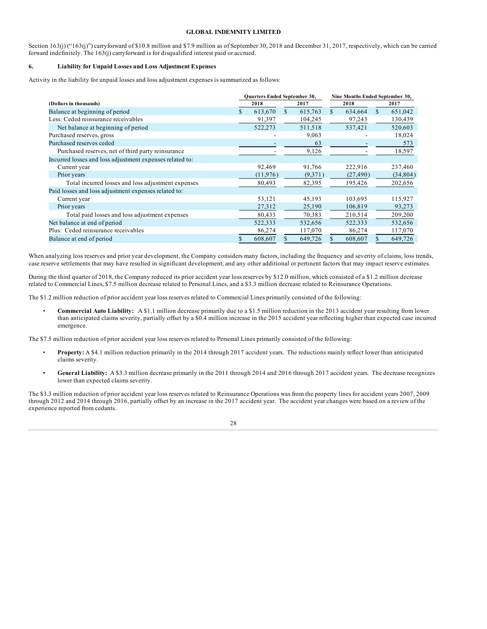Section 163(j) ("163(j)") carryforward of \$10.8 million and \$7.9 million as of September 30, 2018 and December 31, 2017, respectively, which can be carried forward indefinitely. The 163(j) carryforward is for disqualified interest paid or accrued.

#### **6. Liability for Unpaid Losses and Loss Adjustment Expenses**

Activity in the liability for unpaid losses and loss adjustment expenses is summarized as follows:

|                                                          | Quarters Ended September 30, |           |      |         |      | Nine Months Ended September 30, |          |           |      |  |
|----------------------------------------------------------|------------------------------|-----------|------|---------|------|---------------------------------|----------|-----------|------|--|
| (Dollars in thousands)                                   |                              | 2018      | 2017 |         | 2018 |                                 |          |           | 2017 |  |
| Balance at beginning of period                           | \$                           | 613,670   | \$   | 615,763 | \$.  | 634,664                         | <b>S</b> | 651,042   |      |  |
| Less: Ceded reinsurance receivables                      |                              | 91,397    |      | 104,245 |      | 97,243                          |          | 130,439   |      |  |
| Net balance at beginning of period                       |                              | 522,273   |      | 511,518 |      | 537,421                         |          | 520,603   |      |  |
| Purchased reserves, gross                                |                              |           |      | 9,063   |      |                                 |          | 18,024    |      |  |
| Purchased reserves ceded                                 |                              |           |      | 63      |      |                                 |          | 573       |      |  |
| Purchased reserves, net of third party reinsurance       |                              |           |      | 9,126   |      |                                 |          | 18,597    |      |  |
| Incurred losses and loss adjustment expenses related to: |                              |           |      |         |      |                                 |          |           |      |  |
| Current year                                             |                              | 92,469    |      | 91,766  |      | 222,916                         |          | 237,460   |      |  |
| Prior years                                              |                              | (11, 976) |      | (9,371) |      | (27, 490)                       |          | (34, 804) |      |  |
| Total incurred losses and loss adjustment expenses       |                              | 80,493    |      | 82,395  |      | 195,426                         |          | 202,656   |      |  |
| Paid losses and loss adjustment expenses related to:     |                              |           |      |         |      |                                 |          |           |      |  |
| Current year                                             |                              | 53,121    |      | 45,193  |      | 103,695                         |          | 115,927   |      |  |
| Prior years                                              |                              | 27,312    |      | 25,190  |      | 106,819                         |          | 93,273    |      |  |
| Total paid losses and loss adjustment expenses           |                              | 80,433    |      | 70,383  |      | 210,514                         |          | 209,200   |      |  |
| Net balance at end of period                             |                              | 522,333   |      | 532,656 |      | 522,333                         |          | 532,656   |      |  |
| Plus: Ceded reinsurance receivables                      |                              | 86,274    |      | 117,070 |      | 86,274                          |          | 117,070   |      |  |
| Balance at end of period                                 |                              | 608,607   | \$.  | 649,726 | \$   | 608,607                         |          | 649,726   |      |  |

When analyzing loss reserves and prior year development, the Company considers many factors, including the frequency and severity of claims, loss trends, case reserve settlements that may have resulted in significant development, and any other additional or pertinent factors that may impact reserve estimates.

During the third quarter of 2018, the Company reduced its prior accident year loss reserves by \$12.0 million, which consisted of a \$1.2 million decrease related to Commercial Lines, \$7.5 million decrease related to Personal Lines, and a \$3.3 million decrease related to Reinsurance Operations.

The \$1.2 million reduction of prior accident year loss reserves related to Commercial Lines primarily consisted of the following:

• **Commercial Auto Liability:** A \$1.1 million decrease primarily due to a \$1.5 million reduction in the 2013 accident year resulting from lower than anticipated claims severity, partially offset by a \$0.4 million increase in the 2015 accident year reflecting higher than expected case incurred emergence.

The \$7.5 million reduction of prior accident year loss reserves related to Personal Lines primarily consisted of the following:

- **Property:** A \$4.1 million reduction primarily in the 2014 through 2017 accident years. The reductions mainly reflect lower than anticipated claims severity.
- **General Liability:** A \$3.3 million decrease primarily in the 2011 through 2014 and 2016 through 2017 accident years. The decrease recognizes lower than expected claims severity.

The \$3.3 million reduction of prior accident year loss reserves related to Reinsurance Operations was from the property lines for accident years 2007, 2009 through 2012 and 2014 through 2016, partially offset by an increase in the 2017 accident year. The accident year changes were based on a review of the experience reported from cedants.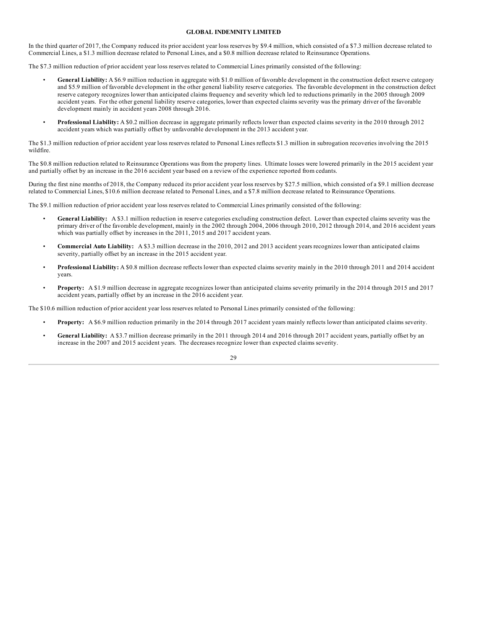In the third quarter of 2017, the Company reduced its prior accident year loss reserves by \$9.4 million, which consisted of a \$7.3 million decrease related to Commercial Lines, a \$1.3 million decrease related to Personal Lines, and a \$0.8 million decrease related to Reinsurance Operations.

The \$7.3 million reduction of prior accident year loss reserves related to Commercial Lines primarily consisted of the following:

- **General Liability:** A \$6.9 million reduction in aggregate with \$1.0 million of favorable development in the construction defect reserve category and \$5.9 million of favorable development in the other general liability reserve categories. The favorable development in the construction defect reserve category recognizes lower than anticipated claims frequency and severity which led to reductions primarily in the 2005 through 2009 accident years. For the other general liability reserve categories, lower than expected claims severity was the primary driver of the favorable development mainly in accident years 2008 through 2016.
- **Professional Liability:** A \$0.2 million decrease in aggregate primarily reflects lower than expected claims severity in the 2010 through 2012 accident years which was partially offset by unfavorable development in the 2013 accident year.

The \$1.3 million reduction of prior accident year loss reserves related to Personal Lines reflects \$1.3 million in subrogation recoveries involving the 2015 wildfire.

The \$0.8 million reduction related to Reinsurance Operations was from the property lines. Ultimate losses were lowered primarily in the 2015 accident year and partially offset by an increase in the 2016 accident year based on a review of the experience reported from cedants.

During the first nine months of 2018, the Company reduced its prior accident year loss reserves by \$27.5 million, which consisted of a \$9.1 million decrease related to Commercial Lines, \$10.6 million decrease related to Personal Lines, and a \$7.8 million decrease related to Reinsurance Operations.

The \$9.1 million reduction of prior accident year loss reserves related to Commercial Lines primarily consisted of the following:

- **General Liability:** A \$3.1 million reduction in reserve categories excluding construction defect. Lower than expected claims severity was the primary driver of the favorable development, mainly in the 2002 through 2004, 2006 through 2010, 2012 through 2014, and 2016 accident years which was partially offset by increases in the 2011, 2015 and 2017 accident years.
- **Commercial Auto Liability:** A \$3.3 million decrease in the 2010, 2012 and 2013 accident years recognizes lower than anticipated claims severity, partially offset by an increase in the 2015 accident year.
- **Professional Liability:** A \$0.8 million decrease reflects lower than expected claims severity mainly in the 2010 through 2011 and 2014 accident years.
- **Property:** A \$1.9 million decrease in aggregate recognizes lower than anticipated claims severity primarily in the 2014 through 2015 and 2017 accident years, partially offset by an increase in the 2016 accident year.

The \$10.6 million reduction of prior accident year loss reserves related to Personal Lines primarily consisted of the following:

- **Property:** A \$6.9 million reduction primarily in the 2014 through 2017 accident years mainly reflects lower than anticipated claims severity.
- **General Liability:** A \$3.7 million decrease primarily in the 2011 through 2014 and 2016 through 2017 accident years, partially offset by an increase in the 2007 and 2015 accident years. The decreases recognize lower than expected claims severity.

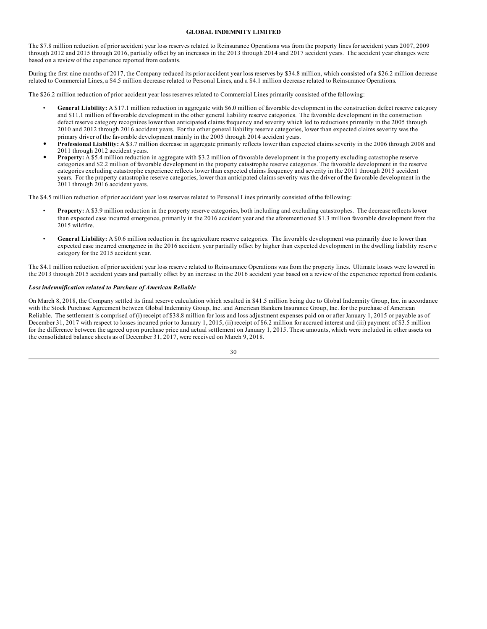The \$7.8 million reduction of prior accident year loss reserves related to Reinsurance Operations was from the property lines for accident years 2007, 2009 through 2012 and 2015 through 2016, partially offset by an increases in the 2013 through 2014 and 2017 accident years. The accident year changes were based on a review of the experience reported from cedants.

During the first nine months of 2017, the Company reduced its prior accident year loss reserves by \$34.8 million, which consisted of a \$26.2 million decrease related to Commercial Lines, a \$4.5 million decrease related to Personal Lines, and a \$4.1 million decrease related to Reinsurance Operations.

The \$26.2 million reduction of prior accident year loss reserves related to Commercial Lines primarily consisted of the following:

- **General Liability:** A \$17.1 million reduction in aggregate with \$6.0 million of favorable development in the construction defect reserve category and \$11.1 million of favorable development in the other general liability reserve categories. The favorable development in the construction defect reserve category recognizes lower than anticipated claims frequency and severity which led to reductions primarily in the 2005 through 2010 and 2012 through 2016 accident years. For the other general liability reserve categories, lower than expected claims severity was the primary driver of the favorable development mainly in the 2005 through 2014 accident years.
- **Professional Liability:** <sup>A</sup> \$3.7 million decrease in aggregate primarily reflects lower than expected claims severity in the <sup>2006</sup> through <sup>2008</sup> and 2011 through 2012 accident years.
- **Property:** <sup>A</sup> \$5.4 million reduction in aggregate with \$3.2 million of favorable development in the property excluding catastrophe reserve categories and \$2.2 million of favorable development in the property catastrophe reserve categories. The favorable development in the reserve categories excluding catastrophe experience reflects lower than expected claims frequency and severity in the 2011 through 2015 accident years. For the property catastrophe reserve categories, lower than anticipated claims severity was the driver of the favorable development in the 2011 through 2016 accident years.

The \$4.5 million reduction of prior accident year loss reserves related to Personal Lines primarily consisted of the following:

- **Property:** A \$3.9 million reduction in the property reserve categories, both including and excluding catastrophes. The decrease reflects lower than expected case incurred emergence, primarily in the 2016 accident year and the aforementioned \$1.3 million favorable development from the 2015 wildfire.
- **General Liability:** A \$0.6 million reduction in the agriculture reserve categories. The favorable development was primarily due to lower than expected case incurred emergence in the 2016 accident year partially offset by higher than expected development in the dwelling liability reserve category for the 2015 accident year.

The \$4.1 million reduction of prior accident year loss reserve related to Reinsurance Operations was from the property lines. Ultimate losses were lowered in the 2013 through 2015 accident years and partially offset by an increase in the 2016 accident year based on a review of the experience reported from cedants.

#### *Loss indemnification related to Purchase of American Reliable*

On March 8, 2018, the Company settled its final reserve calculation which resulted in \$41.5 million being due to Global Indemnity Group, Inc. in accordance with the Stock Purchase Agreement between Global Indemnity Group, Inc. and American Bankers Insurance Group, Inc. for the purchase of American Reliable. The settlement is comprised of (i) receipt of \$38.8 million for loss and loss adjustment expenses paid on or after January 1, 2015 or payable as of December 31, 2017 with respect to losses incurred prior to January 1, 2015, (ii) receipt of \$6.2 million for accrued interest and (iii) payment of \$3.5 million for the difference between the agreed upon purchase price and actual settlement on January 1, 2015. These amounts, which were included in other assets on the consolidated balance sheets as of December 31, 2017, were received on March 9, 2018.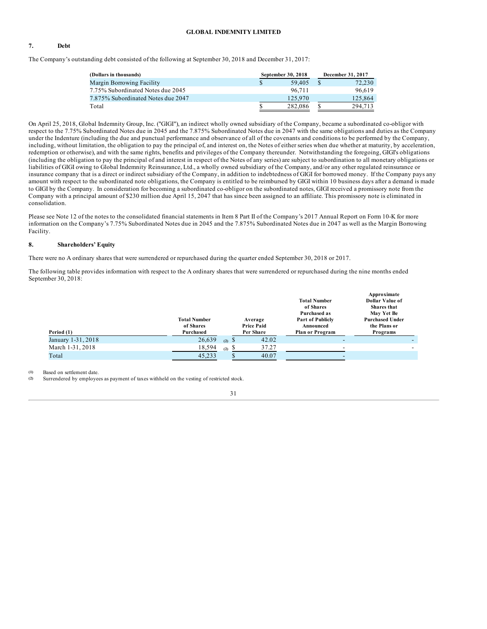#### **7. Debt**

The Company's outstanding debt consisted of the following at September 30, 2018 and December 31, 2017:

| (Dollars in thousands)             | September 30, 2018 | December 31, 2017 |
|------------------------------------|--------------------|-------------------|
| Margin Borrowing Facility          | 59.405             | 72.230            |
| 7.75% Subordinated Notes due 2045  | 96.711             | 96.619            |
| 7.875% Subordinated Notes due 2047 | 125,970            | 125,864           |
| Total                              | 282,086            | S<br>294.713      |

On April 25, 2018, Global Indemnity Group, Inc. ("GIGI"), an indirect wholly owned subsidiary of the Company, became a subordinated co-obligor with respect to the 7.75% Subordinated Notes due in 2045 and the 7.875% Subordinated Notes due in 2047 with the same obligations and duties as the Company under the Indenture (including the due and punctual performance and observance of all of the covenants and conditions to be performed by the Company, including, without limitation, the obligation to pay the principal of, and interest on, the Notes of either series when due whether at maturity, by acceleration, redemption or otherwise), and with the same rights, benefits and privileges of the Company thereunder. Notwithstanding the foregoing, GIGI's obligations (including the obligation to pay the principal of and interest in respect of the Notes of any series) are subject to subordination to all monetary obligations or liabilities of GIGI owing to Global Indemnity Reinsurance, Ltd., a wholly owned subsidiary of the Company, and/or any other regulated reinsurance or insurance company that is a direct or indirect subsidiary of the Company, in addition to indebtedness of GIGI for borrowed money. If the Company pays any amount with respect to the subordinated note obligations, the Company is entitled to be reimbursed by GIGI within 10 business days after a demand is made to GIGI by the Company. In consideration for becoming a subordinated co-obligor on the subordinated notes, GIGI received a promissory note from the Company with a principal amount of \$230 million due April 15, 2047 that has since been assigned to an affiliate. This promissory note is eliminated in consolidation.

Please see Note 12 of the notes to the consolidated financial statements in Item 8 Part II of the Company's 2017 Annual Report on Form 10-K for more information on the Company's 7.75% Subordinated Notes due in 2045 and the 7.875% Subordinated Notes due in 2047 as well as the Margin Borrowing Facility.

#### **8. Shareholders' Equity**

There were no A ordinary shares that were surrendered or repurchased during the quarter ended September 30, 2018 or 2017.

The following table provides information with respect to the A ordinary shares that were surrendered or repurchased during the nine months ended September 30, 2018:

| Period (1)         | <b>Total Number</b><br>of Shares<br>Purchased |          | Average<br><b>Price Paid</b><br>Per Share | <b>Total Number</b><br>of Shares<br>Purchased as<br><b>Part of Publicly</b><br>Announced<br>Plan or Program | Approximate<br><b>Dollar Value of</b><br><b>Shares</b> that<br>May Yet Be<br><b>Purchased Under</b><br>the Plans or<br>Programs |
|--------------------|-----------------------------------------------|----------|-------------------------------------------|-------------------------------------------------------------------------------------------------------------|---------------------------------------------------------------------------------------------------------------------------------|
| January 1-31, 2018 | 26,639                                        | $(2)$ \$ | 42.02                                     |                                                                                                             |                                                                                                                                 |
| March 1-31, 2018   | 18,594                                        | (2)      | 37.27                                     |                                                                                                             |                                                                                                                                 |
| Total              | 45,233                                        |          | 40.07                                     |                                                                                                             |                                                                                                                                 |

**(1)** Based on settlement date.

**(2)** Surrendered by employees as payment of taxes withheld on the vesting of restricted stock.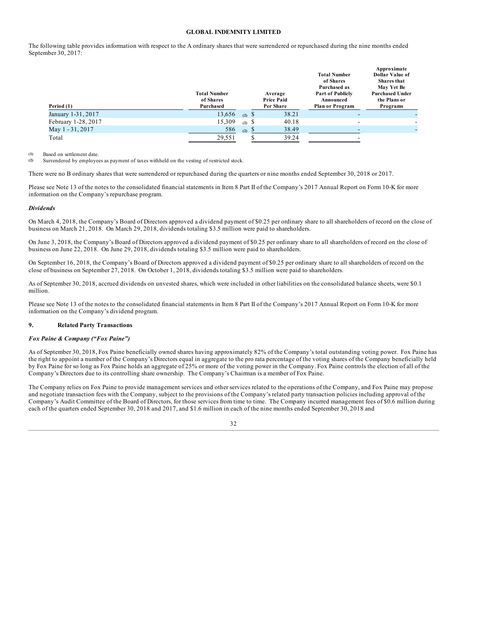The following table provides information with respect to the A ordinary shares that were surrendered or repurchased during the nine months ended September 30, 2017:

|                     | <b>Total Number</b><br>of Shares |                  | Average<br><b>Price Paid</b> |       | <b>Total Number</b><br>of Shares<br>Purchased as<br><b>Part of Publicly</b><br>Announced | Approximate<br><b>Dollar Value of</b><br><b>Shares</b> that<br>May Yet Be<br><b>Purchased Under</b><br>the Plans or |
|---------------------|----------------------------------|------------------|------------------------------|-------|------------------------------------------------------------------------------------------|---------------------------------------------------------------------------------------------------------------------|
| Period (1)          | Purchased                        |                  | Per Share                    |       | Plan or Program                                                                          | Programs                                                                                                            |
| January 1-31, 2017  | 13,656                           | $(2)$ $\sqrt{5}$ |                              | 38.21 |                                                                                          |                                                                                                                     |
| February 1-28, 2017 | 15,309                           | $(2)$ S          |                              | 40.18 |                                                                                          |                                                                                                                     |
| May 1 - 31, 2017    | 586                              | (2)              |                              | 38.49 |                                                                                          |                                                                                                                     |
| Total               | 29,551                           |                  |                              | 39.24 |                                                                                          |                                                                                                                     |

#### **(1)** Based on settlement date.

**(2)** Surrendered by employees as payment of taxes withheld on the vesting of restricted stock.

There were no B ordinary shares that were surrendered or repurchased during the quarters or nine months ended September 30, 2018 or 2017.

Please see Note 13 of the notes to the consolidated financial statements in Item 8 Part II of the Company's 2017 Annual Report on Form 10-K for more information on the Company's repurchase program.

#### *Dividends*

On March 4, 2018, the Company's Board of Directors approved a dividend payment of \$0.25 per ordinary share to all shareholders of record on the close of business on March 21, 2018. On March 29, 2018, dividends totaling \$3.5 million were paid to shareholders.

On June 3, 2018, the Company's Board of Directors approved a dividend payment of \$0.25 per ordinary share to all shareholders of record on the close of business on June 22, 2018. On June 29, 2018, dividends totaling \$3.5 million were paid to shareholders.

On September 16, 2018, the Company's Board of Directors approved a dividend payment of \$0.25 per ordinary share to all shareholders of record on the close of business on September 27, 2018. On October 1, 2018, dividends totaling \$3.5 million were paid to shareholders.

As of September 30, 2018, accrued dividends on unvested shares, which were included in other liabilities on the consolidated balance sheets, were \$0.1 million.

Please see Note 13 of the notes to the consolidated financial statements in Item 8 Part II of the Company's 2017 Annual Report on Form 10-K for more information on the Company's dividend program.

#### **9. Related Party Transactions**

#### *Fox Paine & Company ("Fox Paine")*

As of September 30, 2018, Fox Paine beneficially owned shares having approximately 82% of the Company's total outstanding voting power. Fox Paine has the right to appoint a number of the Company's Directors equal in aggregate to the pro rata percentage of the voting shares of the Company beneficially held by Fox Paine for so long as Fox Paine holds an aggregate of 25% or more of the voting power in the Company. Fox Paine controls the election of all of the Company's Directors due to its controlling share ownership. The Company's Chairman is a member of Fox Paine.

The Company relies on Fox Paine to provide management services and other services related to the operations of the Company, and Fox Paine may propose and negotiate transaction fees with the Company, subject to the provisions of the Company's related party transaction policies including approval of the Company's Audit Committee of the Board of Directors, for those services from time to time. The Company incurred management fees of \$0.6 million during each of the quarters ended September 30, 2018 and 2017, and \$1.6 million in each of the nine months ended September 30, 2018 and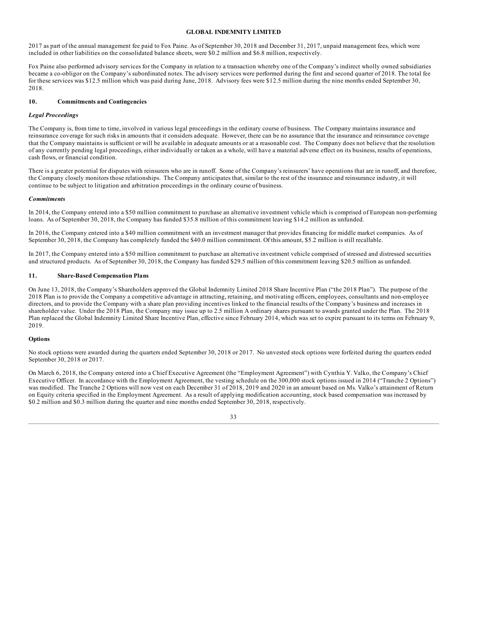2017 as part of the annual management fee paid to Fox Paine. As of September 30, 2018 and December 31, 2017, unpaid management fees, which were included in other liabilities on the consolidated balance sheets, were \$0.2 million and \$6.8 million, respectively.

Fox Paine also performed advisory services for the Company in relation to a transaction whereby one of the Company's indirect wholly owned subsidiaries became a co-obligor on the Company's subordinated notes. The advisory services were performed during the first and second quarter of 2018. The total fee for these services was \$12.5 million which was paid during June, 2018. Advisory fees were \$12.5 million during the nine months ended September 30, 2018.

#### **10. Commitments and Contingencies**

#### *Legal Proceedings*

The Company is, from time to time, involved in various legal proceedings in the ordinary course of business. The Company maintains insurance and reinsurance coverage for such risks in amounts that it considers adequate. However, there can be no assurance that the insurance and reinsurance coverage that the Company maintains is sufficient or will be available in adequate amounts or at a reasonable cost. The Company does not believe that the resolution of any currently pending legal proceedings, either individually or taken as a whole, will have a material adverse effect on its business, results of operations, cash flows, or financial condition.

There is a greater potential for disputes with reinsurers who are in runoff. Some of the Company's reinsurers' have operations that are in runoff, and therefore, the Company closely monitors those relationships. The Company anticipates that, similar to the rest of the insurance and reinsurance industry, it will continue to be subject to litigation and arbitration proceedings in the ordinary course of business.

#### *Commitments*

In 2014, the Company entered into a \$50 million commitment to purchase an alternative investment vehicle which is comprised of European non-performing loans. As of September 30, 2018, the Company has funded \$35.8 million of this commitment leaving \$14.2 million as unfunded.

In 2016, the Company entered into a \$40 million commitment with an investment manager that provides financing for middle market companies. As of September 30, 2018, the Company has completely funded the \$40.0 million commitment. Of this amount, \$5.2 million is still recallable.

In 2017, the Company entered into a \$50 million commitment to purchase an alternative investment vehicle comprised of stressed and distressed securities and structured products. As of September 30, 2018, the Company has funded \$29.5 million of this commitment leaving \$20.5 million as unfunded.

#### **11. Share-Based Compensation Plans**

On June 13, 2018, the Company's Shareholders approved the Global Indemnity Limited 2018 Share Incentive Plan ("the 2018 Plan"). The purpose of the 2018 Plan is to provide the Company a competitive advantage in attracting, retaining, and motivating officers, employees, consultants and non-employee directors, and to provide the Company with a share plan providing incentives linked to the financial results of the Company's business and increases in shareholder value. Under the 2018 Plan, the Company may issue up to 2.5 million A ordinary shares pursuant to awards granted under the Plan. The 2018 Plan replaced the Global Indemnity Limited Share Incentive Plan, effective since February 2014, which was set to expire pursuant to its terms on February 9, 2019.

#### **Options**

No stock options were awarded during the quarters ended September 30, 2018 or 2017. No unvested stock options were forfeited during the quarters ended September 30, 2018 or 2017.

On March 6, 2018, the Company entered into a Chief Executive Agreement (the "Employment Agreement") with Cynthia Y. Valko, the Company's Chief Executive Officer. In accordance with the Employment Agreement, the vesting schedule on the 300,000 stock options issued in 2014 ("Tranche 2 Options") was modified. The Tranche 2 Options will now vest on each December 31 of 2018, 2019 and 2020 in an amount based on Ms. Valko's attainment of Return on Equity criteria specified in the Employment Agreement. As a result of applying modification accounting, stock based compensation was increased by \$0.2 million and \$0.3 million during the quarter and nine months ended September 30, 2018, respectively.

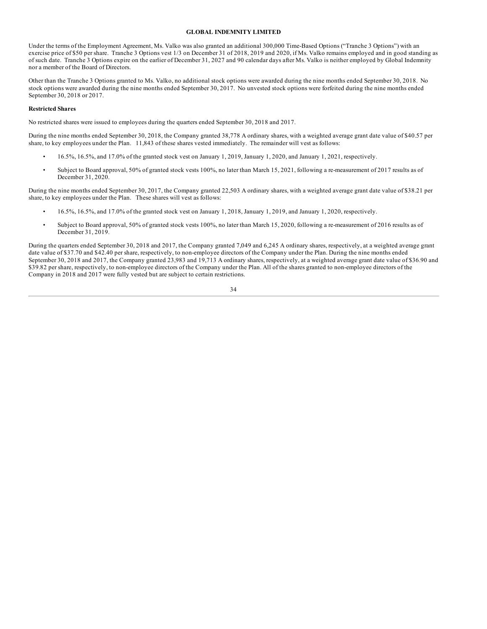Under the terms of the Employment Agreement, Ms. Valko was also granted an additional 300,000 Time-Based Options ("Tranche 3 Options") with an exercise price of \$50 per share. Tranche 3 Options vest 1/3 on December 31 of 2018, 2019 and 2020, if Ms. Valko remains employed and in good standing as of such date. Tranche 3 Options expire on the earlier of December 31, 2027 and 90 calendar days after Ms. Valko is neither employed by Global Indemnity nor a member of the Board of Directors.

Other than the Tranche 3 Options granted to Ms. Valko, no additional stock options were awarded during the nine months ended September 30, 2018. No stock options were awarded during the nine months ended September 30, 2017. No unvested stock options were forfeited during the nine months ended September 30, 2018 or 2017.

#### **Restricted Shares**

No restricted shares were issued to employees during the quarters ended September 30, 2018 and 2017.

During the nine months ended September 30, 2018, the Company granted 38,778 A ordinary shares, with a weighted average grant date value of \$40.57 per share, to key employees under the Plan. 11,843 of these shares vested immediately. The remainder will vest as follows:

- 16.5%, 16.5%, and 17.0% of the granted stock vest on January 1, 2019, January 1, 2020, and January 1, 2021, respectively.
- Subject to Board approval, 50% of granted stock vests 100%, no later than March 15, 2021, following a re-measurement of 2017 results as of December 31, 2020.

During the nine months ended September 30, 2017, the Company granted 22,503 A ordinary shares, with a weighted average grant date value of \$38.21 per share, to key employees under the Plan. These shares will vest as follows:

- 16.5%, 16.5%, and 17.0% of the granted stock vest on January 1, 2018, January 1, 2019, and January 1, 2020, respectively.
- Subject to Board approval, 50% of granted stock vests 100%, no later than March 15, 2020, following a re-measurement of 2016 results as of December 31, 2019.

During the quarters ended September 30, 2018 and 2017, the Company granted 7,049 and 6,245 A ordinary shares, respectively, at a weighted average grant date value of \$37.70 and \$42.40 per share, respectively, to non-employee directors of the Company under the Plan. During the nine months ended September 30, 2018 and 2017, the Company granted 23,983 and 19,713 A ordinary shares, respectively, at a weighted average grant date value of \$36.90 and \$39.82 per share, respectively, to non-employee directors of the Company under the Plan. All of the shares granted to non-employee directors of the Company in 2018 and 2017 were fully vested but are subject to certain restrictions.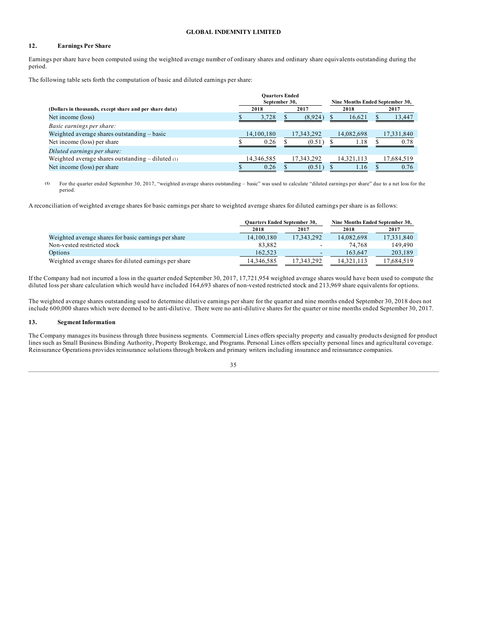#### **12. Earnings Per Share**

Earnings per share have been computed using the weighted average number of ordinary shares and ordinary share equivalents outstanding during the period.

The following table sets forth the computation of basic and diluted earnings per share:

| (Dollars in thousands, except share and per share data) |  | <b>Quarters Ended</b><br>September 30, |  |            | Nine Months Ended September 30, |            |  |            |
|---------------------------------------------------------|--|----------------------------------------|--|------------|---------------------------------|------------|--|------------|
|                                                         |  | 2018                                   |  | 2017       |                                 | 2018       |  | 2017       |
| Net income (loss)                                       |  | 3.728                                  |  | (8.924)    |                                 | 16.621     |  | 13,447     |
| Basic earnings per share:                               |  |                                        |  |            |                                 |            |  |            |
| Weighted average shares outstanding – basic             |  | 14,100,180                             |  | 17,343,292 |                                 | 14,082,698 |  | 17,331,840 |
| Net income (loss) per share                             |  | 0.26                                   |  | (0.51)     |                                 | 1.18       |  | 0.78       |
| Diluted earnings per share:                             |  |                                        |  |            |                                 |            |  |            |
| Weighted average shares outstanding $-$ diluted $(1)$   |  | 14,346,585                             |  | 17,343,292 |                                 | 14,321,113 |  | 17,684,519 |
| Net income (loss) per share                             |  | 0.26                                   |  | (0.51)     |                                 | 1.16       |  | 0.76       |

**(1)** For the quarter ended September 30, 2017, "weighted average shares outstanding – basic" was used to calculate "diluted earnings per share" due to a net loss for the period.

A reconciliation of weighted average shares for basic earnings per share to weighted average shares for diluted earnings per share is as follows:

|                                                        | <b>Quarters Ended September 30,</b> |                          | Nine Months Ended September 30, |            |  |
|--------------------------------------------------------|-------------------------------------|--------------------------|---------------------------------|------------|--|
|                                                        | 2018                                | 2017                     | 2018                            | 2017       |  |
| Weighted average shares for basic earnings per share   | 14.100.180                          | 17.343.292               | 14.082.698                      | 17,331,840 |  |
| Non-vested restricted stock                            | 83.882                              | $\overline{\phantom{a}}$ | 74.768                          | 149.490    |  |
| Options                                                | 162.523                             | $\overline{\phantom{0}}$ | 163.647                         | 203,189    |  |
| Weighted average shares for diluted earnings per share | 14.346.585                          | 17.343.292               | 14.321.113                      | 7.684.519  |  |

If the Company had not incurred a loss in the quarter ended September 30, 2017, 17,721,954 weighted average shares would have been used to compute the diluted loss per share calculation which would have included 164,693 shares of non-vested restricted stock and 213,969 share equivalents for options.

The weighted average shares outstanding used to determine dilutive earnings per share for the quarter and nine months ended September 30, 2018 does not include 600,000 shares which were deemed to be anti-dilutive. There were no anti-dilutive shares for the quarter or nine months ended September 30, 2017.

#### **13. Segment Information**

The Company manages its business through three business segments. Commercial Lines offers specialty property and casualty products designed for product lines such as Small Business Binding Authority, Property Brokerage, and Programs. Personal Lines offers specialty personal lines and agricultural coverage. Reinsurance Operations provides reinsurance solutions through brokers and primary writers including insurance and reinsurance companies.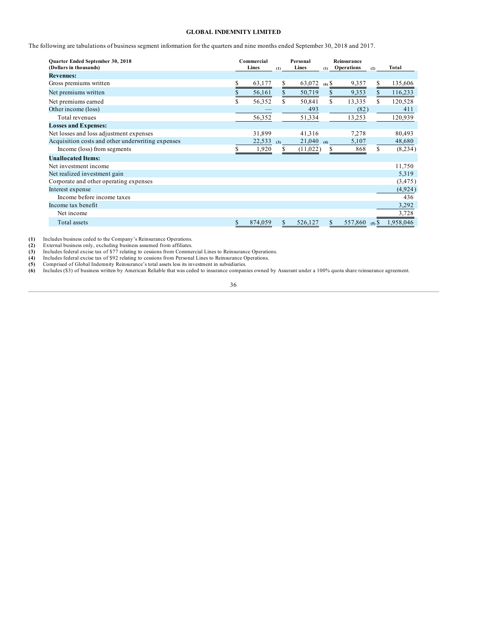The following are tabulations of business segment information for the quarters and nine months ended September 30, 2018 and 2017.

| Quarter Ended September 30, 2018<br>(Dollars in thousands) | Commercial<br>Lines | (1) | Personal<br>Lines | (1)      | Reinsurance<br><b>Operations</b> | (2)              | Total     |
|------------------------------------------------------------|---------------------|-----|-------------------|----------|----------------------------------|------------------|-----------|
| <b>Revenues:</b>                                           |                     |     |                   |          |                                  |                  |           |
| Gross premiums written                                     | 63,177              |     | 63,072            | $(6)$ \$ | 9,357                            |                  | 135,606   |
| Net premiums written                                       | 56,161              |     | 50,719            |          | 9,353                            |                  | 116,233   |
| Net premiums earned                                        | \$<br>56,352        | S   | 50,841            | S        | 13,335                           |                  | 120,528   |
| Other income (loss)                                        |                     |     | 493               |          | (82)                             |                  | 411       |
| Total revenues                                             | 56,352              |     | 51,334            |          | 13,253                           |                  | 120,939   |
| <b>Losses and Expenses:</b>                                |                     |     |                   |          |                                  |                  |           |
| Net losses and loss adjustment expenses                    | 31,899              |     | 41,316            |          | 7,278                            |                  | 80,493    |
| Acquisition costs and other underwriting expenses          | 22,533              | (3) | 21,040            | (4)      | 5,107                            |                  | 48,680    |
| Income (loss) from segments                                | 1,920               |     | (11, 022)         |          | 868                              | S                | (8,234)   |
| <b>Unallocated Items:</b>                                  |                     |     |                   |          |                                  |                  |           |
| Net investment income                                      |                     |     |                   |          |                                  |                  | 11,750    |
| Net realized investment gain                               |                     |     |                   |          |                                  |                  | 5,319     |
| Corporate and other operating expenses                     |                     |     |                   |          |                                  |                  | (3, 475)  |
| Interest expense                                           |                     |     |                   |          |                                  |                  | (4,924)   |
| Income before income taxes                                 |                     |     |                   |          |                                  |                  | 436       |
| Income tax benefit                                         |                     |     |                   |          |                                  |                  | 3,292     |
| Net income                                                 |                     |     |                   |          |                                  |                  | 3,728     |
| Total assets                                               | \$<br>874,059       |     | 526,127           |          | 557,860                          | $(5)$ $\sqrt{5}$ | 1,958,046 |

(1) Includes business ceded to the Company's Reinsurance Operations.<br>
(2) External business only, excluding business assumed from affiliates.<br> **(3)** Includes federal excise tax of \$77 relating to cessions from Comme

**(2)** External business only, excluding business assumed from affiliates. **(3)** Includes federal excise tax of \$77 relating to cessions from Commercial Lines to Reinsurance Operations.

(4) Includes federal excise tax of \$92 relating to cessions from Personal Lines to Reinsurance Operations.<br> **(5)** Comprised of Global Indemnity Reinsurance's total assets less its investment in subsidiaries.

**(5)** Comprised of Global Indemnity Reinsurance's total assets less its investment in subsidiaries.

**(6)** Includes (\$3) of business written by American Reliable that was ceded to insurance companies owned by Assurant under a 100% quota share reinsurance agreement.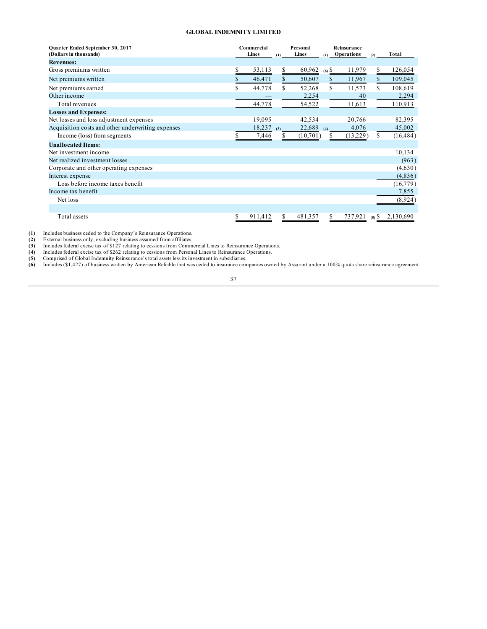| Quarter Ended September 30, 2017                  |    | Commercial |     | Personal |                     | Reinsurance      |                     |           |
|---------------------------------------------------|----|------------|-----|----------|---------------------|------------------|---------------------|-----------|
| (Dollars in thousands)                            |    | Lines      | (1) | Lines    |                     | $(1)$ Operations | (2)                 | Total     |
| <b>Revenues:</b>                                  |    |            |     |          |                     |                  |                     |           |
| Gross premiums written                            | S  | 53,113     | S   | 60,962   | $(6)$ $\frac{6}{3}$ | 11,979           | S                   | 126,054   |
| Net premiums written                              |    | 46,471     | S.  | 50,607   |                     | 11,967           |                     | 109,045   |
| Net premiums earned                               | \$ | 44,778     | S.  | 52,268   | \$.                 | 11,573           | S.                  | 108,619   |
| Other income                                      |    |            |     | 2,254    |                     | 40               |                     | 2,294     |
| Total revenues                                    |    | 44,778     |     | 54,522   |                     | 11,613           |                     | 110,913   |
| <b>Losses and Expenses:</b>                       |    |            |     |          |                     |                  |                     |           |
| Net losses and loss adjustment expenses           |    | 19,095     |     | 42,534   |                     | 20,766           |                     | 82,395    |
| Acquisition costs and other underwriting expenses |    | 18,237     | (3) | 22,689   | (4)                 | 4,076            |                     | 45,002    |
| Income (loss) from segments                       | S  | 7,446      | S.  | (10,701) | S.                  | (13,229)         | S.                  | (16, 484) |
| <b>Unallocated Items:</b>                         |    |            |     |          |                     |                  |                     |           |
| Net investment income                             |    |            |     |          |                     |                  |                     | 10,134    |
| Net realized investment losses                    |    |            |     |          |                     |                  |                     | (963)     |
| Corporate and other operating expenses            |    |            |     |          |                     |                  |                     | (4,630)   |
| Interest expense                                  |    |            |     |          |                     |                  |                     | (4,836)   |
| Loss before income taxes benefit                  |    |            |     |          |                     |                  |                     | (16,779)  |
| Income tax benefit                                |    |            |     |          |                     |                  |                     | 7,855     |
| Net loss                                          |    |            |     |          |                     |                  |                     | (8,924)   |
|                                                   |    |            |     |          |                     |                  |                     |           |
| Total assets                                      | \$ | 911,412    |     | 481,357  |                     | 737,921          | $(5)$ $\frac{6}{3}$ | 2,130,690 |

19 Includes business ceded to the Company's Reinsurance Operations.<br>
19 Includes business only, excluding business assumed from affiliates.<br>
19 Includes federal excise tax of \$127 relating to cessions from Commercial Lines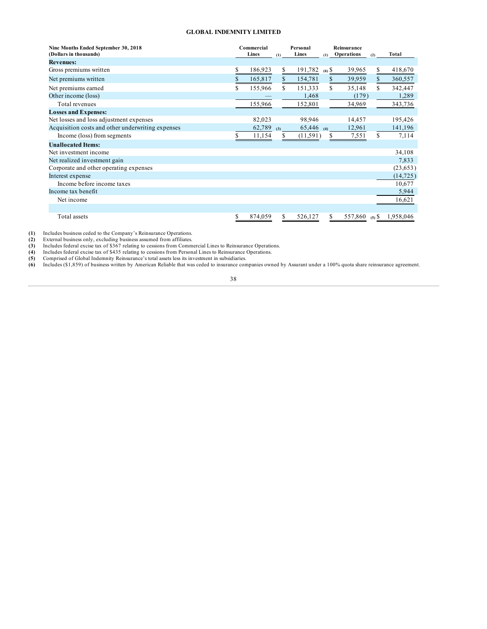| Nine Months Ended September 30, 2018              | Commercial |         |     | Personal |          | Reinsurance       |          |           |  |
|---------------------------------------------------|------------|---------|-----|----------|----------|-------------------|----------|-----------|--|
| (Dollars in thousands)                            |            | Lines   | (1) | Lines    | (1)      | <b>Operations</b> | (2)      | Total     |  |
| <b>Revenues:</b>                                  |            |         |     |          |          |                   |          |           |  |
| Gross premiums written                            | S          | 186,923 | S.  | 191,782  | $(6)$ \$ | 39,965            | S.       | 418,670   |  |
| Net premiums written                              |            | 165,817 | S.  | 154,781  |          | 39,959            |          | 360,557   |  |
| Net premiums earned                               | \$         | 155,966 | S.  | 151,333  | \$.      | 35,148            | S.       | 342,447   |  |
| Other income (loss)                               |            |         |     | 1,468    |          | (179)             |          | 1,289     |  |
| Total revenues                                    |            | 155,966 |     | 152,801  |          | 34,969            |          | 343,736   |  |
| <b>Losses and Expenses:</b>                       |            |         |     |          |          |                   |          |           |  |
| Net losses and loss adjustment expenses           |            | 82,023  |     | 98,946   |          | 14,457            |          | 195,426   |  |
| Acquisition costs and other underwriting expenses |            | 62,789  | (3) | 65,446   | (4)      | 12,961            |          | 141,196   |  |
| Income (loss) from segments                       | S          | 11,154  | S.  | (11,591) |          | 7,551             | \$       | 7,114     |  |
| <b>Unallocated Items:</b>                         |            |         |     |          |          |                   |          |           |  |
| Net investment income                             |            |         |     |          |          |                   |          | 34,108    |  |
| Net realized investment gain                      |            |         |     |          |          |                   |          | 7,833     |  |
| Corporate and other operating expenses            |            |         |     |          |          |                   |          | (23, 653) |  |
| Interest expense                                  |            |         |     |          |          |                   |          | (14, 725) |  |
| Income before income taxes                        |            |         |     |          |          |                   |          | 10,677    |  |
| Income tax benefit                                |            |         |     |          |          |                   |          | 5,944     |  |
| Net income                                        |            |         |     |          |          |                   |          | 16,621    |  |
|                                                   |            |         |     |          |          |                   |          |           |  |
| Total assets                                      | \$         | 874,059 | S   | 526,127  |          | 557,860           | $(5)$ \$ | 1,958,046 |  |

19 Includes business ceded to the Company's Reinsurance Operations.<br>
19 Includes business only, excluding business assumed from affiliates.<br>
19 Includes federal excise tax of \$357 relating to cessions from Commercial Lines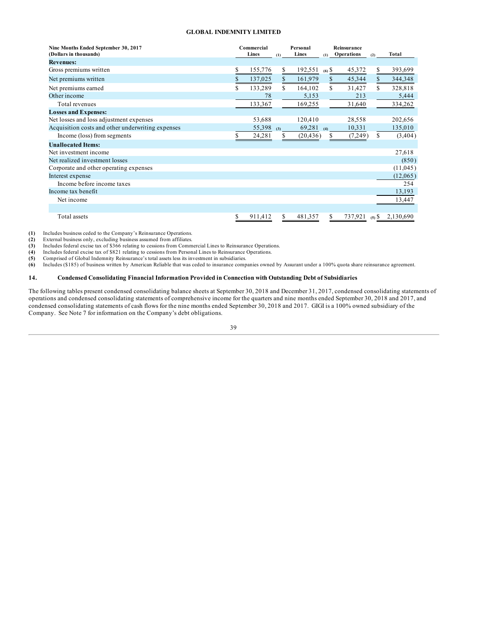| Nine Months Ended September 30, 2017              | Commercial |         |     | Personal  |                     | Reinsurance       |                     |           |
|---------------------------------------------------|------------|---------|-----|-----------|---------------------|-------------------|---------------------|-----------|
| (Dollars in thousands)                            |            | Lines   | (1) | Lines     | (1)                 | <b>Operations</b> | (2)                 | Total     |
| <b>Revenues:</b>                                  |            |         |     |           |                     |                   |                     |           |
| Gross premiums written                            | ς          | 155,776 | S.  | 192,551   | $(6)$ $\frac{5}{2}$ | 45,372            | S                   | 393,699   |
| Net premiums written                              |            | 137,025 | \$  | 161,979   |                     | 45,344            |                     | 344,348   |
| Net premiums earned                               | \$         | 133,289 | S.  | 164,102   | S                   | 31,427            | \$                  | 328,818   |
| Other income                                      |            | 78      |     | 5,153     |                     | 213               |                     | 5,444     |
| Total revenues                                    |            | 133,367 |     | 169,255   |                     | 31,640            |                     | 334,262   |
| <b>Losses and Expenses:</b>                       |            |         |     |           |                     |                   |                     |           |
| Net losses and loss adjustment expenses           |            | 53,688  |     | 120,410   |                     | 28,558            |                     | 202,656   |
| Acquisition costs and other underwriting expenses |            | 55,398  | (3) | 69,281    | (4)                 | 10,331            |                     | 135,010   |
| Income (loss) from segments                       | S          | 24,281  | S.  | (20, 436) |                     | (7,249)           | \$                  | (3,404)   |
| <b>Unallocated Items:</b>                         |            |         |     |           |                     |                   |                     |           |
| Net investment income                             |            |         |     |           |                     |                   |                     | 27,618    |
| Net realized investment losses                    |            |         |     |           |                     |                   |                     | (850)     |
| Corporate and other operating expenses            |            |         |     |           |                     |                   |                     | (11,045)  |
| Interest expense                                  |            |         |     |           |                     |                   |                     | (12,065)  |
| Income before income taxes                        |            |         |     |           |                     |                   |                     | 254       |
| Income tax benefit                                |            |         |     |           |                     |                   |                     | 13,193    |
| Net income                                        |            |         |     |           |                     |                   |                     | 13,447    |
|                                                   |            |         |     |           |                     |                   |                     |           |
| Total assets                                      | \$         | 911,412 |     | 481,357   |                     | 737,921           | $(5)$ $\frac{6}{3}$ | 2,130,690 |

**(1)** Includes business ceded to the Company's Reinsurance Operations. **(2)** External business only, excluding business assumed from affiliates.

**(3)** Includes federal excise tax of \$366 relating to cessions from Commercial Lines to Reinsurance Operations.

(4) Includes federal excise tax of \$821 relating to cessions from Personal Lines to Reinsurance Operations.<br> **(5)** Comprised of Global Indemnity Reinsurance's total assets less its investment in subsidiaries.<br> **(6)** Includ

**(5)** Comprised of Global Indemnity Reinsurance's total assets less its investment in subsidiaries.

**(6)** Includes (\$185) of business written by American Reliable that was ceded to insurance companies owned by Assurant under a 100% quota share reinsurance agreement.

#### **14. Condensed Consolidating Financial Information Provided in Connection with Outstanding Debt of Subsidiaries**

The following tables present condensed consolidating balance sheets at September 30, 2018 and December 31, 2017, condensed consolidating statements of operations and condensed consolidating statements of comprehensive income for the quarters and nine months ended September 30, 2018 and 2017, and condensed consolidating statements of cash flows for the nine months ended September 30, 2018 and 2017. GIGI is a 100% owned subsidiary of the Company. See Note 7 for information on the Company's debt obligations.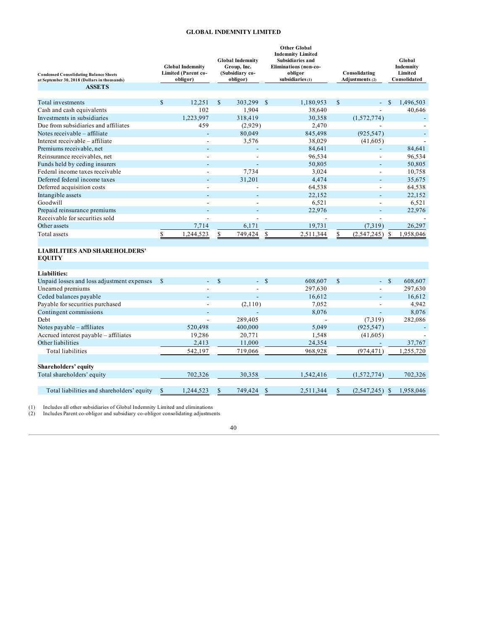| <b>Condensed Consolidating Balance Sheets</b><br>at September 30, 2018 (Dollars in thousands) |              | <b>Global Indemnity</b><br><b>Global Indemnity</b><br>Group, Inc.<br>Limited (Parent co-<br>(Subsidiary co-<br>obligor)<br>obligor) |               | <b>Other Global</b><br><b>Indemnity Limited</b><br>Subsidiaries and<br><b>Eliminations</b> (non-co-<br>obligor<br>subsidiaries $(1)$ |        | Consolidating<br>Adjustments (2) |              | Global<br>Indemnity<br>Limited<br>Consolidated |              |           |
|-----------------------------------------------------------------------------------------------|--------------|-------------------------------------------------------------------------------------------------------------------------------------|---------------|--------------------------------------------------------------------------------------------------------------------------------------|--------|----------------------------------|--------------|------------------------------------------------|--------------|-----------|
| <b>ASSETS</b>                                                                                 |              |                                                                                                                                     |               |                                                                                                                                      |        |                                  |              |                                                |              |           |
|                                                                                               |              |                                                                                                                                     |               |                                                                                                                                      |        |                                  |              |                                                |              |           |
| Total investments                                                                             | $\mathbb{S}$ | 12.251                                                                                                                              | <sup>\$</sup> | 303,299                                                                                                                              | -S     | 1,180,953                        | $\mathbf S$  |                                                | S            | 1,496,503 |
| Cash and cash equivalents                                                                     |              | 102                                                                                                                                 |               | 1,904                                                                                                                                |        | 38,640                           |              |                                                |              | 40,646    |
| Investments in subsidiaries                                                                   |              | 1,223,997                                                                                                                           |               | 318,419                                                                                                                              |        | 30,358                           |              | (1,572,774)                                    |              |           |
| Due from subsidiaries and affiliates                                                          |              | 459                                                                                                                                 |               | (2,929)                                                                                                                              |        | 2,470                            |              |                                                |              |           |
| Notes receivable – affiliate                                                                  |              |                                                                                                                                     |               | 80,049                                                                                                                               |        | 845,498                          |              | (925, 547)                                     |              |           |
| Interest receivable – affiliate                                                               |              | $\overline{a}$                                                                                                                      |               | 3,576                                                                                                                                |        | 38,029                           |              | (41,605)                                       |              |           |
| Premiums receivable, net                                                                      |              |                                                                                                                                     |               |                                                                                                                                      |        | 84,641                           |              |                                                |              | 84,641    |
| Reinsurance receivables, net                                                                  |              |                                                                                                                                     |               |                                                                                                                                      |        | 96,534                           |              |                                                |              | 96,534    |
| Funds held by ceding insurers                                                                 |              |                                                                                                                                     |               |                                                                                                                                      |        | 50,805                           |              |                                                |              | 50,805    |
| Federal income taxes receivable                                                               |              | $\overline{a}$                                                                                                                      |               | 7,734                                                                                                                                |        | 3,024                            |              | $\overline{a}$                                 |              | 10,758    |
| Deferred federal income taxes                                                                 |              |                                                                                                                                     |               | 31,201                                                                                                                               |        | 4,474                            |              |                                                |              | 35,675    |
| Deferred acquisition costs                                                                    |              | L,                                                                                                                                  |               |                                                                                                                                      |        | 64,538                           |              | L.                                             |              | 64,538    |
| Intangible assets                                                                             |              | ÷                                                                                                                                   |               | L.                                                                                                                                   |        | 22,152                           |              |                                                |              | 22,152    |
| Goodwill                                                                                      |              |                                                                                                                                     |               | $\overline{a}$                                                                                                                       |        | 6.521                            |              | L.                                             |              | 6,521     |
| Prepaid reinsurance premiums                                                                  |              |                                                                                                                                     |               |                                                                                                                                      |        | 22,976                           |              |                                                |              | 22,976    |
| Receivable for securities sold                                                                |              |                                                                                                                                     |               |                                                                                                                                      |        |                                  |              |                                                |              |           |
| Other assets                                                                                  |              | 7,714                                                                                                                               |               | 6,171                                                                                                                                |        | 19,731                           |              | (7,319)                                        |              | 26,297    |
| Total assets                                                                                  | \$           | 1,244,523                                                                                                                           | \$            | 749,424                                                                                                                              | \$     | 2,511,344                        | \$           | (2,547,245)                                    | \$           | 1,958,046 |
|                                                                                               |              |                                                                                                                                     |               |                                                                                                                                      |        |                                  |              |                                                |              |           |
| <b>LIABILITIES AND SHAREHOLDERS'</b>                                                          |              |                                                                                                                                     |               |                                                                                                                                      |        |                                  |              |                                                |              |           |
| <b>EQUITY</b>                                                                                 |              |                                                                                                                                     |               |                                                                                                                                      |        |                                  |              |                                                |              |           |
|                                                                                               |              |                                                                                                                                     |               |                                                                                                                                      |        |                                  |              |                                                |              |           |
| Liabilities:                                                                                  |              |                                                                                                                                     |               |                                                                                                                                      |        |                                  |              |                                                |              |           |
| Unpaid losses and loss adjustment expenses                                                    | $\mathbf S$  |                                                                                                                                     | $\mathbf S$   |                                                                                                                                      | $-$ \$ | 608,607                          | $\mathbb{S}$ | ÷.                                             | <sup>S</sup> | 608,607   |
| Unearned premiums                                                                             |              |                                                                                                                                     |               |                                                                                                                                      |        | 297,630                          |              |                                                |              | 297,630   |
| Ceded balances payable                                                                        |              | $\overline{\phantom{a}}$                                                                                                            |               | L,                                                                                                                                   |        | 16,612                           |              | $\overline{a}$                                 |              | 16,612    |
| Payable for securities purchased                                                              |              | $\overline{a}$                                                                                                                      |               | (2,110)                                                                                                                              |        | 7,052                            |              | L,                                             |              | 4,942     |
| Contingent commissions                                                                        |              | ÷.                                                                                                                                  |               |                                                                                                                                      |        | 8,076                            |              | ÷.                                             |              | 8,076     |
| Debt                                                                                          |              | $\overline{a}$                                                                                                                      |               | 289,405                                                                                                                              |        |                                  |              | (7,319)                                        |              | 282,086   |
| Notes payable $-$ affiliates                                                                  |              | 520,498                                                                                                                             |               | 400,000                                                                                                                              |        | 5,049                            |              | (925, 547)                                     |              |           |
| Accrued interest payable - affiliates                                                         |              | 19,286                                                                                                                              |               | 20,771                                                                                                                               |        | 1,548                            |              | (41, 605)                                      |              |           |
| Other liabilities                                                                             |              | 2,413                                                                                                                               |               | 11,000                                                                                                                               |        | 24,354                           |              |                                                |              | 37,767    |
| <b>Total liabilities</b>                                                                      |              | 542,197                                                                                                                             |               | 719,066                                                                                                                              |        | 968,928                          |              | (974, 471)                                     |              | 1,255,720 |
|                                                                                               |              |                                                                                                                                     |               |                                                                                                                                      |        |                                  |              |                                                |              |           |
| Shareholders' equity                                                                          |              |                                                                                                                                     |               |                                                                                                                                      |        |                                  |              |                                                |              |           |
| Total shareholders' equity                                                                    |              | 702,326                                                                                                                             |               | 30,358                                                                                                                               |        | 1,542,416                        |              | (1,572,774)                                    |              | 702,326   |
|                                                                                               |              |                                                                                                                                     |               |                                                                                                                                      |        |                                  |              |                                                |              |           |
| Total liabilities and shareholders' equity                                                    | S            | 1,244,523                                                                                                                           | \$            | 749,424                                                                                                                              | \$     | 2,511,344                        | \$           | (2,547,245)                                    | \$           | 1,958,046 |

(1) Includes all other subsidiaries of Global Indemnity Limited and eliminations (2) Includes Parent co-obligor and subsidiary co-obligor consolidating adjustments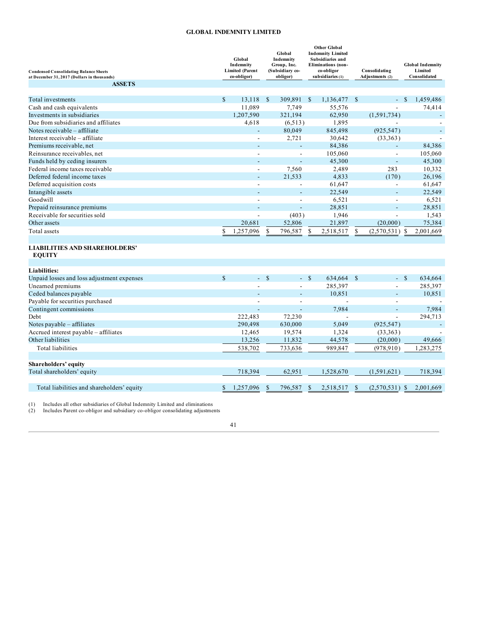| <b>Condensed Consolidating Balance Sheets</b><br>at December 31, 2017 (Dollars in thousands) |              | Global<br>Indemnity<br><b>Limited</b> (Parent<br>co-obligor) |      | Global<br>Indemnity<br>Group, Inc.<br>(Subsidiary co-<br>obligor) |               | <b>Other Global</b><br><b>Indemnity Limited</b><br>Subsidiaries and<br><b>Eliminations</b> (non-<br>co-obligor<br>subsidiaries (1) | Consolidating<br>Adjustments (2) |                          |               | <b>Global Indemnity</b><br>Limited<br>Consolidated |
|----------------------------------------------------------------------------------------------|--------------|--------------------------------------------------------------|------|-------------------------------------------------------------------|---------------|------------------------------------------------------------------------------------------------------------------------------------|----------------------------------|--------------------------|---------------|----------------------------------------------------|
| <b>ASSETS</b>                                                                                |              |                                                              |      |                                                                   |               |                                                                                                                                    |                                  |                          |               |                                                    |
| Total investments                                                                            | $\mathbb{S}$ | 13,118                                                       | \$   | 309,891                                                           | -\$           | 1,136,477                                                                                                                          | -S                               | a.                       | <sup>\$</sup> | 1,459,486                                          |
| Cash and cash equivalents                                                                    |              | 11,089                                                       |      | 7,749                                                             |               | 55,576                                                                                                                             |                                  |                          |               | 74,414                                             |
| Investments in subsidiaries                                                                  |              | 1,207,590                                                    |      | 321,194                                                           |               | 62,950                                                                                                                             |                                  | (1,591,734)              |               |                                                    |
| Due from subsidiaries and affiliates                                                         |              | 4,618                                                        |      | (6,513)                                                           |               | 1,895                                                                                                                              |                                  |                          |               |                                                    |
| Notes receivable – affiliate                                                                 |              |                                                              |      | 80,049                                                            |               | 845,498                                                                                                                            |                                  | (925, 547)               |               |                                                    |
| Interest receivable – affiliate                                                              |              | $\overline{a}$                                               |      | 2,721                                                             |               | 30,642                                                                                                                             |                                  | (33,363)                 |               | $\overline{a}$                                     |
| Premiums receivable, net                                                                     |              | L.                                                           |      |                                                                   |               | 84,386                                                                                                                             |                                  | $\overline{a}$           |               | 84,386                                             |
| Reinsurance receivables, net                                                                 |              | $\overline{a}$                                               |      | $\blacksquare$                                                    |               | 105,060                                                                                                                            |                                  | $\sim$                   |               | 105,060                                            |
| Funds held by ceding insurers                                                                |              | ÷                                                            |      |                                                                   |               | 45,300                                                                                                                             |                                  | $\overline{a}$           |               | 45,300                                             |
| Federal income taxes receivable                                                              |              | $\overline{a}$                                               |      | 7,560                                                             |               | 2,489                                                                                                                              |                                  | 283                      |               | 10,332                                             |
| Deferred federal income taxes                                                                |              | L.                                                           |      | 21,533                                                            |               | 4,833                                                                                                                              |                                  | (170)                    |               | 26,196                                             |
| Deferred acquisition costs                                                                   |              | $\overline{a}$                                               |      | $\overline{a}$                                                    |               | 61,647                                                                                                                             |                                  | $\overline{\phantom{a}}$ |               | 61,647                                             |
| Intangible assets                                                                            |              |                                                              |      | L.                                                                |               | 22,549                                                                                                                             |                                  |                          |               | 22,549                                             |
| Goodwill                                                                                     |              |                                                              |      | $\overline{a}$                                                    |               | 6,521                                                                                                                              |                                  | $\overline{a}$           |               | 6,521                                              |
| Prepaid reinsurance premiums                                                                 |              | $\overline{a}$                                               |      | $\blacksquare$                                                    |               | 28,851                                                                                                                             |                                  | $\sim$                   |               | 28,851                                             |
| Receivable for securities sold                                                               |              | $\overline{a}$                                               |      | (403)                                                             |               | 1,946                                                                                                                              |                                  | $\overline{a}$           |               | 1,543                                              |
| Other assets                                                                                 |              | 20,681                                                       |      | 52,806                                                            |               | 21,897                                                                                                                             |                                  | (20,000)                 |               | 75,384                                             |
| Total assets                                                                                 | \$           | 1,257,096                                                    | \$   | 796,587                                                           | \$            | 2,518,517                                                                                                                          | \$                               | (2,570,531)              | \$            | 2,001,669                                          |
|                                                                                              |              |                                                              |      |                                                                   |               |                                                                                                                                    |                                  |                          |               |                                                    |
| <b>LIABILITIES AND SHAREHOLDERS'</b><br><b>EQUITY</b>                                        |              |                                                              |      |                                                                   |               |                                                                                                                                    |                                  |                          |               |                                                    |
| Liabilities:                                                                                 |              |                                                              |      |                                                                   |               |                                                                                                                                    |                                  |                          |               |                                                    |
| Unpaid losses and loss adjustment expenses                                                   | $\mathbb{S}$ |                                                              | $-5$ |                                                                   | $-$ \$        | 634,664                                                                                                                            | \$                               |                          | $-$ \$        | 634,664                                            |
| Unearned premiums                                                                            |              |                                                              |      | $\overline{a}$                                                    |               | 285,397                                                                                                                            |                                  | $\overline{a}$           |               | 285,397                                            |
| Ceded balances payable                                                                       |              | ÷                                                            |      | $\overline{a}$                                                    |               | 10,851                                                                                                                             |                                  | $\sim$                   |               | 10,851                                             |
| Payable for securities purchased                                                             |              | $\overline{a}$                                               |      | L,                                                                |               |                                                                                                                                    |                                  |                          |               |                                                    |
| Contingent commissions                                                                       |              | L.                                                           |      | L.                                                                |               | 7,984                                                                                                                              |                                  | $\overline{a}$           |               | 7,984                                              |
| Debt                                                                                         |              | 222,483                                                      |      | 72,230                                                            |               |                                                                                                                                    |                                  | $\overline{\phantom{a}}$ |               | 294,713                                            |
| Notes payable – affiliates                                                                   |              | 290,498                                                      |      | 630,000                                                           |               | 5,049                                                                                                                              |                                  | (925, 547)               |               |                                                    |
| Accrued interest payable – affiliates                                                        |              | 12,465                                                       |      | 19,574                                                            |               | 1,324                                                                                                                              |                                  | (33,363)                 |               |                                                    |
| Other liabilities                                                                            |              | 13,256                                                       |      | 11,832                                                            |               | 44,578                                                                                                                             |                                  | (20,000)                 |               | 49,666                                             |
| <b>Total liabilities</b>                                                                     |              | 538,702                                                      |      | 733,636                                                           |               | 989,847                                                                                                                            |                                  | (978, 910)               |               | 1,283,275                                          |
|                                                                                              |              |                                                              |      |                                                                   |               |                                                                                                                                    |                                  |                          |               |                                                    |
| Shareholders' equity                                                                         |              |                                                              |      |                                                                   |               |                                                                                                                                    |                                  |                          |               |                                                    |
| Total shareholders' equity                                                                   |              | 718,394                                                      |      | 62,951                                                            |               | 1,528,670                                                                                                                          |                                  | (1,591,621)              |               | 718,394                                            |
| Total liabilities and shareholders' equity                                                   | \$           | 1,257,096                                                    | \$   | 796,587                                                           | <sup>\$</sup> | 2,518,517                                                                                                                          | \$                               | $(2,570,531)$ \$         |               | 2,001,669                                          |

(1) Includes all other subsidiaries of Global Indemnity Limited and eliminations (2) Includes Parent co-obligor and subsidiary co-obligor consolidating adjustments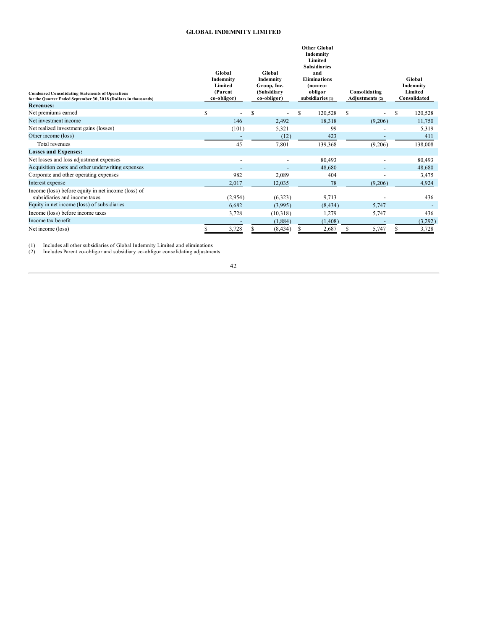| <b>Condensed Consolidating Statements of Operations</b><br>for the Quarter Ended September 30, 2018 (Dollars in thousands) | Global<br>Indemnity<br>Limited<br>(Parent<br>co-obligor) | Global<br>Indemnity<br>Group, Inc.<br>(Subsidiary<br>co-obligor) |      | <b>Other Global</b><br>Indemnity<br>Limited<br><b>Subsidiaries</b><br>and<br><b>Eliminations</b><br>$non-co-$<br>obligor<br>subsidiaries $(1)$ | Consolidating<br>Adjustments (2) |   | Global<br>Indemnity<br>Limited<br>Consolidated |
|----------------------------------------------------------------------------------------------------------------------------|----------------------------------------------------------|------------------------------------------------------------------|------|------------------------------------------------------------------------------------------------------------------------------------------------|----------------------------------|---|------------------------------------------------|
| <b>Revenues:</b>                                                                                                           |                                                          |                                                                  |      |                                                                                                                                                |                                  |   |                                                |
| Net premiums earned                                                                                                        | \$<br>$\overline{a}$                                     | S                                                                | S    | 120,528                                                                                                                                        | S                                | S | 120,528                                        |
| Net investment income                                                                                                      | 146                                                      | 2,492                                                            |      | 18,318                                                                                                                                         | (9,206)                          |   | 11,750                                         |
| Net realized investment gains (losses)                                                                                     | (101)                                                    | 5,321                                                            |      | 99                                                                                                                                             |                                  |   | 5,319                                          |
| Other income (loss)                                                                                                        |                                                          |                                                                  | (12) | 423                                                                                                                                            |                                  |   | 411                                            |
| Total revenues                                                                                                             | 45                                                       | 7,801                                                            |      | 139,368                                                                                                                                        | (9,206)                          |   | 138,008                                        |
| <b>Losses and Expenses:</b>                                                                                                |                                                          |                                                                  |      |                                                                                                                                                |                                  |   |                                                |
| Net losses and loss adjustment expenses                                                                                    | $\overline{\phantom{a}}$                                 |                                                                  |      | 80,493                                                                                                                                         | $\overline{\phantom{0}}$         |   | 80,493                                         |
| Acquisition costs and other underwriting expenses                                                                          |                                                          |                                                                  |      | 48,680                                                                                                                                         |                                  |   | 48,680                                         |
| Corporate and other operating expenses                                                                                     | 982                                                      | 2,089                                                            |      | 404                                                                                                                                            |                                  |   | 3,475                                          |
| Interest expense                                                                                                           | 2,017                                                    | 12,035                                                           |      | 78                                                                                                                                             | (9,206)                          |   | 4,924                                          |
| Income (loss) before equity in net income (loss) of<br>subsidiaries and income taxes                                       | (2,954)                                                  | (6,323)                                                          |      | 9,713                                                                                                                                          |                                  |   | 436                                            |
| Equity in net income (loss) of subsidiaries                                                                                | 6,682                                                    | (3,995)                                                          |      | (8, 434)                                                                                                                                       | 5,747                            |   |                                                |
| Income (loss) before income taxes                                                                                          | 3,728                                                    | (10,318)                                                         |      | 1,279                                                                                                                                          | 5,747                            |   | 436                                            |
| Income tax benefit                                                                                                         |                                                          | (1,884)                                                          |      | (1,408)                                                                                                                                        |                                  |   | (3,292)                                        |
| Net income (loss)                                                                                                          | 3,728                                                    | (8, 434)                                                         | S    | 2,687                                                                                                                                          | 5,747<br>S                       | S | 3,728                                          |

(1) Includes all other subsidiaries of Global Indemnity Limited and eliminations (2) Includes Parent co-obligor and subsidiary co-obligor consolidating adjustments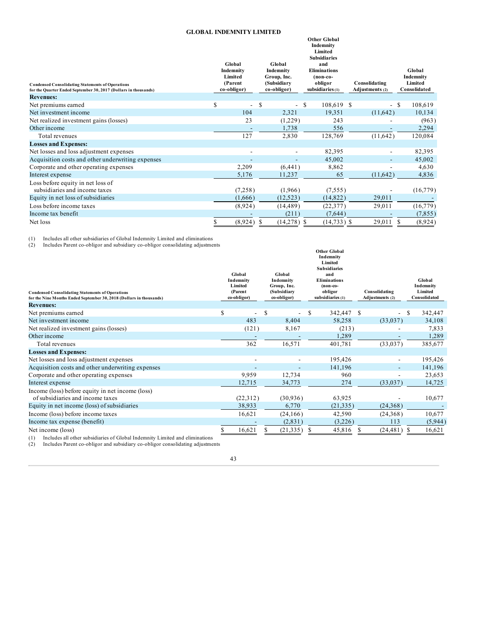| <b>Condensed Consolidating Statements of Operations</b><br>for the Quarter Ended September 30, 2017 (Dollars in thousands) | Global<br>Indemnity<br>Limited<br>(Parent<br>co-obligor) | Global<br>Indemnity<br>Group, Inc.<br>(Subsidiary<br>co-obligor) | <b>Other Global</b><br>Indemnity<br>Limited<br><b>Subsidiaries</b><br>and<br><b>Eliminations</b><br>$non-co-$<br>obligor<br>subsidiaries $(1)$ | Consolidating<br>Adjustments (2) | Global<br>Indemnity<br>Limited<br>Consolidated |
|----------------------------------------------------------------------------------------------------------------------------|----------------------------------------------------------|------------------------------------------------------------------|------------------------------------------------------------------------------------------------------------------------------------------------|----------------------------------|------------------------------------------------|
| <b>Revenues:</b>                                                                                                           |                                                          |                                                                  |                                                                                                                                                |                                  |                                                |
| Net premiums earned                                                                                                        | \$                                                       | \$<br>$\sim$                                                     | 108,619 \$<br><sup>\$</sup>                                                                                                                    | $\overline{\phantom{a}}$         | <sup>\$</sup><br>108,619                       |
| Net investment income                                                                                                      | 104                                                      | 2,321                                                            | 19,351                                                                                                                                         | (11,642)                         | 10,134                                         |
| Net realized investment gains (losses)                                                                                     | 23                                                       | (1,229)                                                          | 243                                                                                                                                            |                                  | (963)                                          |
| Other income                                                                                                               |                                                          | 1,738                                                            | 556                                                                                                                                            | $\overline{\phantom{a}}$         | 2,294                                          |
| Total revenues                                                                                                             | 127                                                      | 2,830                                                            | 128,769                                                                                                                                        | (11,642)                         | 120,084                                        |
| <b>Losses and Expenses:</b>                                                                                                |                                                          |                                                                  |                                                                                                                                                |                                  |                                                |
| Net losses and loss adjustment expenses                                                                                    |                                                          |                                                                  | 82,395                                                                                                                                         |                                  | 82,395                                         |
| Acquisition costs and other underwriting expenses                                                                          |                                                          | ٠                                                                | 45,002                                                                                                                                         | $\overline{\phantom{a}}$         | 45,002                                         |
| Corporate and other operating expenses                                                                                     | 2,209                                                    | (6,441)                                                          | 8,862                                                                                                                                          |                                  | 4,630                                          |
| Interest expense                                                                                                           | 5,176                                                    | 11,237                                                           | 65                                                                                                                                             | (11,642)                         | 4,836                                          |
| Loss before equity in net loss of                                                                                          |                                                          |                                                                  |                                                                                                                                                |                                  |                                                |
| subsidiaries and income taxes                                                                                              | (7,258)                                                  | (1,966)                                                          | (7, 555)                                                                                                                                       |                                  | (16,779)                                       |
| Equity in net loss of subsidiaries                                                                                         | (1,666)                                                  | (12, 523)                                                        | (14, 822)                                                                                                                                      | 29,011                           |                                                |
| Loss before income taxes                                                                                                   | (8,924)                                                  | (14, 489)                                                        | (22, 377)                                                                                                                                      | 29,011                           | (16,779)                                       |
| Income tax benefit                                                                                                         |                                                          | (211)                                                            | (7,644)                                                                                                                                        |                                  | (7, 855)                                       |
| Net loss                                                                                                                   | \$<br>(8,924)                                            | \$<br>$(14,278)$ \$                                              | $(14, 733)$ \$                                                                                                                                 | 29,011                           | S<br>(8,924)                                   |

(1) Includes all other subsidiaries of Global Indemnity Limited and eliminations (2) Includes Parent co-obligor and subsidiary co-obligor consolidating adjustments

| mentuces I arent co-obligor and subsidiary co-obligor consondanity aujustments<br><b>Condensed Consolidating Statements of Operations</b><br>for the Nine Months Ended September 30, 2018 (Dollars in thousands)<br><b>Revenues:</b> | Global<br>Indemnity<br>Limited<br><b>(Parent</b> )<br>co-obligor) |               | Global<br>Indemnity<br>Group, Inc.<br>(Subsidiary<br>co-obligor) |   | <b>Other Global</b><br>Indemnity<br>Limited<br><b>Subsidiaries</b><br>and<br><b>Eliminations</b><br>$(non-co-$<br>obligor<br>subsidiaries (1) | Consolidating<br>Adjustments (2) |     | Global<br>Indemnity<br>Limited<br>Consolidated |
|--------------------------------------------------------------------------------------------------------------------------------------------------------------------------------------------------------------------------------------|-------------------------------------------------------------------|---------------|------------------------------------------------------------------|---|-----------------------------------------------------------------------------------------------------------------------------------------------|----------------------------------|-----|------------------------------------------------|
| Net premiums earned                                                                                                                                                                                                                  | \$                                                                | <sup>\$</sup> |                                                                  | S | 342,447                                                                                                                                       | -S                               | \$. | 342,447                                        |
| Net investment income                                                                                                                                                                                                                | 483                                                               |               | 8,404                                                            |   | 58,258                                                                                                                                        | (33,037)                         |     | 34,108                                         |
| Net realized investment gains (losses)                                                                                                                                                                                               | (121)                                                             |               | 8,167                                                            |   | (213)                                                                                                                                         |                                  |     | 7,833                                          |
| Other income                                                                                                                                                                                                                         |                                                                   |               |                                                                  |   | 1,289                                                                                                                                         |                                  |     | 1,289                                          |
| Total revenues                                                                                                                                                                                                                       | 362                                                               |               | 16,571                                                           |   | 401,781                                                                                                                                       | (33,037)                         |     | 385,677                                        |
| <b>Losses and Expenses:</b>                                                                                                                                                                                                          |                                                                   |               |                                                                  |   |                                                                                                                                               |                                  |     |                                                |
| Net losses and loss adjustment expenses                                                                                                                                                                                              | $\blacksquare$                                                    |               | $\overline{\phantom{a}}$                                         |   | 195,426                                                                                                                                       | ۰.                               |     | 195,426                                        |
| Acquisition costs and other underwriting expenses                                                                                                                                                                                    |                                                                   |               |                                                                  |   | 141,196                                                                                                                                       | ۰                                |     | 141,196                                        |
| Corporate and other operating expenses                                                                                                                                                                                               | 9,959                                                             |               | 12,734                                                           |   | 960                                                                                                                                           |                                  |     | 23,653                                         |
| Interest expense                                                                                                                                                                                                                     | 12,715                                                            |               | 34,773                                                           |   | 274                                                                                                                                           | (33, 037)                        |     | 14,725                                         |
| Income (loss) before equity in net income (loss)<br>of subsidiaries and income taxes                                                                                                                                                 | (22,312)                                                          |               | (30,936)                                                         |   | 63,925                                                                                                                                        |                                  |     | 10,677                                         |
| Equity in net income (loss) of subsidiaries                                                                                                                                                                                          | 38,933                                                            |               | 6,770                                                            |   | (21, 335)                                                                                                                                     | (24, 368)                        |     |                                                |
| Income (loss) before income taxes                                                                                                                                                                                                    | 16,621                                                            |               | (24, 166)                                                        |   | 42,590                                                                                                                                        | (24, 368)                        |     | 10,677                                         |
| Income tax expense (benefit)                                                                                                                                                                                                         |                                                                   |               | (2,831)                                                          |   | (3,226)                                                                                                                                       | 113                              |     | (5,944)                                        |
| Net income (loss)                                                                                                                                                                                                                    | 16,621                                                            |               | (21, 335)                                                        |   | 45,816                                                                                                                                        | (24, 481)                        |     | 16,621                                         |
| (1) Includes all other subsidiaries of Global Indemnity Limited and eliminations                                                                                                                                                     |                                                                   |               |                                                                  |   |                                                                                                                                               |                                  |     |                                                |

(1) Includes all other subsidiaries of Global Indemnity Limited and eliminations (2) Includes Parent co-obligor and subsidiary co-obligor consolidating adjustments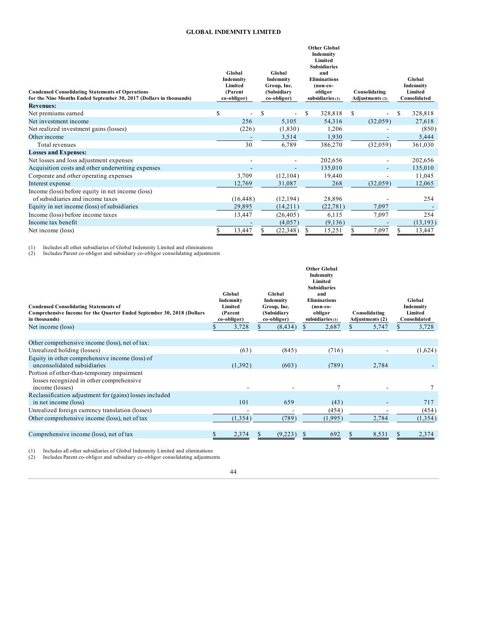| <b>Condensed Consolidating Statements of Operations</b><br>for the Nine Months Ended September 30, 2017 (Dollars in thousands) |               | Global<br>Indemnity<br>Limited<br>(Parent<br>co-obligor) | Global<br>Indemnity<br>Group, Inc.<br>(Subsidiary<br>co-obligor) |                          | <b>Other Global</b><br>Indemnity<br>Limited<br><b>Subsidiaries</b><br>and<br><b>Eliminations</b><br>$non-co-$<br>obligor<br>subsidiaries $(1)$ |           |    | Consolidating<br>Adjustments (2) |   | Global<br>Indemnity<br>Limited<br>Consolidated |
|--------------------------------------------------------------------------------------------------------------------------------|---------------|----------------------------------------------------------|------------------------------------------------------------------|--------------------------|------------------------------------------------------------------------------------------------------------------------------------------------|-----------|----|----------------------------------|---|------------------------------------------------|
| <b>Revenues:</b>                                                                                                               |               |                                                          |                                                                  |                          |                                                                                                                                                |           |    |                                  |   |                                                |
| Net premiums earned                                                                                                            | <sup>\$</sup> |                                                          | S                                                                |                          | \$                                                                                                                                             | 328,818   | \$ |                                  | S | 328,818                                        |
| Net investment income                                                                                                          |               | 256                                                      |                                                                  | 5,105                    |                                                                                                                                                | 54,316    |    | (32,059)                         |   | 27,618                                         |
| Net realized investment gains (losses)                                                                                         |               | (226)                                                    |                                                                  | (1,830)                  |                                                                                                                                                | 1,206     |    |                                  |   | (850)                                          |
| Other income                                                                                                                   |               |                                                          |                                                                  | 3,514                    |                                                                                                                                                | 1,930     |    |                                  |   | 5,444                                          |
| Total revenues                                                                                                                 |               | 30                                                       |                                                                  | 6,789                    |                                                                                                                                                | 386,270   |    | (32,059)                         |   | 361,030                                        |
| <b>Losses and Expenses:</b>                                                                                                    |               |                                                          |                                                                  |                          |                                                                                                                                                |           |    |                                  |   |                                                |
| Net losses and loss adjustment expenses                                                                                        |               |                                                          |                                                                  |                          |                                                                                                                                                | 202,656   |    |                                  |   | 202,656                                        |
| Acquisition costs and other underwriting expenses                                                                              |               |                                                          |                                                                  | $\overline{\phantom{a}}$ |                                                                                                                                                | 135,010   |    |                                  |   | 135,010                                        |
| Corporate and other operating expenses                                                                                         |               | 3,709                                                    |                                                                  | (12, 104)                |                                                                                                                                                | 19,440    |    |                                  |   | 11,045                                         |
| Interest expense                                                                                                               |               | 12,769                                                   |                                                                  | 31,087                   |                                                                                                                                                | 268       |    | (32,059)                         |   | 12,065                                         |
| Income (loss) before equity in net income (loss)                                                                               |               |                                                          |                                                                  |                          |                                                                                                                                                |           |    |                                  |   |                                                |
| of subsidiaries and income taxes                                                                                               |               | (16, 448)                                                |                                                                  | (12, 194)                |                                                                                                                                                | 28,896    |    |                                  |   | 254                                            |
| Equity in net income (loss) of subsidiaries                                                                                    |               | 29,895                                                   |                                                                  | (14,211)                 |                                                                                                                                                | (22, 781) |    | 7,097                            |   |                                                |
| Income (loss) before income taxes                                                                                              |               | 13,447                                                   |                                                                  | (26, 405)                |                                                                                                                                                | 6,115     |    | 7,097                            |   | 254                                            |
| Income tax benefit                                                                                                             |               |                                                          |                                                                  | (4,057)                  |                                                                                                                                                | (9, 136)  |    |                                  |   | (13, 193)                                      |
| Net income (loss)                                                                                                              | \$            | 13,447                                                   |                                                                  | (22, 348)                |                                                                                                                                                | 15,251    |    | 7,097                            | S | 13,447                                         |

(1) Includes all other subsidiaries of Global Indemnity Limited and eliminations (2) Includes Parent co-obligor and subsidiary co-obligor consolidating adjustments

| <b>Condensed Consolidating Statements of</b><br>Comprehensive Income for the Quarter Ended September 30, 2018 (Dollars<br>in thousands) | Global<br>Indemnity<br>Limited<br>(Parent<br>co-obligor) | Global<br>Indemnity<br>Group, Inc.<br>(Subsidiary<br>co-obligor) | <b>Other Global</b><br>Indemnity<br>Limited<br><b>Subsidiaries</b><br>and<br><b>Eliminations</b><br>$non-co-$<br>obligor<br>subsidiaries $(1)$ | Consolidating<br>Adjustments (2) | Global<br>Indemnity<br>Limited<br>Consolidated |
|-----------------------------------------------------------------------------------------------------------------------------------------|----------------------------------------------------------|------------------------------------------------------------------|------------------------------------------------------------------------------------------------------------------------------------------------|----------------------------------|------------------------------------------------|
| Net income (loss)                                                                                                                       | 3,728                                                    | (8, 434)                                                         | 2,687                                                                                                                                          | 5,747                            | 3,728                                          |
| Other comprehensive income (loss), net of tax:                                                                                          |                                                          |                                                                  |                                                                                                                                                |                                  |                                                |
| Unrealized holding (losses)                                                                                                             | (63)                                                     | (845)                                                            | (716)                                                                                                                                          |                                  | (1,624)                                        |
| Equity in other comprehensive income (loss) of<br>unconsolidated subsidiaries                                                           | (1, 392)                                                 | (603)                                                            | (789)                                                                                                                                          | 2,784                            |                                                |
| Portion of other-than-temporary impairment<br>losses recognized in other comprehensive<br>income (losses)                               |                                                          |                                                                  | 7                                                                                                                                              |                                  | 7                                              |
| Reclassification adjustment for (gains) losses included<br>in net income (loss)                                                         | 101                                                      | 659                                                              | (43)                                                                                                                                           |                                  | 717                                            |
| Unrealized foreign currency translation (losses)                                                                                        |                                                          |                                                                  | (454)                                                                                                                                          |                                  | (454)                                          |
| Other comprehensive income (loss), net of tax                                                                                           | (1, 354)                                                 | (789)                                                            | (1,995)                                                                                                                                        | 2,784                            | (1, 354)                                       |
| Comprehensive income (loss), net of tax                                                                                                 | 2,374                                                    | (9,223)                                                          | 692<br>Ж                                                                                                                                       | 8,531                            | 2,374                                          |

(1) Includes all other subsidiaries of Global Indemnity Limited and eliminations

(2) Includes Parent co-obligor and subsidiary co-obligor consolidating adjustments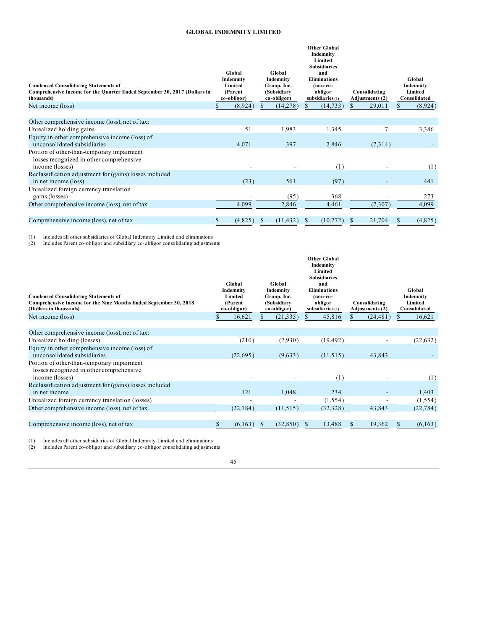| <b>Condensed Consolidating Statements of</b><br>Comprehensive Income for the Quarter Ended September 30, 2017 (Dollars in<br>thousands) | Global<br>Indemnity<br>Limited<br>(Parent<br>co-obligor) |         |   | Global<br>Indemnity<br>Group, Inc.<br>(Subsidiary<br>co-obligor) |   | <b>Other Global</b><br>Indemnity<br>Limited<br><b>Subsidiaries</b><br>and<br><b>Eliminations</b><br>$non-co-$<br>obligor<br>subsidiaries $(1)$ |   | Consolidating<br>Adjustments (2) | Global<br>Indemnity<br>Limited<br>Consolidated |
|-----------------------------------------------------------------------------------------------------------------------------------------|----------------------------------------------------------|---------|---|------------------------------------------------------------------|---|------------------------------------------------------------------------------------------------------------------------------------------------|---|----------------------------------|------------------------------------------------|
| Net income (loss)                                                                                                                       | S                                                        | (8,924) |   | (14,278)                                                         |   | (14, 733)                                                                                                                                      |   | 29,011                           | \$<br>(8,924)                                  |
| Other comprehensive income (loss), net of tax:                                                                                          |                                                          |         |   |                                                                  |   |                                                                                                                                                |   |                                  |                                                |
| Unrealized holding gains                                                                                                                |                                                          | 51      |   | 1,983                                                            |   | 1,345                                                                                                                                          |   | 7                                | 3,386                                          |
| Equity in other comprehensive income (loss) of<br>unconsolidated subsidiaries                                                           |                                                          | 4,071   |   | 397                                                              |   | 2,846                                                                                                                                          |   | (7,314)                          |                                                |
| Portion of other-than-temporary impairment<br>losses recognized in other comprehensive<br>income (losses)                               |                                                          |         |   |                                                                  |   | (1)                                                                                                                                            |   |                                  | (1)                                            |
| Reclassification adjustment for (gains) losses included<br>in net income (loss)                                                         |                                                          | (23)    |   | 561                                                              |   | (97)                                                                                                                                           |   |                                  | 441                                            |
| Unrealized foreign currency translation<br>gains (losses)                                                                               |                                                          |         |   | (95)                                                             |   | 368                                                                                                                                            |   |                                  | 273                                            |
| Other comprehensive income (loss), net of tax                                                                                           |                                                          | 4,099   |   | 2,846                                                            |   | 4,461                                                                                                                                          |   | (7,307)                          | 4,099                                          |
| Comprehensive income (loss), net of tax                                                                                                 | \$                                                       | (4,825) | S | (11, 432)                                                        | S | (10,272)                                                                                                                                       | S | 21,704                           | \$<br>(4,825)                                  |

(1) Includes all other subsidiaries of Global Indemnity Limited and eliminations (2) Includes Parent co-obligor and subsidiary co-obligor consolidating adjustments

| <b>Condensed Consolidating Statements of</b><br>Comprehensive Income for the Nine Months Ended September 30, 2018<br>(Dollars in thousands) | Global<br>Indemnity<br>Limited<br>(Parent<br>co-obligor) |   | Global<br>Indemnity<br>Group, Inc.<br>(Subsidiary<br>co-obligor) | <b>Other Global</b><br>Indemnity<br>Limited<br><b>Subsidiaries</b><br>and<br><b>Eliminations</b><br>$non-co-$<br>obligor<br>subsidiaries $(1)$ | Consolidating<br>Adjustments (2) |   | Global<br>Indemnity<br>Limited<br>Consolidated |
|---------------------------------------------------------------------------------------------------------------------------------------------|----------------------------------------------------------|---|------------------------------------------------------------------|------------------------------------------------------------------------------------------------------------------------------------------------|----------------------------------|---|------------------------------------------------|
| Net income (loss)                                                                                                                           | 16,621                                                   |   | (21, 335)                                                        | 45,816                                                                                                                                         | (24, 481)                        |   | 16,621                                         |
| Other comprehensive income (loss), net of tax:<br>Unrealized holding (losses)                                                               | (210)                                                    |   | (2,930)                                                          | (19, 492)                                                                                                                                      |                                  |   | (22, 632)                                      |
| Equity in other comprehensive income (loss) of<br>unconsolidated subsidiaries                                                               | (22,695)                                                 |   | (9,633)                                                          | (11,515)                                                                                                                                       | 43,843                           |   |                                                |
| Portion of other-than-temporary impairment<br>losses recognized in other comprehensive<br>income (losses)                                   |                                                          |   |                                                                  | (1)                                                                                                                                            |                                  |   | (1)                                            |
| Reclassification adjustment for (gains) losses included<br>in net income                                                                    | 121                                                      |   | 1,048                                                            | 234                                                                                                                                            |                                  |   | 1,403                                          |
| Unrealized foreign currency translation (losses)                                                                                            |                                                          |   |                                                                  | (1, 554)                                                                                                                                       |                                  |   | (1, 554)                                       |
| Other comprehensive income (loss), net of tax                                                                                               | (22, 784)                                                |   | (11,515)                                                         | (32,328)                                                                                                                                       | 43,843                           |   | (22, 784)                                      |
| Comprehensive income (loss), net of tax                                                                                                     | \$<br>(6,163)                                            | S | (32, 850)                                                        | 13,488                                                                                                                                         | 19,362                           | S | (6,163)                                        |

(1) Includes all other subsidiaries of Global Indemnity Limited and eliminations (2) Includes Parent co-obligor and subsidiary co-obligor consolidating adjustments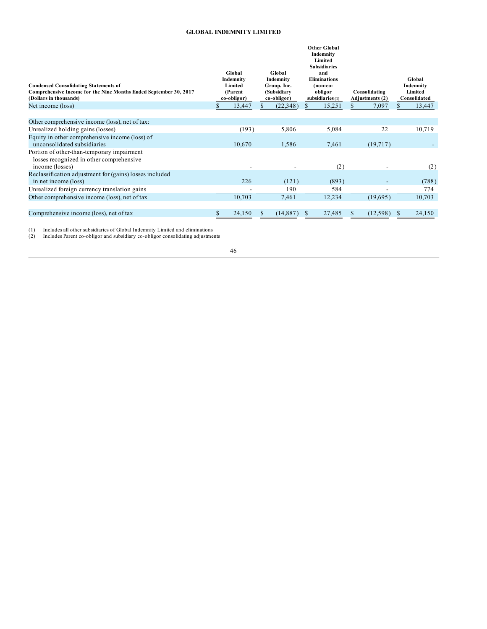| <b>Condensed Consolidating Statements of</b><br>Comprehensive Income for the Nine Months Ended September 30, 2017<br>(Dollars in thousands) | Global<br>Indemnity<br>Limited<br>(Parent<br>co-obligor) | Global<br>Indemnity<br>Group, Inc.<br>(Subsidiary<br>co-obligor) |           |  | <b>Other Global</b><br>Indemnity<br>Limited<br><b>Subsidiaries</b><br>and<br><b>Eliminations</b><br>(non-co-<br>obligor<br>subsidiaries $(1)$ | Consolidating<br>Adjustments (2) | Global<br>Indemnity<br>Limited<br>Consolidated |        |  |
|---------------------------------------------------------------------------------------------------------------------------------------------|----------------------------------------------------------|------------------------------------------------------------------|-----------|--|-----------------------------------------------------------------------------------------------------------------------------------------------|----------------------------------|------------------------------------------------|--------|--|
| Net income (loss)                                                                                                                           | 13,447                                                   |                                                                  | (22, 348) |  | 15,251                                                                                                                                        | 7,097                            |                                                | 13,447 |  |
| Other comprehensive income (loss), net of tax:                                                                                              |                                                          |                                                                  |           |  |                                                                                                                                               |                                  |                                                |        |  |
| Unrealized holding gains (losses)                                                                                                           | (193)                                                    |                                                                  | 5,806     |  | 5.084                                                                                                                                         | 22                               |                                                | 10,719 |  |
| Equity in other comprehensive income (loss) of<br>unconsolidated subsidiaries                                                               | 10,670                                                   |                                                                  | 1,586     |  | 7,461                                                                                                                                         | (19,717)                         |                                                |        |  |
| Portion of other-than-temporary impairment<br>losses recognized in other comprehensive<br>income (losses)                                   |                                                          |                                                                  |           |  | (2)                                                                                                                                           |                                  |                                                | (2)    |  |
| Reclassification adjustment for (gains) losses included                                                                                     |                                                          |                                                                  |           |  |                                                                                                                                               |                                  |                                                |        |  |
| in net income (loss)                                                                                                                        | 226                                                      |                                                                  | (121)     |  | (893)                                                                                                                                         |                                  |                                                | (788)  |  |
| Unrealized foreign currency translation gains                                                                                               |                                                          |                                                                  | 190       |  | 584                                                                                                                                           |                                  |                                                | 774    |  |
| Other comprehensive income (loss), net of tax                                                                                               | 10,703                                                   |                                                                  | 7,461     |  | 12,234                                                                                                                                        | (19,695)                         |                                                | 10,703 |  |
| Comprehensive income (loss), net of tax                                                                                                     | 24,150                                                   |                                                                  | (14, 887) |  | 27,485                                                                                                                                        | (12, 598)                        |                                                | 24,150 |  |

(1) Includes all other subsidiaries of Global Indemnity Limited and eliminations (2) Includes Parent co-obligor and subsidiary co-obligor consolidating adjustments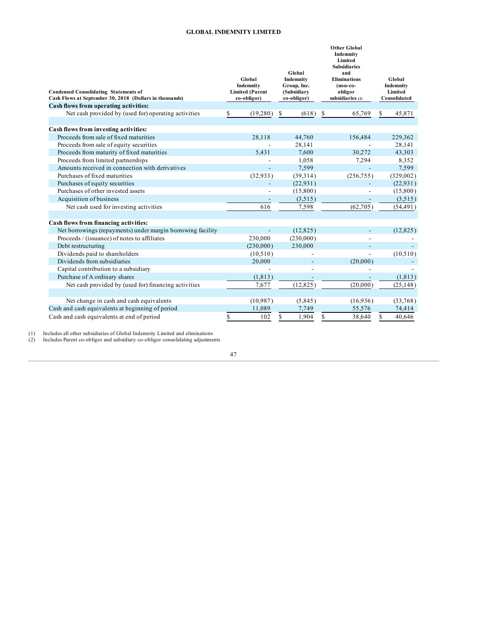| <b>Condensed Consolidating Statements of</b><br>Cash Flows at September 30, 2018 (Dollars in thousands) | Global<br>Indemnity<br><b>Limited</b> (Parent<br>co-obligor) | Global<br>Indemnity<br>Group, Inc.<br>(Subsidiary<br>co-obligor) | <b>Other Global</b><br>Indemnity<br>Limited<br><b>Subsidiaries</b><br>and<br><b>Eliminations</b><br>$non-co-$<br>obligor<br>subsidiaries (1) | Global<br>Indemnity<br>Limited<br>Consolidated |
|---------------------------------------------------------------------------------------------------------|--------------------------------------------------------------|------------------------------------------------------------------|----------------------------------------------------------------------------------------------------------------------------------------------|------------------------------------------------|
| Cash flows from operating activities:                                                                   |                                                              |                                                                  |                                                                                                                                              |                                                |
| Net cash provided by (used for) operating activities                                                    | \$<br>(19,280)                                               | \$<br>(618)                                                      | S<br>65,769                                                                                                                                  | S<br>45,871                                    |
|                                                                                                         |                                                              |                                                                  |                                                                                                                                              |                                                |
| Cash flows from investing activities:                                                                   |                                                              |                                                                  |                                                                                                                                              |                                                |
| Proceeds from sale of fixed maturities                                                                  | 28,118                                                       | 44,760                                                           | 156,484                                                                                                                                      | 229,362                                        |
| Proceeds from sale of equity securities                                                                 |                                                              | 28,141                                                           |                                                                                                                                              | 28,141                                         |
| Proceeds from maturity of fixed maturities                                                              | 5,431                                                        | 7,600                                                            | 30,272                                                                                                                                       | 43,303                                         |
| Proceeds from limited partnerships                                                                      |                                                              | 1,058                                                            | 7,294                                                                                                                                        | 8,352                                          |
| Amounts received in connection with derivatives                                                         |                                                              | 7,599                                                            |                                                                                                                                              | 7,599                                          |
| Purchases of fixed maturities                                                                           | (32, 933)                                                    | (39,314)                                                         | (256, 755)                                                                                                                                   | (329,002)                                      |
| Purchases of equity securities                                                                          |                                                              | (22, 931)                                                        |                                                                                                                                              | (22, 931)                                      |
| Purchases of other invested assets                                                                      |                                                              | (15,800)                                                         |                                                                                                                                              | (15,800)                                       |
| Acquisition of business                                                                                 |                                                              | (3,515)                                                          |                                                                                                                                              | (3,515)                                        |
| Net cash used for investing activities                                                                  | 616                                                          | 7,598                                                            | (62, 705)                                                                                                                                    | (54, 491)                                      |
|                                                                                                         |                                                              |                                                                  |                                                                                                                                              |                                                |
| Cash flows from financing activities:                                                                   |                                                              |                                                                  |                                                                                                                                              |                                                |
| Net borrowings (repayments) under margin borrowing facility                                             |                                                              | (12, 825)                                                        |                                                                                                                                              | (12, 825)                                      |
| Proceeds / (issuance) of notes to affiliates                                                            | 230,000                                                      | (230,000)                                                        |                                                                                                                                              |                                                |
| Debt restructuring                                                                                      | (230,000)                                                    | 230,000                                                          |                                                                                                                                              |                                                |
| Dividends paid to shareholders                                                                          | (10,510)                                                     |                                                                  | $\blacksquare$                                                                                                                               | (10,510)                                       |
| Dividends from subsidiaries                                                                             | 20,000                                                       |                                                                  | (20,000)                                                                                                                                     |                                                |
| Capital contribution to a subsidiary                                                                    |                                                              |                                                                  |                                                                                                                                              |                                                |
| Purchase of A ordinary shares                                                                           | (1, 813)                                                     |                                                                  |                                                                                                                                              | (1, 813)                                       |
| Net cash provided by (used for) financing activities                                                    | 7,677                                                        | (12, 825)                                                        | (20,000)                                                                                                                                     | (25, 148)                                      |
|                                                                                                         |                                                              |                                                                  |                                                                                                                                              |                                                |
| Net change in cash and cash equivalents                                                                 | (10,987)                                                     | (5,845)                                                          | (16,936)                                                                                                                                     | (33,768)                                       |
| Cash and cash equivalents at beginning of period                                                        | 11,089                                                       | 7,749                                                            | 55,576                                                                                                                                       | 74,414                                         |
| Cash and cash equivalents at end of period                                                              | $\overline{\mathbf{S}}$<br>102                               | \$<br>1,904                                                      | \$<br>38,640                                                                                                                                 | \$<br>40,646                                   |
|                                                                                                         |                                                              |                                                                  |                                                                                                                                              |                                                |

(1) Includes all other subsidiaries of Global Indemnity Limited and eliminations (2) Includes Parent co-obligor and subsidiary co-obligor consolidating adjustments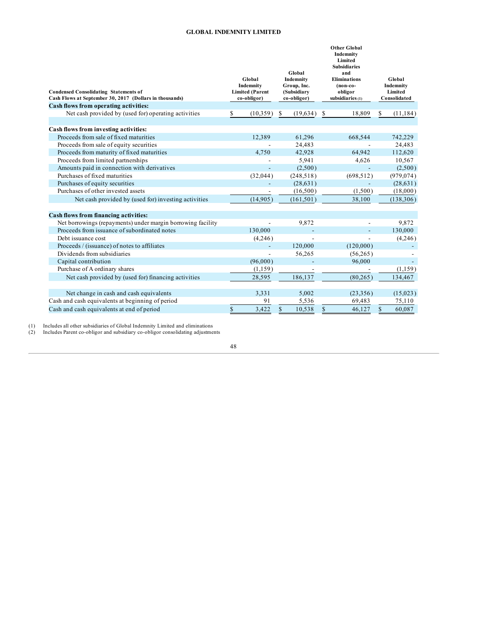| <b>Condensed Consolidating Statements of</b><br>Cash Flows at September 30, 2017 (Dollars in thousands) |    | Global<br>Indemnity<br><b>Limited</b> (Parent<br>co-obligor) | Global<br>Indemnity<br>Group, Inc.<br>(Subsidiary<br>co-obligor) | <b>Other Global</b><br>Indemnity<br>Limited<br><b>Subsidiaries</b><br>and<br><b>Eliminations</b><br>$non-co-$<br>obligor<br>subsidiaries $(1)$ |             | Global<br>Indemnity<br>Limited<br>Consolidated |
|---------------------------------------------------------------------------------------------------------|----|--------------------------------------------------------------|------------------------------------------------------------------|------------------------------------------------------------------------------------------------------------------------------------------------|-------------|------------------------------------------------|
| Cash flows from operating activities:                                                                   |    |                                                              |                                                                  |                                                                                                                                                |             |                                                |
| Net cash provided by (used for) operating activities                                                    | \$ | (10,359)                                                     | \$<br>(19,634)                                                   | \$<br>18,809                                                                                                                                   | \$          | (11, 184)                                      |
| Cash flows from investing activities:                                                                   |    |                                                              |                                                                  |                                                                                                                                                |             |                                                |
| Proceeds from sale of fixed maturities                                                                  |    | 12,389                                                       | 61,296                                                           | 668,544                                                                                                                                        |             | 742,229                                        |
| Proceeds from sale of equity securities                                                                 |    |                                                              | 24,483                                                           |                                                                                                                                                |             | 24,483                                         |
| Proceeds from maturity of fixed maturities                                                              |    | 4.750                                                        | 42,928                                                           | 64.942                                                                                                                                         |             | 112,620                                        |
| Proceeds from limited partnerships                                                                      |    |                                                              | 5,941                                                            | 4,626                                                                                                                                          |             | 10,567                                         |
| Amounts paid in connection with derivatives                                                             |    | $\blacksquare$                                               | (2,500)                                                          |                                                                                                                                                |             | (2,500)                                        |
| Purchases of fixed maturities                                                                           |    | (32,044)                                                     | (248, 518)                                                       | (698, 512)                                                                                                                                     |             | (979, 074)                                     |
| Purchases of equity securities                                                                          |    |                                                              | (28, 631)                                                        |                                                                                                                                                |             | (28, 631)                                      |
| Purchases of other invested assets                                                                      |    |                                                              | (16,500)                                                         | (1,500)                                                                                                                                        |             | (18,000)                                       |
| Net cash provided by (used for) investing activities                                                    |    | (14,905)                                                     | (161, 501)                                                       | 38,100                                                                                                                                         |             | (138, 306)                                     |
|                                                                                                         |    |                                                              |                                                                  |                                                                                                                                                |             |                                                |
| Cash flows from financing activities:                                                                   |    |                                                              |                                                                  |                                                                                                                                                |             |                                                |
| Net borrowings (repayments) under margin borrowing facility                                             |    |                                                              | 9,872                                                            |                                                                                                                                                |             | 9,872                                          |
| Proceeds from issuance of subordinated notes                                                            |    | 130,000                                                      |                                                                  |                                                                                                                                                |             | 130,000                                        |
| Debt issuance cost                                                                                      |    | (4,246)                                                      |                                                                  |                                                                                                                                                |             | (4,246)                                        |
| Proceeds / (issuance) of notes to affiliates                                                            |    |                                                              | 120,000                                                          | (120,000)                                                                                                                                      |             |                                                |
| Dividends from subsidiaries                                                                             |    |                                                              | 56,265                                                           | (56,265)                                                                                                                                       |             |                                                |
| Capital contribution                                                                                    |    | (96,000)                                                     |                                                                  | 96,000                                                                                                                                         |             |                                                |
| Purchase of A ordinary shares                                                                           |    | (1,159)                                                      |                                                                  |                                                                                                                                                |             | (1, 159)                                       |
| Net cash provided by (used for) financing activities                                                    |    | 28,595                                                       | 186,137                                                          | (80, 265)                                                                                                                                      |             | 134,467                                        |
| Net change in cash and cash equivalents                                                                 |    | 3.331                                                        | 5,002                                                            | (23, 356)                                                                                                                                      |             | (15,023)                                       |
| Cash and cash equivalents at beginning of period                                                        |    | 91                                                           | 5,536                                                            | 69,483                                                                                                                                         |             | 75,110                                         |
| Cash and cash equivalents at end of period                                                              | \$ | 3,422                                                        | \$<br>10,538                                                     | \$<br>46,127                                                                                                                                   | $\mathbf S$ | 60,087                                         |
|                                                                                                         |    |                                                              |                                                                  |                                                                                                                                                |             |                                                |

(1) Includes all other subsidiaries of Global Indemnity Limited and eliminations (2) Includes Parent co-obligor and subsidiary co-obligor consolidating adjustments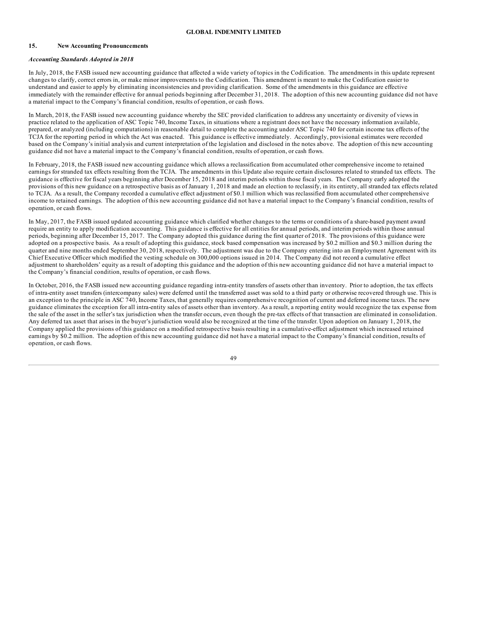#### **15. New Accounting Pronouncements**

#### *Accounting Standards Adopted in 2018*

In July, 2018, the FASB issued new accounting guidance that affected a wide variety of topics in the Codification. The amendments in this update represent changes to clarify, correct errors in, or make minor improvements to the Codification. This amendment is meant to make the Codification easier to understand and easier to apply by eliminating inconsistencies and providing clarification. Some of the amendments in this guidance are effective immediately with the remainder effective for annual periods beginning after December 31, 2018. The adoption of this new accounting guidance did not have a material impact to the Company's financial condition, results of operation, or cash flows.

In March, 2018, the FASB issued new accounting guidance whereby the SEC provided clarification to address any uncertainty or diversity of views in practice related to the application of ASC Topic 740, Income Taxes, in situations where a registrant does not have the necessary information available, prepared, or analyzed (including computations) in reasonable detail to complete the accounting under ASC Topic 740 for certain income tax effects of the TCJA for the reporting period in which the Act was enacted. This guidance is effective immediately. Accordingly, provisional estimates were recorded based on the Company's initial analysis and current interpretation of the legislation and disclosed in the notes above. The adoption of this new accounting guidance did not have a material impact to the Company's financial condition, results of operation, or cash flows.

In February, 2018, the FASB issued new accounting guidance which allows a reclassification from accumulated other comprehensive income to retained earnings for stranded tax effects resulting from the TCJA. The amendments in this Update also require certain disclosures related to stranded tax effects. The guidance is effective for fiscal years beginning after December 15, 2018 and interim periods within those fiscal years. The Company early adopted the provisions of this new guidance on a retrospective basis as of January 1, 2018 and made an election to reclassify, in its entirety, all stranded tax effects related to TCJA. As a result, the Company recorded a cumulative effect adjustment of \$0.1 million which was reclassified from accumulated other comprehensive income to retained earnings. The adoption of this new accounting guidance did not have a material impact to the Company's financial condition, results of operation, or cash flows.

In May, 2017, the FASB issued updated accounting guidance which clarified whether changes to the terms or conditions of a share-based payment award require an entity to apply modification accounting. This guidance is effective for all entities for annual periods, and interim periods within those annual periods, beginning after December 15, 2017. The Company adopted this guidance during the first quarter of 2018. The provisions of this guidance were adopted on a prospective basis. As a result of adopting this guidance, stock based compensation was increased by \$0.2 million and \$0.3 million during the quarter and nine months ended September 30, 2018, respectively. The adjustment was due to the Company entering into an Employment Agreement with its Chief Executive Officer which modified the vesting schedule on 300,000 options issued in 2014. The Company did not record a cumulative effect adjustment to shareholders' equity as a result of adopting this guidance and the adoption of this new accounting guidance did not have a material impact to the Company's financial condition, results of operation, or cash flows.

In October, 2016, the FASB issued new accounting guidance regarding intra-entity transfers of assets other than inventory. Prior to adoption, the tax effects of intra-entity asset transfers (intercompany sales) were deferred until the transferred asset was sold to a third party or otherwise recovered through use. This is an exception to the principle in ASC 740, Income Taxes, that generally requires comprehensive recognition of current and deferred income taxes. The new guidance eliminates the exception for all intra-entity sales of assets other than inventory. As a result, a reporting entity would recognize the tax expense from the sale of the asset in the seller's tax jurisdiction when the transfer occurs, even though the pre-tax effects of that transaction are eliminated in consolidation. Any deferred tax asset that arises in the buyer's jurisdiction would also be recognized at the time of the transfer. Upon adoption on January 1, 2018, the Company applied the provisions of this guidance on a modified retrospective basis resulting in a cumulative-effect adjustment which increased retained earnings by \$0.2 million. The adoption of this new accounting guidance did not have a material impact to the Company's financial condition, results of operation, or cash flows.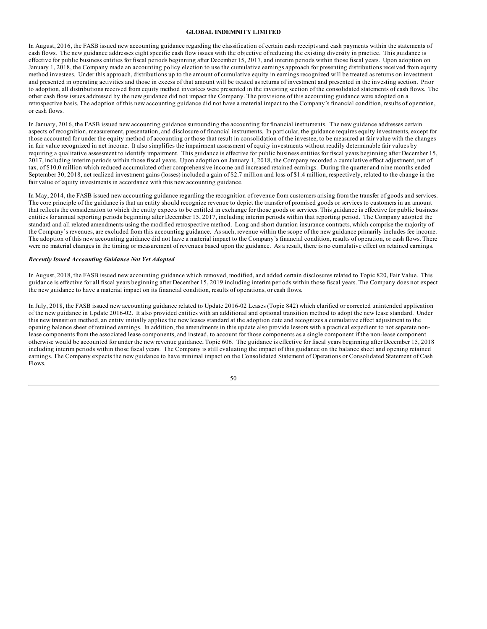In August, 2016, the FASB issued new accounting guidance regarding the classification of certain cash receipts and cash payments within the statements of cash flows. The new guidance addresses eight specific cash flow issues with the objective of reducing the existing diversity in practice. This guidance is effective for public business entities for fiscal periods beginning after December 15, 2017, and interim periods within those fiscal years. Upon adoption on January 1, 2018, the Company made an accounting policy election to use the cumulative earnings approach for presenting distributions received from equity method investees. Under this approach, distributions up to the amount of cumulative equity in earnings recognized will be treated as returns on investment and presented in operating activities and those in excess of that amount will be treated as returns of investment and presented in the investing section. Prior to adoption, all distributions received from equity method investees were presented in the investing section of the consolidated statements of cash flows. The other cash flow issues addressed by the new guidance did not impact the Company. The provisions of this accounting guidance were adopted on a retrospective basis. The adoption of this new accounting guidance did not have a material impact to the Company's financial condition, results of operation, or cash flows.

In January, 2016, the FASB issued new accounting guidance surrounding the accounting for financial instruments. The new guidance addresses certain aspects of recognition, measurement, presentation, and disclosure of financial instruments. In particular, the guidance requires equity investments, except for those accounted for under the equity method of accounting or those that result in consolidation of the investee, to be measured at fair value with the changes in fair value recognized in net income. It also simplifies the impairment assessment of equity investments without readily determinable fair values by requiring a qualitative assessment to identify impairment. This guidance is effective for public business entities for fiscal years beginning after December 15, 2017, including interim periods within those fiscal years. Upon adoption on January 1, 2018, the Company recorded a cumulative effect adjustment, net of tax, of \$10.0 million which reduced accumulated other comprehensive income and increased retained earnings. During the quarter and nine months ended September 30, 2018, net realized investment gains (losses) included a gain of \$2.7 million and loss of \$1.4 million, respectively, related to the change in the fair value of equity investments in accordance with this new accounting guidance.

In May, 2014, the FASB issued new accounting guidance regarding the recognition of revenue from customers arising from the transfer of goods and services. The core principle of the guidance is that an entity should recognize revenue to depict the transfer of promised goods or services to customers in an amount that reflects the consideration to which the entity expects to be entitled in exchange for those goods or services. This guidance is effective for public business entities for annual reporting periods beginning after December 15, 2017, including interim periods within that reporting period. The Company adopted the standard and all related amendments using the modified retrospective method. Long and short duration insurance contracts, which comprise the majority of the Company's revenues, are excluded from this accounting guidance. As such, revenue within the scope of the new guidance primarily includes fee income. The adoption of this new accounting guidance did not have a material impact to the Company's financial condition, results of operation, or cash flows. There were no material changes in the timing or measurement of revenues based upon the guidance. As a result, there is no cumulative effect on retained earnings.

#### *Recently Issued Accounting Guidance Not Yet Adopted*

In August, 2018, the FASB issued new accounting guidance which removed, modified, and added certain disclosures related to Topic 820, Fair Value. This guidance is effective for all fiscal years beginning after December 15, 2019 including interim periods within those fiscal years. The Company does not expect the new guidance to have a material impact on its financial condition, results of operations, or cash flows.

In July, 2018, the FASB issued new accounting guidance related to Update 2016-02 Leases (Topic 842) which clarified or corrected unintended application of the new guidance in Update 2016-02. It also provided entities with an additional and optional transition method to adopt the new lease standard. Under this new transition method, an entity initially applies the new leases standard at the adoption date and recognizes a cumulative effect adjustment to the opening balance sheet of retained earnings. In addition, the amendments in this update also provide lessors with a practical expedient to not separate nonlease components from the associated lease components, and instead, to account for those components as a single component if the non-lease component otherwise would be accounted for under the new revenue guidance, Topic 606. The guidance is effective for fiscal years beginning after December 15, 2018 including interim periods within those fiscal years. The Company is still evaluating the impact of this guidance on the balance sheet and opening retained earnings. The Company expects the new guidance to have minimal impact on the Consolidated Statement of Operations or Consolidated Statement of Cash Flows.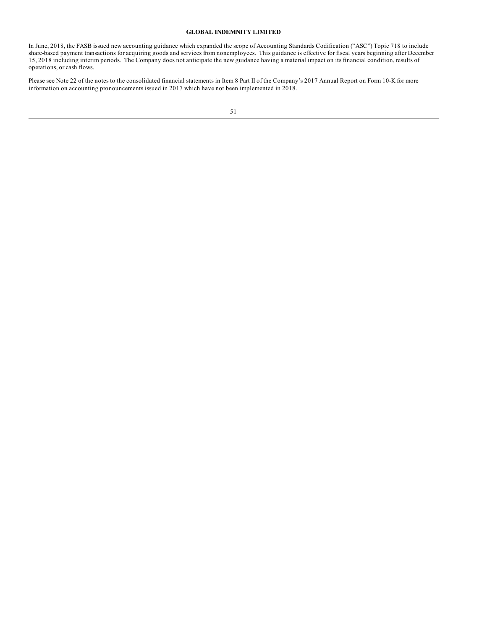In June, 2018, the FASB issued new accounting guidance which expanded the scope of Accounting Standards Codification ("ASC") Topic 718 to include share-based payment transactions for acquiring goods and services from nonemployees. This guidance is effective for fiscal years beginning after December 15, 2018 including interim periods. The Company does not anticipate the new guidance having a material impact on its financial condition, results of operations, or cash flows.

Please see Note 22 of the notes to the consolidated financial statements in Item 8 Part II of the Company's 2017 Annual Report on Form 10-K for more information on accounting pronouncements issued in 2017 which have not been implemented in 2018.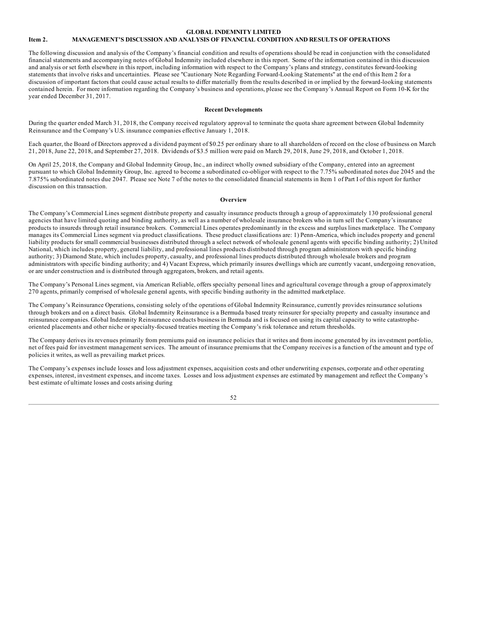## **Item 2. MANAGEMENT'S DISCUSSION AND ANALYSIS OF FINANCIAL CONDITION AND RESULTS OF OPERATIONS**

The following discussion and analysis of the Company's financial condition and results of operations should be read in conjunction with the consolidated financial statements and accompanying notes of Global Indemnity included elsewhere in this report. Some of the information contained in this discussion and analysis or set forth elsewhere in this report, including information with respect to the Company's plans and strategy, constitutes forward-looking statements that involve risks and uncertainties. Please see "Cautionary Note Regarding Forward-Looking Statements" at the end of this Item 2 for a discussion of important factors that could cause actual results to differ materially from the results described in or implied by the forward-looking statements contained herein. For more information regarding the Company's business and operations, please see the Company's Annual Report on Form 10-K for the year ended December 31, 2017.

#### **Recent Developments**

During the quarter ended March 31, 2018, the Company received regulatory approval to terminate the quota share agreement between Global Indemnity Reinsurance and the Company's U.S. insurance companies effective January 1, 2018.

Each quarter, the Board of Directors approved a dividend payment of \$0.25 per ordinary share to all shareholders of record on the close of business on March 21, 2018, June 22, 2018, and September 27, 2018. Dividends of \$3.5 million were paid on March 29, 2018, June 29, 2018, and October 1, 2018.

On April 25, 2018, the Company and Global Indemnity Group, Inc., an indirect wholly owned subsidiary of the Company, entered into an agreement pursuant to which Global Indemnity Group, Inc. agreed to become a subordinated co-obligor with respect to the 7.75% subordinated notes due 2045 and the 7.875% subordinated notes due 2047. Please see Note 7 of the notes to the consolidated financial statements in Item 1 of Part I of this report for further discussion on this transaction.

#### **Overview**

The Company's Commercial Lines segment distribute property and casualty insurance products through a group of approximately 130 professional general agencies that have limited quoting and binding authority, as well as a number of wholesale insurance brokers who in turn sell the Company's insurance products to insureds through retail insurance brokers. Commercial Lines operates predominantly in the excess and surplus lines marketplace. The Company manages its Commercial Lines segment via product classifications. These product classifications are: 1) Penn-America, which includes property and general liability products for small commercial businesses distributed through a select network of wholesale general agents with specific binding authority; 2) United National, which includes property, general liability, and professional lines products distributed through program administrators with specific binding authority; 3) Diamond State, which includes property, casualty, and professional lines products distributed through wholesale brokers and program administrators with specific binding authority; and 4) Vacant Express, which primarily insures dwellings which are currently vacant, undergoing renovation, or are under construction and is distributed through aggregators, brokers, and retail agents.

The Company's Personal Lines segment, via American Reliable, offers specialty personal lines and agricultural coverage through a group of approximately 270 agents, primarily comprised of wholesale general agents, with specific binding authority in the admitted marketplace.

The Company's Reinsurance Operations, consisting solely of the operations of Global Indemnity Reinsurance, currently provides reinsurance solutions through brokers and on a direct basis. Global Indemnity Reinsurance is a Bermuda based treaty reinsurer for specialty property and casualty insurance and reinsurance companies. Global Indemnity Reinsurance conducts business in Bermuda and is focused on using its capital capacity to write catastropheoriented placements and other niche or specialty-focused treaties meeting the Company's risk tolerance and return thresholds.

The Company derives its revenues primarily from premiums paid on insurance policies that it writes and from income generated by its investment portfolio, net of fees paid for investment management services. The amount of insurance premiums that the Company receives is a function of the amount and type of policies it writes, as well as prevailing market prices.

The Company's expenses include losses and loss adjustment expenses, acquisition costs and other underwriting expenses, corporate and other operating expenses, interest, investment expenses, and income taxes. Losses and loss adjustment expenses are estimated by management and reflect the Company's best estimate of ultimate losses and costs arising during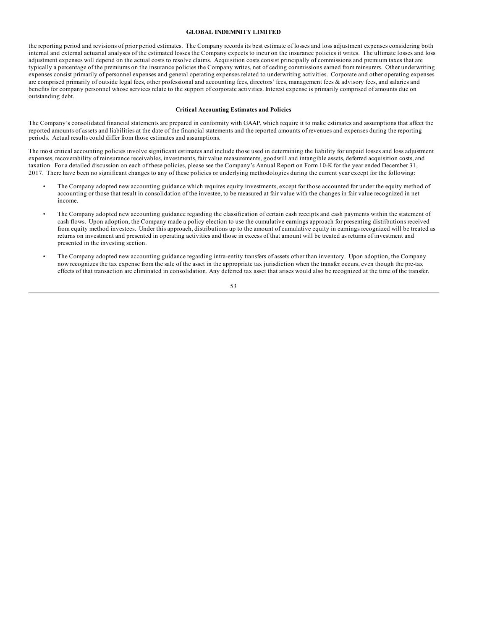the reporting period and revisions of prior period estimates. The Company records its best estimate of losses and loss adjustment expenses considering both internal and external actuarial analyses of the estimated losses the Company expects to incur on the insurance policies it writes. The ultimate losses and loss adjustment expenses will depend on the actual costs to resolve claims. Acquisition costs consist principally of commissions and premium taxes that are typically a percentage of the premiums on the insurance policies the Company writes, net of ceding commissions earned from reinsurers. Other underwriting expenses consist primarily of personnel expenses and general operating expenses related to underwriting activities. Corporate and other operating expenses are comprised primarily of outside legal fees, other professional and accounting fees, directors' fees, management fees & advisory fees, and salaries and benefits for company personnel whose services relate to the support of corporate activities. Interest expense is primarily comprised of amounts due on outstanding debt.

#### **Critical Accounting Estimates and Policies**

The Company's consolidated financial statements are prepared in conformity with GAAP, which require it to make estimates and assumptions that affect the reported amounts of assets and liabilities at the date of the financial statements and the reported amounts of revenues and expenses during the reporting periods. Actual results could differ from those estimates and assumptions.

The most critical accounting policies involve significant estimates and include those used in determining the liability for unpaid losses and loss adjustment expenses, recoverability of reinsurance receivables, investments, fair value measurements, goodwill and intangible assets, deferred acquisition costs, and taxation. For a detailed discussion on each of these policies, please see the Company's Annual Report on Form 10-K for the year ended December 31, 2017. There have been no significant changes to any of these policies or underlying methodologies during the current year except for the following:

- The Company adopted new accounting guidance which requires equity investments, except for those accounted for under the equity method of accounting or those that result in consolidation of the investee, to be measured at fair value with the changes in fair value recognized in net income.
- The Company adopted new accounting guidance regarding the classification of certain cash receipts and cash payments within the statement of cash flows. Upon adoption, the Company made a policy election to use the cumulative earnings approach for presenting distributions received from equity method investees. Under this approach, distributions up to the amount of cumulative equity in earnings recognized will be treated as returns on investment and presented in operating activities and those in excess of that amount will be treated as returns of investment and presented in the investing section.
- The Company adopted new accounting guidance regarding intra-entity transfers of assets other than inventory. Upon adoption, the Company now recognizes the tax expense from the sale of the asset in the appropriate tax jurisdiction when the transfer occurs, even though the pre-tax effects of that transaction are eliminated in consolidation. Any deferred tax asset that arises would also be recognized at the time of the transfer.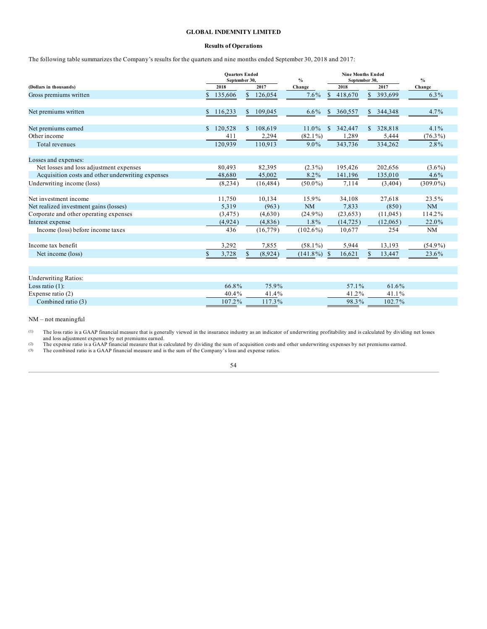#### **Results of Operations**

The following table summarizes the Company's results for the quarters and nine months ended September 30, 2018 and 2017:

|                                                   | <b>Quarters Ended</b><br>September 30, |              |           | $\frac{0}{0}$  |              | <b>Nine Months Ended</b><br>September 30, |    | $\%$      |             |
|---------------------------------------------------|----------------------------------------|--------------|-----------|----------------|--------------|-------------------------------------------|----|-----------|-------------|
| (Dollars in thousands)                            | 2018                                   |              | 2017      | Change         |              | 2018                                      |    | 2017      | Change      |
| Gross premiums written                            | 135,606                                | $\mathbb{S}$ | 126,054   | $7.6\%$        |              | 418,670                                   | \$ | 393,699   | $6.3\%$     |
| Net premiums written                              | \$<br>116,233                          |              | \$109,045 | $6.6\%$        | $\mathbb{S}$ | 360,557                                   |    | \$344,348 | $4.7\%$     |
| Net premiums earned                               | \$<br>120,528                          | <sup>S</sup> | 108,619   | 11.0%          | S.           | 342,447                                   | S. | 328,818   | $4.1\%$     |
| Other income                                      | 411                                    |              | 2,294     | $(82.1\%)$     |              | 1,289                                     |    | 5,444     | $(76.3\%)$  |
| Total revenues                                    | 120,939                                |              | 110,913   | $9.0\%$        |              | 343,736                                   |    | 334,262   | 2.8%        |
| Losses and expenses:                              |                                        |              |           |                |              |                                           |    |           |             |
| Net losses and loss adjustment expenses           | 80,493                                 |              | 82,395    | $(2.3\%)$      |              | 195,426                                   |    | 202,656   | $(3.6\%)$   |
| Acquisition costs and other underwriting expenses | 48,680                                 |              | 45,002    | 8.2%           |              | 141,196                                   |    | 135,010   | $4.6\%$     |
| Underwriting income (loss)                        | (8,234)                                |              | (16, 484) | $(50.0\%)$     |              | 7,114                                     |    | (3, 404)  | $(309.0\%)$ |
| Net investment income                             | 11,750                                 |              | 10,134    | 15.9%          |              | 34,108                                    |    | 27,618    | 23.5%       |
| Net realized investment gains (losses)            | 5,319                                  |              | (963)     | <b>NM</b>      |              | 7,833                                     |    | (850)     | <b>NM</b>   |
| Corporate and other operating expenses            | (3, 475)                               |              | (4,630)   | $(24.9\%)$     |              | (23, 653)                                 |    | (11,045)  | 114.2%      |
| Interest expense                                  | (4,924)                                |              | (4,836)   | 1.8%           |              | (14, 725)                                 |    | (12,065)  | 22.0%       |
| Income (loss) before income taxes                 | 436                                    |              | (16,779)  | $(102.6\%)$    |              | 10,677                                    |    | 254       | <b>NM</b>   |
| Income tax benefit                                | 3,292                                  |              | 7,855     | $(58.1\%)$     |              | 5,944                                     |    | 13,193    | $(54.9\%)$  |
| Net income (loss)                                 | \$<br>3,728                            | \$           | (8,924)   | $(141.8\%)$ \$ |              | 16,621                                    | \$ | 13,447    | 23.6%       |
|                                                   |                                        |              |           |                |              |                                           |    |           |             |
| <b>Underwriting Ratios:</b>                       |                                        |              |           |                |              |                                           |    |           |             |
| Loss ratio $(1)$ :                                | 66.8%                                  |              | 75.9%     |                |              | 57.1%                                     |    | 61.6%     |             |

# NM – not meaningful

(1) The loss ratio is a GAAP financial measure that is generally viewed in the insurance industry as an indicator of underwriting profitability and is calculated by dividing net losses

and loss adjustment expenses by net premiums earned.<br>(2) The expense ratio is a GAAP financial measure that is calculated by dividing the sum of acquisition costs and other underwriting expenses by net premiums earned.

Expense ratio (2)  $\frac{40.4\%}{41.4\%}$   $\frac{41.4\%}{41.2\%}$   $\frac{41.2\%}{41.1\%}$ Combined ratio (3) 107.2% 117.3% 98.3% 102.7%

(3) The combined ratio is a GAAP financial measure and is the sum of the Company's loss and expense ratios.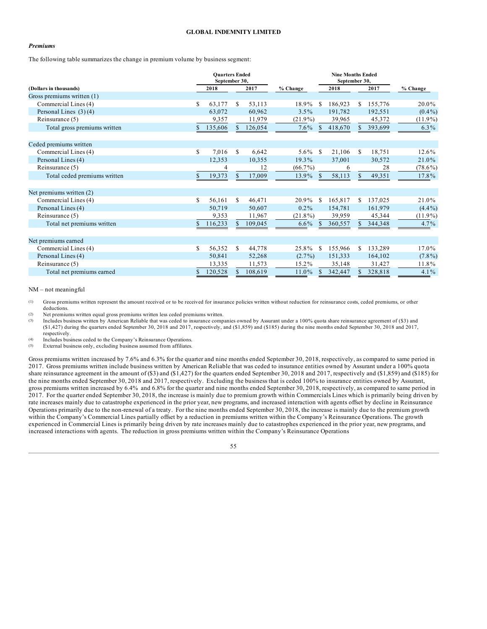#### *Premiums*

The following table summarizes the change in premium volume by business segment:

|                              |     | <b>Ouarters Ended</b><br>September 30, |    |         |                          |         |     |           |            |
|------------------------------|-----|----------------------------------------|----|---------|--------------------------|---------|-----|-----------|------------|
| (Dollars in thousands)       |     | 2018                                   |    | 2017    | % Change                 | 2018    |     | 2017      | % Change   |
| Gross premiums written $(1)$ |     |                                        |    |         |                          |         |     |           |            |
| Commercial Lines (4)         | \$  | 63,177                                 | S  | 53,113  | 18.9%<br>S               | 186,923 | S.  | 155,776   | 20.0%      |
| Personal Lines $(3)(4)$      |     | 63,072                                 |    | 60.962  | $3.5\%$                  | 191,782 |     | 192,551   | $(0.4\%)$  |
| Reinsurance (5)              |     | 9,357                                  |    | 11,979  | $(21.9\%)$               | 39,965  |     | 45,372    | $(11.9\%)$ |
| Total gross premiums written |     | 135,606                                |    | 126,054 | $7.6\%$<br><sup>S</sup>  | 418,670 |     | 393,699   | $6.3\%$    |
| Ceded premiums written       |     |                                        |    |         |                          |         |     |           |            |
| Commercial Lines (4)         | \$  | 7,016                                  | S  | 6,642   | $5.6\%$<br><sup>\$</sup> | 21,106  | \$. | 18,751    | $12.6\%$   |
| Personal Lines (4)           |     | 12,353                                 |    | 10,355  | 19.3%                    | 37,001  |     | 30,572    | 21.0%      |
| Reinsurance (5)              |     | 4                                      |    | 12      | $(66.7\%)$               | 6       |     | 28        | $(78.6\%)$ |
| Total ceded premiums written |     | 19,373                                 |    | 17,009  | 13.9%                    | 58,113  |     | 49,351    | 17.8%      |
| Net premiums written (2)     |     |                                        |    |         |                          |         |     |           |            |
| Commercial Lines (4)         | \$. | 56.161                                 | S. | 46.471  | 20.9%<br>S               | 165,817 | \$. | 137,025   | 21.0%      |
| Personal Lines (4)           |     | 50,719                                 |    | 50,607  | $0.2\%$                  | 154,781 |     | 161,979   | $(4.4\%)$  |
| Reinsurance (5)              |     | 9,353                                  |    | 11,967  | $(21.8\%)$               | 39,959  |     | 45,344    | $(11.9\%)$ |
| Total net premiums written   |     | 116,233                                | S. | 109,045 | $6.6\%$<br>-S            | 360,557 |     | \$344,348 | $4.7\%$    |
| Net premiums earned          |     |                                        |    |         |                          |         |     |           |            |
| Commercial Lines (4)         | \$  | 56,352                                 | S  | 44,778  | 25.8%<br>S               | 155,966 | S   | 133,289   | 17.0%      |
| Personal Lines (4)           |     | 50,841                                 |    | 52,268  | $(2.7\%)$                | 151,333 |     | 164.102   | $(7.8\%)$  |
| Reinsurance (5)              |     | 13,335                                 |    | 11,573  | 15.2%                    | 35,148  |     | 31,427    | 11.8%      |
| Total net premiums earned    |     | 120,528                                |    | 108,619 | 11.0%                    | 342,447 |     | 328,818   | $4.1\%$    |

NM – not meaningful

(1) Gross premiums written represent the amount received or to be received for insurance policies written without reduction for reinsurance costs, ceded premiums, or other deductions.

(2) Net premiums written equal gross premiums written less ceded premiums written.

Includes business written by American Reliable that was ceded to insurance companies owned by Assurant under a 100% quota share reinsurance agreement of (\$3) and (\$1,427) during the quarters ended September 30, 2018 and 2017, respectively, and (\$1,859) and (\$185) during the nine months ended September 30, 2018 and 2017, respectively.

(4) Includes business ceded to the Company's Reinsurance Operations.<br>
(5) External business only excluding business assumed from affiliates

External business only, excluding business assumed from affiliates.

Gross premiums written increased by 7.6% and 6.3% for the quarter and nine months ended September 30, 2018, respectively, as compared to same period in 2017. Gross premiums written include business written by American Reliable that was ceded to insurance entities owned by Assurant under a 100% quota share reinsurance agreement in the amount of (\$3) and (\$1,427) for the quarters ended September 30, 2018 and 2017, respectively and (\$1,859) and (\$185) for the nine months ended September 30, 2018 and 2017, respectively. Excluding the business that is ceded 100% to insurance entities owned by Assurant, gross premiums written increased by 6.4% and 6.8% for the quarter and nine months ended September 30, 2018, respectively, as compared to same period in 2017. For the quarter ended September 30, 2018, the increase is mainly due to premium growth within Commercials Lines which is primarily being driven by rate increases mainly due to catastrophe experienced in the prior year, new programs, and increased interaction with agents offset by decline in Reinsurance Operations primarily due to the non-renewal of a treaty. For the nine months ended September 30, 2018, the increase is mainly due to the premium growth within the Company's Commercial Lines partially offset by a reduction in premiums written within the Company's Reinsurance Operations. The growth experienced in Commercial Lines is primarily being driven by rate increases mainly due to catastrophes experienced in the prior year, new programs, and increased interactions with agents. The reduction in gross premiums written within the Company's Reinsurance Operations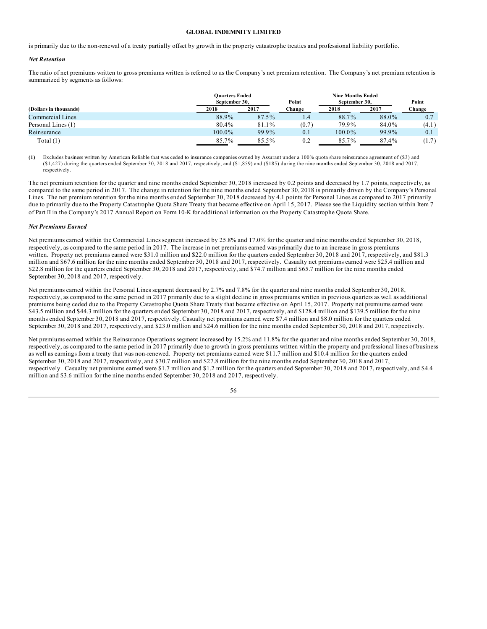is primarily due to the non-renewal of a treaty partially offset by growth in the property catastrophe treaties and professional liability portfolio.

#### *Net Retention*

The ratio of net premiums written to gross premiums written is referred to as the Company's net premium retention. The Company's net premium retention is summarized by segments as follows:

|                         | <b>Ouarters Ended</b><br>September 30, |       | Point         | <b>Nine Months Ended</b><br>September 30, |       | Point  |
|-------------------------|----------------------------------------|-------|---------------|-------------------------------------------|-------|--------|
| (Dollars in thousands)  | 2018                                   | 2017  | <b>Change</b> | 2018                                      | 2017  | Change |
| <b>Commercial Lines</b> | 88.9%                                  | 87.5% | 1.4           | 88.7%                                     | 88.0% | 0.7    |
| Personal Lines (1)      | 80.4%                                  | 81.1% | (0.7)         | 79.9%                                     | 84.0% | (4.1)  |
| Reinsurance             | $100.0\%$                              | 99.9% | 0.1           | $100.0\%$                                 | 99.9% | 0.1    |
| Total $(1)$             | 85.7%                                  | 85.5% | 0.2           | 85.7%                                     | 87.4% | (1.7)  |

**(1)** Excludes business written by American Reliable that was ceded to insurance companies owned by Assurant under a 100% quota share reinsurance agreement of (\$3) and (\$1,427) during the quarters ended September 30, 2018 and 2017, respectively, and (\$1,859) and (\$185) during the nine months ended September 30, 2018 and 2017, respectively.

The net premium retention for the quarter and nine months ended September 30, 2018 increased by 0.2 points and decreased by 1.7 points, respectively, as compared to the same period in 2017. The change in retention for the nine months ended September 30, 2018 is primarily driven by the Company's Personal Lines. The net premium retention for the nine months ended September 30, 2018 decreased by 4.1 points for Personal Lines as compared to 2017 primarily due to primarily due to the Property Catastrophe Quota Share Treaty that became effective on April 15, 2017. Please see the Liquidity section within Item 7 of Part II in the Company's 2017 Annual Report on Form 10-K for additional information on the Property Catastrophe Quota Share.

#### *Net Premiums Earned*

Net premiums earned within the Commercial Lines segment increased by 25.8% and 17.0% for the quarter and nine months ended September 30, 2018, respectively, as compared to the same period in 2017. The increase in net premiums earned was primarily due to an increase in gross premiums written. Property net premiums earned were \$31.0 million and \$22.0 million for the quarters ended September 30, 2018 and 2017, respectively, and \$81.3 million and \$67.6 million for the nine months ended September 30, 2018 and 2017, respectively. Casualty net premiums earned were \$25.4 million and \$22.8 million for the quarters ended September 30, 2018 and 2017, respectively, and \$74.7 million and \$65.7 million for the nine months ended September 30, 2018 and 2017, respectively.

Net premiums earned within the Personal Lines segment decreased by 2.7% and 7.8% for the quarter and nine months ended September 30, 2018, respectively, as compared to the same period in 2017 primarily due to a slight decline in gross premiums written in previous quarters as well as additional premiums being ceded due to the Property Catastrophe Quota Share Treaty that became effective on April 15, 2017. Property net premiums earned were \$43.5 million and \$44.3 million for the quarters ended September 30, 2018 and 2017, respectively, and \$128.4 million and \$139.5 million for the nine months ended September 30, 2018 and 2017, respectively. Casualty net premiums earned were \$7.4 million and \$8.0 million for the quarters ended September 30, 2018 and 2017, respectively, and \$23.0 million and \$24.6 million for the nine months ended September 30, 2018 and 2017, respectively.

Net premiums earned within the Reinsurance Operations segment increased by 15.2% and 11.8% for the quarter and nine months ended September 30, 2018, respectively, as compared to the same period in 2017 primarily due to growth in gross premiums written within the property and professional lines of business as well as earnings from a treaty that was non-renewed. Property net premiums earned were \$11.7 million and \$10.4 million for the quarters ended September 30, 2018 and 2017, respectively, and \$30.7 million and \$27.8 million for the nine months ended September 30, 2018 and 2017, respectively. Casualty net premiums earned were \$1.7 million and \$1.2 million for the quarters ended September 30, 2018 and 2017, respectively, and \$4.4 million and \$3.6 million for the nine months ended September 30, 2018 and 2017, respectively.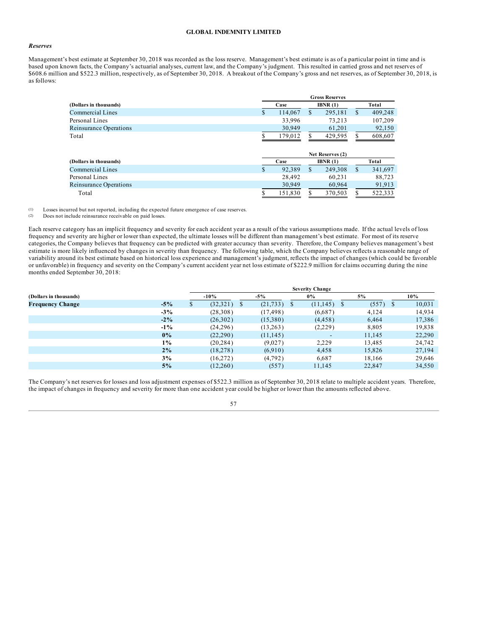#### *Reserves*

Management's best estimate at September 30, 2018 was recorded as the loss reserve. Management's best estimate is as of a particular point in time and is based upon known facts, the Company's actuarial analyses, current law, and the Company's judgment. This resulted in carried gross and net reserves of \$608.6 million and \$522.3 million, respectively, as of September 30, 2018. A breakout of the Company's gross and net reserves, as of September 30, 2018, is as follows:

|                               | <b>Gross Reserves</b> |         |    |                  |    |         |  |  |  |  |  |  |
|-------------------------------|-----------------------|---------|----|------------------|----|---------|--|--|--|--|--|--|
| (Dollars in thousands)        |                       | Case    |    | IBNR(1)          |    | Total   |  |  |  |  |  |  |
| <b>Commercial Lines</b>       | \$                    | 114,067 | S  | 295,181          | S. | 409,248 |  |  |  |  |  |  |
| Personal Lines                |                       | 33.996  |    | 73.213           |    | 107,209 |  |  |  |  |  |  |
| <b>Reinsurance Operations</b> |                       | 30,949  |    | 61,201           |    | 92,150  |  |  |  |  |  |  |
| Total                         |                       | 179,012 |    | 429,595          |    | 608,607 |  |  |  |  |  |  |
|                               |                       |         |    | Net Reserves (2) |    |         |  |  |  |  |  |  |
| (Dollars in thousands)        |                       | Case    |    | IBNR(1)          |    | Total   |  |  |  |  |  |  |
| <b>Commercial Lines</b>       | \$                    | 92.389  | S. | 249,308          | \$ | 341,697 |  |  |  |  |  |  |
| Personal Lines                |                       | 28.492  |    | 60.231           |    | 88,723  |  |  |  |  |  |  |
| <b>Reinsurance Operations</b> |                       | 30.949  |    | 60.964           |    | 91,913  |  |  |  |  |  |  |
| Total                         |                       | 151,830 |    | 370,503          |    | 522,333 |  |  |  |  |  |  |

(1) Losses incurred but not reported, including the expected future emergence of case reserves.

(2) Does not include reinsurance receivable on paid losses.

Each reserve category has an implicit frequency and severity for each accident year as a result of the various assumptions made. If the actual levels of loss frequency and severity are higher or lower than expected, the ultimate losses will be different than management's best estimate. For most of its reserve categories, the Company believes that frequency can be predicted with greater accuracy than severity. Therefore, the Company believes management's best estimate is more likely influenced by changes in severity than frequency. The following table, which the Company believes reflects a reasonable range of variability around its best estimate based on historical loss experience and management's judgment, reflects the impact of changes (which could be favorable or unfavorable) in frequency and severity on the Company's current accident year net loss estimate of \$222.9 million for claims occurring during the nine months ended September 30, 2018:

|                         |        | <b>Severity Change</b> |           |  |           |   |           |              |              |  |        |  |  |
|-------------------------|--------|------------------------|-----------|--|-----------|---|-----------|--------------|--------------|--|--------|--|--|
| (Dollars in thousands)  |        |                        | $-10%$    |  | $-5%$     |   | $0\%$     |              | 5%           |  | 10%    |  |  |
| <b>Frequency Change</b> | $-5\%$ | \$                     | (32, 321) |  | (21, 733) | S | (11, 145) | <sup>3</sup> | (557)<br>- 5 |  | 10,031 |  |  |
|                         | $-3\%$ |                        | (28,308)  |  | (17, 498) |   | (6,687)   |              | 4,124        |  | 14,934 |  |  |
|                         | $-2\%$ |                        | (26,302)  |  | (15,380)  |   | (4, 458)  |              | 6,464        |  | 17,386 |  |  |
|                         | $-1\%$ |                        | (24, 296) |  | (13, 263) |   | (2,229)   |              | 8,805        |  | 19,838 |  |  |
|                         | $0\%$  |                        | (22, 290) |  | (11, 145) |   | ۰         |              | 11,145       |  | 22,290 |  |  |
|                         | $1\%$  |                        | (20, 284) |  | (9,027)   |   | 2.229     |              | 13,485       |  | 24,742 |  |  |
|                         | $2\%$  |                        | (18, 278) |  | (6,910)   |   | 4,458     |              | 15,826       |  | 27,194 |  |  |
|                         | 3%     |                        | (16,272)  |  | (4,792)   |   | 6,687     |              | 18,166       |  | 29,646 |  |  |
|                         | 5%     |                        | (12,260)  |  | (557)     |   | 11,145    |              | 22,847       |  | 34,550 |  |  |
|                         |        |                        |           |  |           |   |           |              |              |  |        |  |  |

The Company's net reserves for losses and loss adjustment expenses of \$522.3 million as of September 30, 2018 relate to multiple accident years. Therefore, the impact of changes in frequency and severity for more than one accident year could be higher or lower than the amounts reflected above.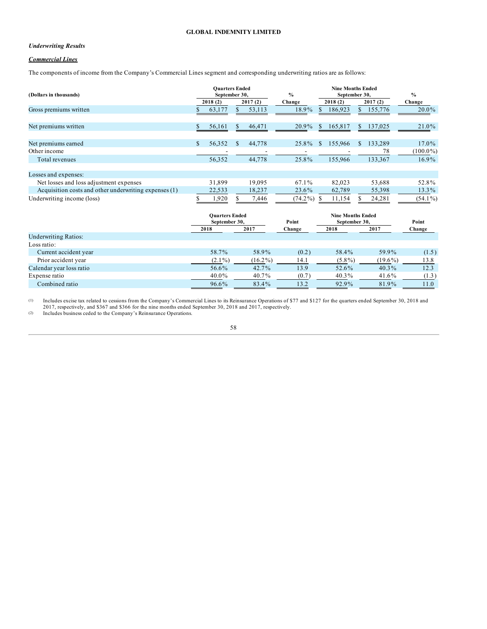## *Underwriting Results*

# *Commercial Lines*

The components of income from the Company's Commercial Lines segment and corresponding underwriting ratios are as follows:

| (Dollars in thousands)                                | <b>Ouarters Ended</b><br>September 30, |   |         | $\frac{0}{0}$ |    | <b>Nine Months Ended</b><br>September 30, | $\%$ |           |             |
|-------------------------------------------------------|----------------------------------------|---|---------|---------------|----|-------------------------------------------|------|-----------|-------------|
|                                                       | 2018(2)                                |   | 2017(2) | Change        |    | 2018(2)                                   |      | 2017(2)   | Change      |
| Gross premiums written                                | 63,177                                 |   | 53,113  | 18.9%         | S  | 186,923                                   | S.   | 155,776   | 20.0%       |
|                                                       |                                        |   |         |               |    |                                           |      |           |             |
| Net premiums written                                  | 56,161                                 |   | 46,471  | 20.9%         | S. | 165,817                                   |      | \$137,025 | 21.0%       |
|                                                       |                                        |   |         |               |    |                                           |      |           |             |
| Net premiums earned                                   | \$<br>56,352                           | S | 44,778  | 25.8%         | \$ | 155,966                                   | S.   | 133.289   | $17.0\%$    |
| Other income                                          |                                        |   |         |               |    |                                           |      | 78        | $(100.0\%)$ |
| Total revenues                                        | 56,352                                 |   | 44,778  | 25.8%         |    | 155,966                                   |      | 133,367   | $16.9\%$    |
|                                                       |                                        |   |         |               |    |                                           |      |           |             |
| Losses and expenses:                                  |                                        |   |         |               |    |                                           |      |           |             |
| Net losses and loss adjustment expenses               | 31,899                                 |   | 19,095  | 67.1%         |    | 82,023                                    |      | 53,688    | 52.8%       |
| Acquisition costs and other underwriting expenses (1) | 22,533                                 |   | 18,237  | 23.6%         |    | 62,789                                    |      | 55,398    | $13.3\%$    |
| Underwriting income (loss)                            | 1,920                                  |   | 7,446   | $(74.2\%)$    |    | 11,154                                    |      | 24,281    | $(54.1\%)$  |

|                             | <b>Quarters Ended</b><br>September 30. |            | Point  | <b>Nine Months Ended</b><br>September 30, |            | Point  |
|-----------------------------|----------------------------------------|------------|--------|-------------------------------------------|------------|--------|
|                             | 2018                                   | 2017       | Change | 2018                                      | 2017       | Change |
| <b>Underwriting Ratios:</b> |                                        |            |        |                                           |            |        |
| Loss ratio:                 |                                        |            |        |                                           |            |        |
| Current accident year       | 58.7%                                  | 58.9%      | (0.2)  | 58.4%                                     | 59.9%      | (1.5)  |
| Prior accident year         | $(2.1\%)$                              | $(16.2\%)$ | 14.1   | $(5.8\%)$                                 | $(19.6\%)$ | 13.8   |
| Calendar year loss ratio    | 56.6%                                  | $42.7\%$   | 13.9   | 52.6%                                     | $40.3\%$   | 12.3   |
| Expense ratio               | 40.0%                                  | 40.7%      | (0.7)  | 40.3%                                     | 41.6%      | (1.3)  |
| Combined ratio              | $96.6\%$                               | 83.4%      | 13.2   | 92.9%                                     | 81.9%      | 11.0   |

Includes excise tax related to cessions from the Company's Commercial Lines to its Reinsurance Operations of \$77 and \$127 for the quarters ended September 30, 2018 and 2017, respectively, and \$367 and \$366 for the nine mon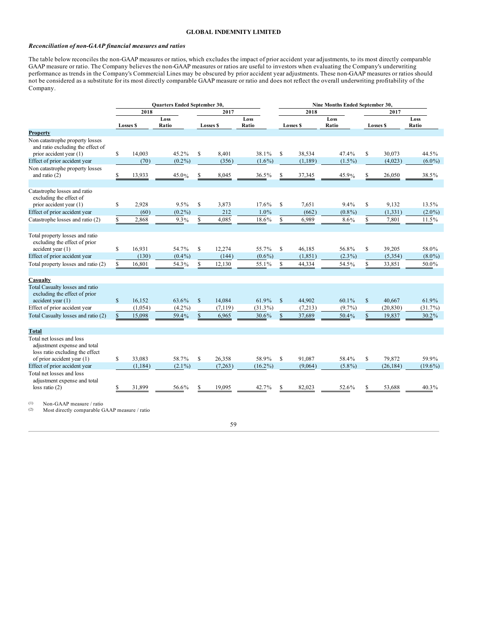## *Reconciliation of non-GAAP financial measures and ratios*

The table below reconciles the non-GAAP measures or ratios, which excludes the impact of prior accident year adjustments, to its most directly comparable GAAP measure or ratio. The Company believes the non-GAAP measures or ratios are useful to investors when evaluating the Company's underwriting performance as trends in the Company's Commercial Lines may be obscured by prior accident year adjustments. These non-GAAP measures or ratios should not be considered as a substitute for its most directly comparable GAAP measure or ratio and does not reflect the overall underwriting profitability of the Company.

|                                                                                                              | <b>Ouarters Ended September 30,</b> |                 |               |              |           |               | Nine Months Ended September 30, |                 |               |              |           |               |  |
|--------------------------------------------------------------------------------------------------------------|-------------------------------------|-----------------|---------------|--------------|-----------|---------------|---------------------------------|-----------------|---------------|--------------|-----------|---------------|--|
|                                                                                                              |                                     | 2018            |               |              | 2017      |               | 2018                            |                 |               |              | 2017      |               |  |
|                                                                                                              |                                     | <b>Losses S</b> | Loss<br>Ratio |              | Losses \$ | Loss<br>Ratio |                                 | <b>Losses S</b> | Loss<br>Ratio | Losses \$    |           | Loss<br>Ratio |  |
| <b>Property</b>                                                                                              |                                     |                 |               |              |           |               |                                 |                 |               |              |           |               |  |
| Non catastrophe property losses<br>and ratio excluding the effect of<br>prior accident year (1)              | $\mathbb{S}$                        | 14.003          | 45.2%         | \$           | 8,401     | 38.1%         | \$                              | 38,534          | 47.4%         | \$           | 30.073    | 44.5%         |  |
| Effect of prior accident year                                                                                |                                     | (70)            | $(0.2\%)$     |              | (356)     | $(1.6\%)$     |                                 | (1,189)         | $(1.5\%)$     |              | (4,023)   | $(6.0\%)$     |  |
| Non catastrophe property losses<br>and ratio $(2)$                                                           | S                                   | 13,933          | 45.0%         |              | 8,045     | 36.5%         | S                               | 37,345          | 45.9%         | S            | 26,050    | 38.5%         |  |
| Catastrophe losses and ratio<br>excluding the effect of<br>prior accident year (1)                           | $\mathbb{S}$                        | 2,928           | 9.5%          | S            | 3,873     | 17.6%         | \$                              | 7,651           | 9.4%          | \$           | 9,132     | 13.5%         |  |
| Effect of prior accident year                                                                                |                                     | (60)            | $(0.2\%)$     |              | 212       | 1.0%          |                                 | (662)           | $(0.8\%)$     |              | (1, 331)  | $(2.0\%)$     |  |
| Catastrophe losses and ratio (2)                                                                             | S.                                  | 2,868           | $9.3\%$       | S            | 4,085     | 18.6%         | S                               | 6,989           | $8.6\%$       | \$           | 7,801     | 11.5%         |  |
|                                                                                                              |                                     |                 |               |              |           |               |                                 |                 |               |              |           |               |  |
| Total property losses and ratio<br>excluding the effect of prior                                             |                                     |                 |               |              |           |               |                                 |                 |               |              |           |               |  |
| accident year (1)                                                                                            | $\mathbb{S}$                        | 16,931          | 54.7%         | \$           | 12,274    | 55.7%         | \$                              | 46,185          | 56.8%         | \$           | 39,205    | 58.0%         |  |
| Effect of prior accident year                                                                                |                                     | (130)           | $(0.4\%)$     |              | (144)     | $(0.6\%)$     |                                 | (1, 851)        | $(2.3\%)$     |              | (5,354)   | $(8.0\%)$     |  |
| Total property losses and ratio (2)                                                                          | S.                                  | 16,801          | 54.3%         | S.           | 12,130    | 55.1%         | \$                              | 44,334          | 54.5%         | \$           | 33,851    | 50.0%         |  |
| Casualty                                                                                                     |                                     |                 |               |              |           |               |                                 |                 |               |              |           |               |  |
| Total Casualty losses and ratio<br>excluding the effect of prior                                             |                                     |                 |               |              |           |               |                                 |                 |               |              |           |               |  |
| accident year (1)                                                                                            | $\mathbb{S}$                        | 16,152          | 63.6%         | $\mathbb{S}$ | 14,084    | 61.9%         | $\mathbb{S}$                    | 44,902          | 60.1%         | $\mathbb{S}$ | 40,667    | 61.9%         |  |
| Effect of prior accident year                                                                                |                                     | (1,054)         | $(4.2\%)$     |              | (7, 119)  | $(31.3\%)$    |                                 | (7,213)         | $(9.7\%)$     |              | (20, 830) | $(31.7\%)$    |  |
| Total Casualty losses and ratio (2)                                                                          | $\mathbf S$                         | 15,098          | 59.4%         | $\mathbb{S}$ | 6,965     | 30.6%         | <sup>\$</sup>                   | 37,689          | $50.4\%$      | $\mathbb{S}$ | 19,837    | 30.2%         |  |
|                                                                                                              |                                     |                 |               |              |           |               |                                 |                 |               |              |           |               |  |
| <b>Total</b><br>Total net losses and loss<br>adjustment expense and total<br>loss ratio excluding the effect |                                     |                 |               |              |           |               |                                 |                 |               |              |           |               |  |
| of prior accident year (1)                                                                                   | \$                                  | 33,083          | 58.7%         | S            | 26,358    | 58.9%         | \$                              | 91,087          | 58.4%         | \$           | 79,872    | 59.9%         |  |
| Effect of prior accident year                                                                                |                                     | (1, 184)        | $(2.1\%)$     |              | (7,263)   | $(16.2\%)$    |                                 | (9,064)         | $(5.8\%)$     |              | (26, 184) | $(19.6\%)$    |  |
| Total net losses and loss<br>adjustment expense and total                                                    |                                     |                 |               |              |           |               |                                 |                 |               |              |           |               |  |
| loss ratio $(2)$                                                                                             | \$                                  | 31,899          | 56.6%         |              | 19,095    | 42.7%         |                                 | 82,023          | 52.6%         |              | 53,688    | 40.3%         |  |

(1) Non-GAAP measure / ratio<br>(2) Most directly comparable G

Most directly comparable GAAP measure / ratio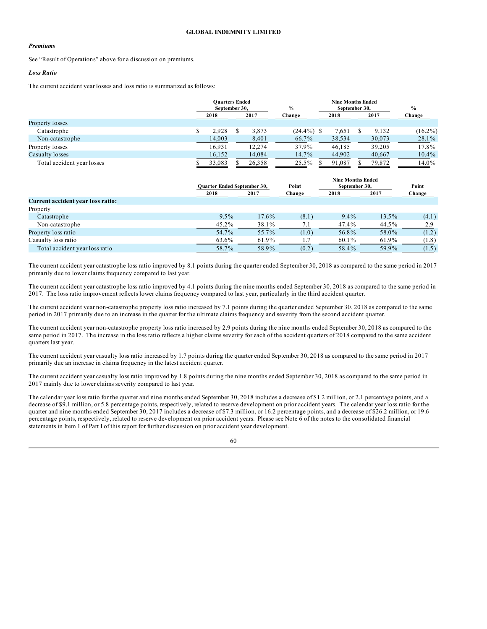#### *Premiums*

See "Result of Operations" above for a discussion on premiums.

### *Loss Ratio*

The current accident year losses and loss ratio is summarized as follows:

|                            | <b>Quarters Ended</b><br>September 30, |  |        | $\frac{6}{9}$ | <b>Nine Months Ended</b><br>September 30, |        |      | $\%$   |            |
|----------------------------|----------------------------------------|--|--------|---------------|-------------------------------------------|--------|------|--------|------------|
|                            | 2018                                   |  | 2017   | Change        | 2018                                      |        | 2017 |        | Change     |
| Property losses            |                                        |  |        |               |                                           |        |      |        |            |
| Catastrophe                | 2,928                                  |  | 3,873  | $(24.4\%)$ \$ |                                           | 7,651  |      | 9,132  | $(16.2\%)$ |
| Non-catastrophe            | 14,003                                 |  | 8,401  | 66.7%         |                                           | 38,534 |      | 30,073 | 28.1%      |
| Property losses            | 16.931                                 |  | 12.274 | 37.9%         |                                           | 46.185 |      | 39.205 | 17.8%      |
| Casualty losses            | 16,152                                 |  | 14,084 | 14.7%         |                                           | 44,902 |      | 40,667 | $10.4\%$   |
| Total accident year losses | 33,083                                 |  | 26,358 | 25.5%         |                                           | 91,087 |      | 79,872 | $14.0\%$   |

|                                   |                                    |          |        | <b>Nine Months Ended</b> |       |        |
|-----------------------------------|------------------------------------|----------|--------|--------------------------|-------|--------|
|                                   | <b>Ouarter Ended September 30,</b> |          | Point  | September 30,            | Point |        |
|                                   | 2018                               | 2017     | Change | 2018                     | 2017  | Change |
| Current accident year loss ratio: |                                    |          |        |                          |       |        |
| Property                          |                                    |          |        |                          |       |        |
| Catastrophe                       | $9.5\%$                            | $17.6\%$ | (8.1)  | $9.4\%$                  | 13.5% | (4.1)  |
| Non-catastrophe                   | 45.2%                              | 38.1%    |        | 47.4%                    | 44.5% | 2.9    |
| Property loss ratio               | 54.7%                              | 55.7%    | (1.0)  | 56.8%                    | 58.0% | (1.2)  |
| Casualty loss ratio               | 63.6%                              | 61.9%    |        | 60.1%                    | 61.9% | (1.8)  |
| Total accident year loss ratio    | 58.7%                              | 58.9%    | (0.2)  | 58.4%                    | 59.9% | (1.5)  |

The current accident year catastrophe loss ratio improved by 8.1 points during the quarter ended September 30, 2018 as compared to the same period in 2017 primarily due to lower claims frequency compared to last year.

The current accident year catastrophe loss ratio improved by 4.1 points during the nine months ended September 30, 2018 as compared to the same period in 2017. The loss ratio improvement reflects lower claims frequency compared to last year, particularly in the third accident quarter.

The current accident year non-catastrophe property loss ratio increased by 7.1 points during the quarter ended September 30, 2018 as compared to the same period in 2017 primarily due to an increase in the quarter for the ultimate claims frequency and severity from the second accident quarter.

The current accident year non-catastrophe property loss ratio increased by 2.9 points during the nine months ended September 30, 2018 as compared to the same period in 2017. The increase in the loss ratio reflects a higher claims severity for each of the accident quarters of 2018 compared to the same accident quarters last year.

The current accident year casualty loss ratio increased by 1.7 points during the quarter ended September 30, 2018 as compared to the same period in 2017 primarily due an increase in claims frequency in the latest accident quarter.

The current accident year casualty loss ratio improved by 1.8 points during the nine months ended September 30, 2018 as compared to the same period in 2017 mainly due to lower claims severity compared to last year.

The calendar year loss ratio for the quarter and nine months ended September 30, 2018 includes a decrease of \$1.2 million, or 2.1 percentage points, and a decrease of \$9.1 million, or 5.8 percentage points, respectively, related to reserve development on prior accident years. The calendar year loss ratio for the quarter and nine months ended September 30, 2017 includes a decrease of \$7.3 million, or 16.2 percentage points, and a decrease of \$26.2 million, or 19.6 percentage points, respectively, related to reserve development on prior accident years. Please see Note 6 of the notes to the consolidated financial statements in Item 1 of Part I of this report for further discussion on prior accident year development.

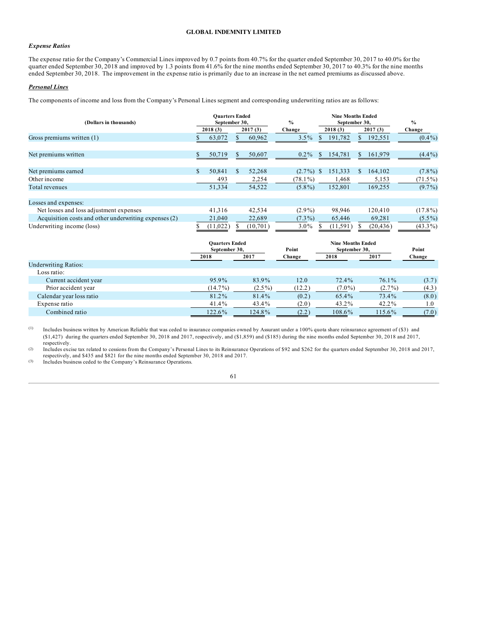#### *Expense Ratios*

The expense ratio for the Company's Commercial Lines improved by 0.7 points from 40.7% for the quarter ended September 30, 2017 to 40.0% for the quarter ended September 30, 2018 and improved by 1.3 points from 41.6% for the nine months ended September 30, 2017 to 40.3% for the nine months ended September 30, 2018. The improvement in the expense ratio is primarily due to an increase in the net earned premiums as discussed above.

## *Personal Lines*

The components of income and loss from the Company's Personal Lines segment and corresponding underwriting ratios are as follows:

| (Dollars in thousands)                                |    | <b>Ouarters Ended</b><br>September 30, |    |          | $\frac{0}{0}$ |              | <b>Nine Months Ended</b><br>September 30, | $\frac{6}{6}$ |           |            |
|-------------------------------------------------------|----|----------------------------------------|----|----------|---------------|--------------|-------------------------------------------|---------------|-----------|------------|
|                                                       |    | 2018(3)                                |    | 2017(3)  | Change        |              | 2018(3)                                   |               | 2017(3)   | Change     |
| Gross premiums written (1)                            |    | 63,072                                 |    | 60,962   | $3.5\%$       | S            | 191,782                                   | S.            | 192,551   | $(0.4\%)$  |
| Net premiums written                                  | S. | 50,719                                 | S. | 50,607   | $0.2\%$       | <sup>S</sup> | 154,781                                   | \$            | 161,979   | $(4.4\%)$  |
| Net premiums earned                                   | \$ | 50.841                                 | S  | 52,268   | $(2.7\%)$     | S            | 151,333                                   | S.            | 164,102   | $(7.8\%)$  |
| Other income                                          |    | 493                                    |    | 2,254    | $(78.1\%)$    |              | 1,468                                     |               | 5,153     | $(71.5\%)$ |
| Total revenues                                        |    | 51,334                                 |    | 54,522   | $(5.8\%)$     |              | 152,801                                   |               | 169,255   | $(9.7\%)$  |
| Losses and expenses:                                  |    |                                        |    |          |               |              |                                           |               |           |            |
| Net losses and loss adjustment expenses               |    | 41,316                                 |    | 42,534   | $(2.9\%)$     |              | 98,946                                    |               | 120,410   | $(17.8\%)$ |
| Acquisition costs and other underwriting expenses (2) |    | 21,040                                 |    | 22,689   | $(7.3\%)$     |              | 65,446                                    |               | 69,281    | $(5.5\%)$  |
| Underwriting income (loss)                            |    | (11,022)                               |    | (10,701) | $3.0\%$       | S.           | (11,591)                                  |               | (20, 436) | $(43.3\%)$ |
|                                                       |    | <b>Ouarters Ended</b>                  |    |          |               |              | <b>Nine Months Ended</b>                  |               |           |            |

|                             | <b>Ouarters Enged</b><br>September 30, |           | Point  | Nine Montns Enaea<br>September 30, |           | Point  |
|-----------------------------|----------------------------------------|-----------|--------|------------------------------------|-----------|--------|
|                             | 2018                                   | 2017      | Change | 2018                               | 2017      | Change |
| <b>Underwriting Ratios:</b> |                                        |           |        |                                    |           |        |
| Loss ratio:                 |                                        |           |        |                                    |           |        |
| Current accident year       | 95.9%                                  | 83.9%     | 12.0   | 72.4%                              | 76.1%     | (3.7)  |
| Prior accident year         | $(14.7\%)$                             | $(2.5\%)$ | (12.2) | $(7.0\%)$                          | $(2.7\%)$ | (4.3)  |
| Calendar year loss ratio    | 81.2%                                  | 81.4%     | (0.2)  | 65.4%                              | 73.4%     | (8.0)  |
| Expense ratio               | 41.4%                                  | 43.4%     | (2.0)  | 43.2%                              | $42.2\%$  | 1.0    |
| Combined ratio              | 122.6%                                 | 124.8%    | (2.2)  | $108.6\%$                          | 115.6%    | (7.0)  |

 $^{(1)}$  Includes business written by American Reliable that was ceded to insurance companies owned by Assurant under a 100% quota share reinsurance agreement of (\$3) and (\$1,427) during the quarters ended September 30, 2018 and 2017, respectively, and (\$1,859) and (\$185) during the nine months ended September 30, 2018 and 2017, respectively.

(2) Includes excise tax related to cessions from the Company's Personal Lines to its Reinsurance Operations of \$92 and \$262 for the quarters ended September 30, 2018 and 2017, respectively, and \$435 and \$821 for the nine m

(3) Includes business ceded to the Company's Reinsurance Operations.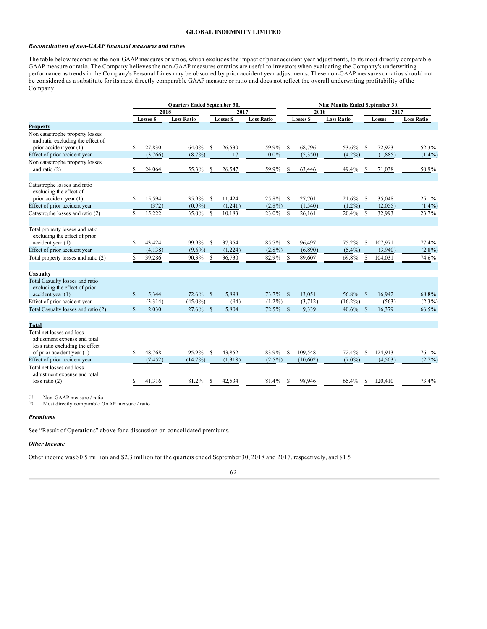## *Reconciliation of non-GAAP financial measures and ratios*

The table below reconciles the non-GAAP measures or ratios, which excludes the impact of prior accident year adjustments, to its most directly comparable GAAP measure or ratio. The Company believes the non-GAAP measures or ratios are useful to investors when evaluating the Company's underwriting performance as trends in the Company's Personal Lines may be obscured by prior accident year adjustments. These non-GAAP measures or ratios should not be considered as a substitute for its most directly comparable GAAP measure or ratio and does not reflect the overall underwriting profitability of the Company.

|                                                                                                                            |               |                  | <b>Ouarters Ended September 30,</b> |               |                 |                    | Nine Months Ended September 30, |                   |                     |               |                 |                    |
|----------------------------------------------------------------------------------------------------------------------------|---------------|------------------|-------------------------------------|---------------|-----------------|--------------------|---------------------------------|-------------------|---------------------|---------------|-----------------|--------------------|
|                                                                                                                            |               | 2018             |                                     |               | 2017            |                    |                                 | 2018              |                     |               | 2017            |                    |
|                                                                                                                            |               | <b>Losses S</b>  | <b>Loss Ratio</b>                   |               | <b>Losses S</b> | <b>Loss Ratio</b>  |                                 | <b>Losses S</b>   | <b>Loss Ratio</b>   |               | Losses          | <b>Loss Ratio</b>  |
| <b>Property</b>                                                                                                            |               |                  |                                     |               |                 |                    |                                 |                   |                     |               |                 |                    |
| Non catastrophe property losses<br>and ratio excluding the effect of<br>prior accident year (1)                            | \$            | 27,830           | 64.0%                               | <sup>\$</sup> | 26,530          | 59.9%              | S                               | 68,796            | 53.6%               | <sup>\$</sup> | 72,923          | 52.3%              |
| Effect of prior accident year                                                                                              |               | (3,766)          | $(8.7\%)$                           |               | 17              | $0.0\%$            |                                 | (5,350)           | $(4.2\%)$           |               | (1,885)         | $(1.4\%)$          |
| Non catastrophe property losses<br>and ratio $(2)$                                                                         | \$            | 24,064           | 55.3%                               | S             | 26,547          | 59.9%              | S                               | 63,446            | 49.4%               | S             | 71,038          | 50.9%              |
| Catastrophe losses and ratio<br>excluding the effect of<br>prior accident year (1)                                         | \$            | 15,594           | 35.9%                               | -S            | 11,424          | 25.8%              | S                               | 27,701            | 21.6%               | <sup>\$</sup> | 35,048          | 25.1%              |
| Effect of prior accident year                                                                                              |               | (372)            | $(0.9\%)$                           |               | (1,241)         | $(2.8\%)$          |                                 | (1, 540)          | $(1.2\%)$           |               | (2,055)         | $(1.4\%)$          |
| Catastrophe losses and ratio (2)                                                                                           | \$            | 15,222           | 35.0%                               | \$            | 10,183          | 23.0%              | S                               | 26,161            | 20.4%               | \$            | 32,993          | 23.7%              |
| Total property losses and ratio<br>excluding the effect of prior<br>accident year (1)                                      | \$            | 43,424           | 99.9%                               | <sup>\$</sup> | 37,954          | 85.7%              | -S                              | 96,497            | 75.2%               | \$            | 107,971         | 77.4%              |
| Effect of prior accident year                                                                                              |               | (4,138)          | $(9.6\%)$                           |               | (1,224)         | $(2.8\%)$          |                                 | (6,890)           | $(5.4\%)$           |               | (3,940)         | $(2.8\%)$          |
| Total property losses and ratio (2)                                                                                        | S             | 39,286           | 90.3%                               | <sup>\$</sup> | 36,730          | 82.9%              | \$.                             | 89,607            | 69.8%               | <sup>\$</sup> | 104,031         | 74.6%              |
| Casualty                                                                                                                   |               |                  |                                     |               |                 |                    |                                 |                   |                     |               |                 |                    |
| Total Casualty losses and ratio<br>excluding the effect of prior<br>accident year (1)<br>Effect of prior accident year     | <sup>\$</sup> | 5,344<br>(3,314) | 72.6%<br>$(45.0\%)$                 | -\$           | 5,898<br>(94)   | 73.7%<br>$(1.2\%)$ | <b>S</b>                        | 13,051<br>(3,712) | 56.8%<br>$(16.2\%)$ | <sup>\$</sup> | 16,942<br>(563) | 68.8%<br>$(2.3\%)$ |
| Total Casualty losses and ratio (2)                                                                                        | $\mathbf{s}$  | 2,030            | 27.6%                               | <sup>\$</sup> | 5,804           | 72.5%              | S                               | 9,339             | 40.6%               | <sup>\$</sup> | 16,379          | 66.5%              |
| <b>Total</b>                                                                                                               |               |                  |                                     |               |                 |                    |                                 |                   |                     |               |                 |                    |
| Total net losses and loss<br>adjustment expense and total<br>loss ratio excluding the effect<br>of prior accident year (1) | \$            | 48,768           | 95.9%                               | <sup>\$</sup> | 43,852          | 83.9%              | s                               | 109,548           | 72.4%               | \$            | 124,913         | 76.1%              |
| Effect of prior accident year                                                                                              |               | (7, 452)         | (14.7%)                             |               | (1,318)         | $(2.5\%)$          |                                 | (10,602)          | $(7.0\%)$           |               | (4,503)         | $(2.7\%)$          |
| Total net losses and loss<br>adjustment expense and total<br>loss ratio $(2)$                                              | \$            | 41,316           | 81.2%                               | <sup>\$</sup> | 42,534          | 81.4%              | S                               | 98,946            | 65.4%               | \$            | 120,410         | 73.4%              |

(1) Non-GAAP measure / ratio<br>(2) Most directly comparable G

Most directly comparable GAAP measure / ratio  $\,$ 

#### *Premiums*

See "Result of Operations" above for a discussion on consolidated premiums.

#### *Other Income*

Other income was \$0.5 million and \$2.3 million for the quarters ended September 30, 2018 and 2017, respectively, and \$1.5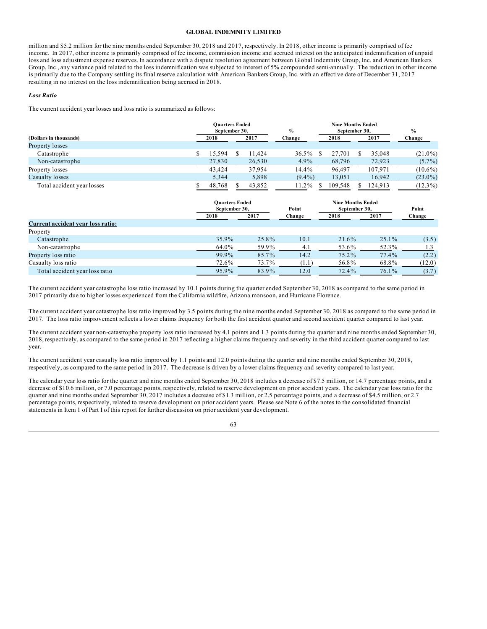million and \$5.2 million for the nine months ended September 30, 2018 and 2017, respectively. In 2018, other income is primarily comprised of fee income. In 2017, other income is primarily comprised of fee income, commission income and accrued interest on the anticipated indemnification of unpaid loss and loss adjustment expense reserves. In accordance with a dispute resolution agreement between Global Indemnity Group, Inc. and American Bankers Group, Inc., any variance paid related to the loss indemnification was subjected to interest of 5% compounded semi-annually. The reduction in other income is primarily due to the Company settling its final reserve calculation with American Bankers Group, Inc. with an effective date of December 31, 2017 resulting in no interest on the loss indemnification being accrued in 2018.

## *Loss Ratio*

The current accident year losses and loss ratio is summarized as follows:

|                            |  | <b>Ouarters Ended</b><br>September 30, |        | $\frac{0}{0}$ | <b>Nine Months Ended</b><br>$\frac{6}{6}$<br>September 30, |         |  |         |            |
|----------------------------|--|----------------------------------------|--------|---------------|------------------------------------------------------------|---------|--|---------|------------|
| (Dollars in thousands)     |  | 2018                                   | 2017   | Change        |                                                            | 2018    |  | 2017    | Change     |
| Property losses            |  |                                        |        |               |                                                            |         |  |         |            |
| Catastrophe                |  | 15,594                                 | 1.424  | $36.5\%$      |                                                            | 27.701  |  | 35,048  | $(21.0\%)$ |
| Non-catastrophe            |  | 27,830                                 | 26,530 | 4.9%          |                                                            | 68,796  |  | 72,923  | $(5.7\%)$  |
| Property losses            |  | 43.424                                 | 37.954 | 14.4%         |                                                            | 96.497  |  | 107.971 | $(10.6\%)$ |
| Casualty losses            |  | 5,344                                  | 5,898  | $(9.4\%)$     |                                                            | 13,051  |  | 16,942  | $(23.0\%)$ |
| Total accident year losses |  | 48,768                                 | 43,852 | 11.2%         |                                                            | 109,548 |  | 124,913 | $(12.3\%)$ |

|                                   |       | <b>Quarters Ended</b><br>September 30, |        | <b>Nine Months Ended</b><br>September 30, |          | Point  |
|-----------------------------------|-------|----------------------------------------|--------|-------------------------------------------|----------|--------|
|                                   | 2018  | 2017                                   | Change | 2018                                      | 2017     | Change |
| Current accident year loss ratio: |       |                                        |        |                                           |          |        |
| Property                          |       |                                        |        |                                           |          |        |
| Catastrophe                       | 35.9% | 25.8%                                  | 10.1   | 21.6%                                     | $25.1\%$ | (3.5)  |
| Non-catastrophe                   | 64.0% | 59.9%                                  | 4.1    | 53.6%                                     | 52.3%    | 1.3    |
| Property loss ratio               | 99.9% | 85.7%                                  | 14.2   | 75.2%                                     | 77.4%    | (2.2)  |
| Casualty loss ratio               | 72.6% | 73.7%                                  | (1.1)  | 56.8%                                     | 68.8%    | (12.0) |
| Total accident year loss ratio    | 95.9% | 83.9%                                  | 12.0   | 72.4%                                     | 76.1%    | (3.7)  |

The current accident year catastrophe loss ratio increased by 10.1 points during the quarter ended September 30, 2018 as compared to the same period in 2017 primarily due to higher losses experienced from the California wildfire, Arizona monsoon, and Hurricane Florence.

The current accident year catastrophe loss ratio improved by 3.5 points during the nine months ended September 30, 2018 as compared to the same period in 2017. The loss ratio improvement reflects a lower claims frequency for both the first accident quarter and second accident quarter compared to last year.

The current accident year non-catastrophe property loss ratio increased by 4.1 points and 1.3 points during the quarter and nine months ended September 30, 2018, respectively, as compared to the same period in 2017 reflecting a higher claims frequency and severity in the third accident quarter compared to last year.

The current accident year casualty loss ratio improved by 1.1 points and 12.0 points during the quarter and nine months ended September 30, 2018, respectively, as compared to the same period in 2017. The decrease is driven by a lower claims frequency and severity compared to last year.

The calendar year loss ratio for the quarter and nine months ended September 30, 2018 includes a decrease of \$7.5 million, or 14.7 percentage points, and a decrease of \$10.6 million, or 7.0 percentage points, respectively, related to reserve development on prior accident years. The calendar year loss ratio for the quarter and nine months ended September 30, 2017 includes a decrease of \$1.3 million, or 2.5 percentage points, and a decrease of \$4.5 million, or 2.7 percentage points, respectively, related to reserve development on prior accident years. Please see Note 6 of the notes to the consolidated financial statements in Item 1 of Part I of this report for further discussion on prior accident year development.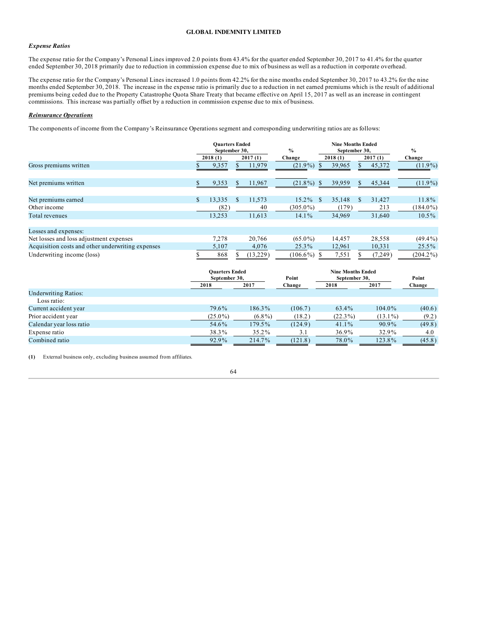#### *Expense Ratios*

The expense ratio for the Company's Personal Lines improved 2.0 points from 43.4% for the quarter ended September 30, 2017 to 41.4% for the quarter ended September 30, 2018 primarily due to reduction in commission expense due to mix of business as well as a reduction in corporate overhead.

The expense ratio for the Company's Personal Lines increased 1.0 points from 42.2% for the nine months ended September 30, 2017 to 43.2% for the nine months ended September 30, 2018. The increase in the expense ratio is primarily due to a reduction in net earned premiums which is the result of additional premiums being ceded due to the Property Catastrophe Quota Share Treaty that became effective on April 15, 2017 as well as an increase in contingent commissions. This increase was partially offset by a reduction in commission expense due to mix of business.

#### *Reinsurance Operations*

The components of income from the Company's Reinsurance Operations segment and corresponding underwriting ratios are as follows:

|                                                   |     | <b>Ouarters Ended</b><br>September 30, |   |          | $\frac{0}{0}$ |     | <b>Nine Months Ended</b><br>September 30, |     |         | $\frac{0}{0}$ |
|---------------------------------------------------|-----|----------------------------------------|---|----------|---------------|-----|-------------------------------------------|-----|---------|---------------|
|                                                   |     | 2018(1)                                |   | 2017(1)  | Change        |     | 2018(1)                                   |     | 2017(1) | Change        |
| Gross premiums written                            |     | 9,357                                  |   | 11,979   | $(21.9\%)$    | -S  | 39,965                                    |     | 45,372  | $(11.9\%)$    |
| Net premiums written                              |     | 9,353                                  |   | 11,967   | $(21.8\%)$ \$ |     | 39,959                                    |     | 45,344  | $(11.9\%)$    |
| Net premiums earned                               | \$. | 13,335                                 | S | 11,573   | 15.2%         | \$. | 35,148                                    | \$. | 31,427  | 11.8%         |
| Other income                                      |     | (82)                                   |   | 40       | $(305.0\%)$   |     | (179)                                     |     | 213     | $(184.0\%)$   |
| Total revenues                                    |     | 13,253                                 |   | 11,613   | $14.1\%$      |     | 34,969                                    |     | 31,640  | $10.5\%$      |
| Losses and expenses:                              |     |                                        |   |          |               |     |                                           |     |         |               |
| Net losses and loss adjustment expenses           |     | 7,278                                  |   | 20,766   | $(65.0\%)$    |     | 14,457                                    |     | 28,558  | $(49.4\%)$    |
| Acquisition costs and other underwriting expenses |     | 5,107                                  |   | 4,076    | $25.3\%$      |     | 12,961                                    |     | 10,331  | 25.5%         |
| Underwriting income (loss)                        |     | 868                                    |   | (13,229) | $(106.6\%)$   |     | 7,551                                     |     | (7,249) | $(204.2\%)$   |

|                             | <b>Quarters Ended</b><br>September 30, |           | Point   | <b>Nine Months Ended</b><br>September 30, |            | Point  |
|-----------------------------|----------------------------------------|-----------|---------|-------------------------------------------|------------|--------|
|                             | 2018                                   | 2017      | Change  | 2018                                      | 2017       | Change |
| <b>Underwriting Ratios:</b> |                                        |           |         |                                           |            |        |
| Loss ratio:                 |                                        |           |         |                                           |            |        |
| Current accident year       | 79.6%                                  | 186.3%    | (106.7) | 63.4%                                     | 104.0%     | (40.6) |
| Prior accident year         | $(25.0\%)$                             | $(6.8\%)$ | (18.2)  | $(22.3\%)$                                | $(13.1\%)$ | (9.2)  |
| Calendar year loss ratio    | 54.6%                                  | 179.5%    | (124.9) | $41.1\%$                                  | 90.9%      | (49.8) |
| Expense ratio               | 38.3%                                  | $35.2\%$  | 3.1     | 36.9%                                     | 32.9%      | 4.0    |
| Combined ratio              | 92.9%                                  | 214.7%    | (121.8) | 78.0%                                     | 123.8%     | (45.8) |

**(1)** External business only, excluding business assumed from affiliates.

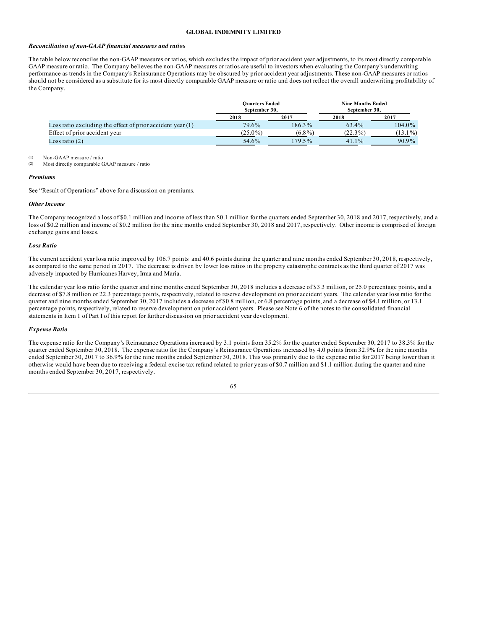#### *Reconciliation of non-GAAP financial measures and ratios*

The table below reconciles the non-GAAP measures or ratios, which excludes the impact of prior accident year adjustments, to its most directly comparable GAAP measure or ratio. The Company believes the non-GAAP measures or ratios are useful to investors when evaluating the Company's underwriting performance as trends in the Company's Reinsurance Operations may be obscured by prior accident year adjustments. These non-GAAP measures or ratios should not be considered as a substitute for its most directly comparable GAAP measure or ratio and does not reflect the overall underwriting profitability of the Company.

|                                                              | <b>Quarters Ended</b><br>September 30. |           | <b>Nine Months Ended</b><br>September 30. |            |
|--------------------------------------------------------------|----------------------------------------|-----------|-------------------------------------------|------------|
|                                                              | 2018                                   | 2017      | 2018                                      | 2017       |
| Loss ratio excluding the effect of prior accident year $(1)$ | 79.6%                                  | 186.3%    | 63.4%                                     | 104.0%     |
| Effect of prior accident year                                | $(25.0\%)$                             | $(6.8\%)$ | $(22.3\%)$                                | $(13.1\%)$ |
| Loss ratio $(2)$                                             | 54.6%                                  | 179.5%    | $41.1\%$                                  | $90.9\%$   |

### (1) Non-GAAP measure / ratio

(2) Most directly comparable GAAP measure / ratio

#### *Premiums*

See "Result of Operations" above for a discussion on premiums.

#### *Other Income*

The Company recognized a loss of \$0.1 million and income of less than \$0.1 million for the quarters ended September 30, 2018 and 2017, respectively, and a loss of \$0.2 million and income of \$0.2 million for the nine months ended September 30, 2018 and 2017, respectively. Other income is comprised of foreign exchange gains and losses.

#### *Loss Ratio*

The current accident year loss ratio improved by 106.7 points and 40.6 points during the quarter and nine months ended September 30, 2018, respectively, as compared to the same period in 2017. The decrease is driven by lower loss ratios in the property catastrophe contracts as the third quarter of 2017 was adversely impacted by Hurricanes Harvey, Irma and Maria.

The calendar year loss ratio for the quarter and nine months ended September 30, 2018 includes a decrease of \$3.3 million, or 25.0 percentage points, and a decrease of \$7.8 million or 22.3 percentage points, respectively, related to reserve development on prior accident years. The calendar year loss ratio for the quarter and nine months ended September 30, 2017 includes a decrease of \$0.8 million, or 6.8 percentage points, and a decrease of \$4.1 million, or 13.1 percentage points, respectively, related to reserve development on prior accident years. Please see Note 6 of the notes to the consolidated financial statements in Item 1 of Part I of this report for further discussion on prior accident year development.

#### *Expense Ratio*

The expense ratio for the Company's Reinsurance Operations increased by 3.1 points from 35.2% for the quarter ended September 30, 2017 to 38.3% for the quarter ended September 30, 2018. The expense ratio for the Company's Reinsurance Operations increased by 4.0 points from 32.9% for the nine months ended September 30, 2017 to 36.9% for the nine months ended September 30, 2018. This was primarily due to the expense ratio for 2017 being lower than it otherwise would have been due to receiving a federal excise tax refund related to prior years of \$0.7 million and \$1.1 million during the quarter and nine months ended September 30, 2017, respectively.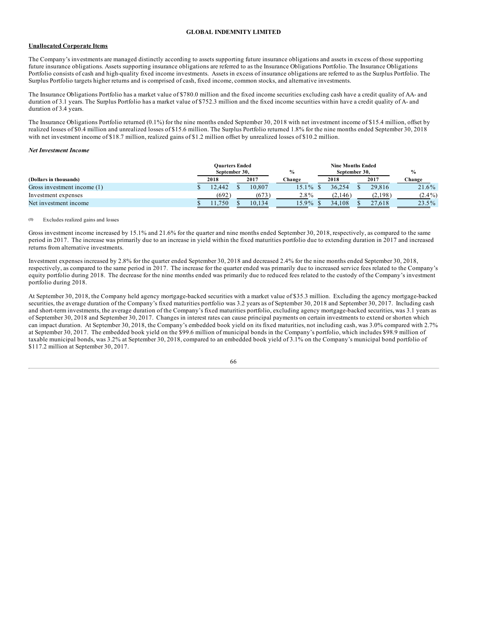#### **Unallocated Corporate Items**

The Company's investments are managed distinctly according to assets supporting future insurance obligations and assets in excess of those supporting future insurance obligations. Assets supporting insurance obligations are referred to as the Insurance Obligations Portfolio. The Insurance Obligations Portfolio consists of cash and high-quality fixed income investments. Assets in excess of insurance obligations are referred to as the Surplus Portfolio. The Surplus Portfolio targets higher returns and is comprised of cash, fixed income, common stocks, and alternative investments.

The Insurance Obligations Portfolio has a market value of \$780.0 million and the fixed income securities excluding cash have a credit quality of AA- and duration of 3.1 years. The Surplus Portfolio has a market value of \$752.3 million and the fixed income securities within have a credit quality of A- and duration of 3.4 years.

The Insurance Obligations Portfolio returned (0.1%) for the nine months ended September 30, 2018 with net investment income of \$15.4 million, offset by realized losses of \$0.4 million and unrealized losses of \$15.6 million. The Surplus Portfolio returned 1.8% for the nine months ended September 30, 2018 with net investment income of \$18.7 million, realized gains of \$1.2 million offset by unrealized losses of \$10.2 million.

#### *Net Investment Income*

|                             | <b>Quarters Ended</b><br>September 30. |        | $\frac{6}{9}$ | <b>Nine Months Ended</b><br>September 30. | $\frac{0}{0}$ |           |
|-----------------------------|----------------------------------------|--------|---------------|-------------------------------------------|---------------|-----------|
| (Dollars in thousands)      | 2018                                   | 2017   | Change        | 2018                                      | 2017          | Change    |
| Gross investment income (1) | 12.442                                 | 10.807 | $15.1\%$ \$   | 36.254                                    | 29,816        | 21.6%     |
| Investment expenses         | (692)                                  | (673)  | $2.8\%$       | (2.146)                                   | (2,198)       | $(2.4\%)$ |
| Net investment income       | 1.750                                  | 10.134 | 15.9%         | 34.108                                    | 27.618        | $23.5\%$  |

#### **(1)** Excludes realized gains and losses

Gross investment income increased by 15.1% and 21.6% for the quarter and nine months ended September 30, 2018, respectively, as compared to the same period in 2017. The increase was primarily due to an increase in yield within the fixed maturities portfolio due to extending duration in 2017 and increased returns from alternative investments.

Investment expenses increased by 2.8% for the quarter ended September 30, 2018 and decreased 2.4% for the nine months ended September 30, 2018, respectively, as compared to the same period in 2017. The increase for the quarter ended was primarily due to increased service fees related to the Company's equity portfolio during 2018. The decrease for the nine months ended was primarily due to reduced fees related to the custody of the Company's investment portfolio during 2018.

At September 30, 2018, the Company held agency mortgage-backed securities with a market value of \$35.3 million. Excluding the agency mortgage-backed securities, the average duration of the Company's fixed maturities portfolio was 3.2 years as of September 30, 2018 and September 30, 2017. Including cash and short-term investments, the average duration of the Company's fixed maturities portfolio, excluding agency mortgage-backed securities, was 3.1 years as of September 30, 2018 and September 30, 2017. Changes in interest rates can cause principal payments on certain investments to extend or shorten which can impact duration. At September 30, 2018, the Company's embedded book yield on its fixed maturities, not including cash, was 3.0% compared with 2.7% at September 30, 2017. The embedded book yield on the \$99.6 million of municipal bonds in the Company's portfolio, which includes \$98.9 million of taxable municipal bonds, was 3.2% at September 30, 2018, compared to an embedded book yield of 3.1% on the Company's municipal bond portfolio of \$117.2 million at September 30, 2017.

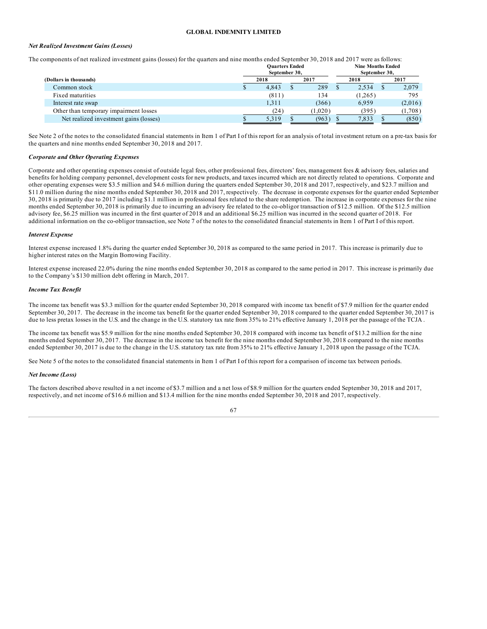#### *Net Realized Investment Gains (Losses)*

The components of net realized investment gains (losses) for the quarters and nine months ended September 30, 2018 and 2017 were as follows:

|                                        | <b>Quarters Ended</b><br>September 30, |       |  |         |  | <b>Nine Months Ended</b><br>September 30, |         |
|----------------------------------------|----------------------------------------|-------|--|---------|--|-------------------------------------------|---------|
| (Dollars in thousands)                 |                                        | 2018  |  | 2017    |  | 2018                                      | 2017    |
| Common stock                           |                                        | 4.843 |  | 289     |  | 2.534                                     | 2,079   |
| Fixed maturities                       |                                        | (811) |  | 134     |  | (1,265)                                   | 795     |
| Interest rate swap                     |                                        | 1.311 |  | (366)   |  | 6.959                                     | (2,016) |
| Other than temporary impairment losses |                                        | (24)  |  | (1,020) |  | (395)                                     | (1,708) |
| Net realized investment gains (losses) |                                        | 5,319 |  | (963)   |  | 7,833                                     | (850)   |

See Note 2 of the notes to the consolidated financial statements in Item 1 of Part I of this report for an analysis of total investment return on a pre-tax basis for the quarters and nine months ended September 30, 2018 and 2017.

## *Corporate and Other Operating Expenses*

Corporate and other operating expenses consist of outside legal fees, other professional fees, directors' fees, management fees & advisory fees, salaries and benefits for holding company personnel, development costs for new products, and taxes incurred which are not directly related to operations. Corporate and other operating expenses were \$3.5 million and \$4.6 million during the quarters ended September 30, 2018 and 2017, respectively, and \$23.7 million and \$11.0 million during the nine months ended September 30, 2018 and 2017, respectively. The decrease in corporate expenses for the quarter ended September 30, 2018 is primarily due to 2017 including \$1.1 million in professional fees related to the share redemption. The increase in corporate expenses for the nine months ended September 30, 2018 is primarily due to incurring an advisory fee related to the co-obligor transaction of \$12.5 million. Of the \$12.5 million advisory fee, \$6.25 million was incurred in the first quarter of 2018 and an additional \$6.25 million was incurred in the second quarter of 2018. For additional information on the co-obligor transaction, see Note 7 of the notes to the consolidated financial statements in Item 1 of Part I of this report.

#### *Interest Expense*

Interest expense increased 1.8% during the quarter ended September 30, 2018 as compared to the same period in 2017. This increase is primarily due to higher interest rates on the Margin Borrowing Facility.

Interest expense increased 22.0% during the nine months ended September 30, 2018 as compared to the same period in 2017. This increase is primarily due to the Company's \$130 million debt offering in March, 2017.

## *Income Tax Benefit*

The income tax benefit was \$3.3 million for the quarter ended September 30, 2018 compared with income tax benefit of \$7.9 million for the quarter ended September 30, 2017. The decrease in the income tax benefit for the quarter ended September 30, 2018 compared to the quarter ended September 30, 2017 is due to less pretax losses in the U.S. and the change in the U.S. statutory tax rate from 35% to 21% effective January 1, 2018 per the passage of the TCJA.

The income tax benefit was \$5.9 million for the nine months ended September 30, 2018 compared with income tax benefit of \$13.2 million for the nine months ended September 30, 2017. The decrease in the income tax benefit for the nine months ended September 30, 2018 compared to the nine months ended September 30, 2017 is due to the change in the U.S. statutory tax rate from 35% to 21% effective January 1, 2018 upon the passage of the TCJA.

See Note 5 of the notes to the consolidated financial statements in Item 1 of Part I of this report for a comparison of income tax between periods.

## *Net Income (Loss)*

The factors described above resulted in a net income of \$3.7 million and a net loss of \$8.9 million for the quarters ended September 30, 2018 and 2017, respectively, and net income of \$16.6 million and \$13.4 million for the nine months ended September 30, 2018 and 2017, respectively.

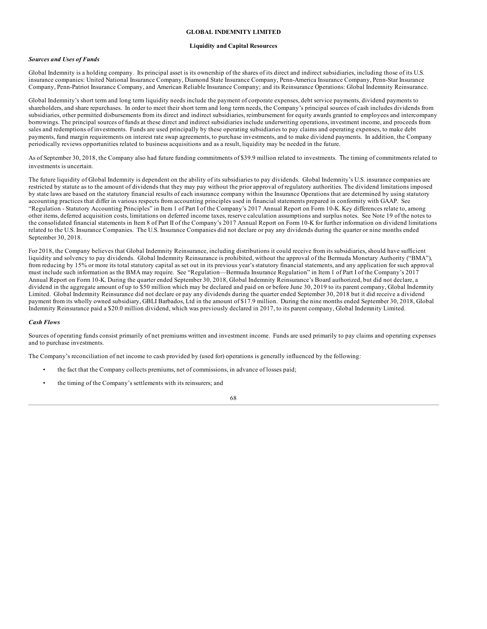#### **Liquidity and Capital Resources**

#### *Sources and Uses of Funds*

Global Indemnity is a holding company. Its principal asset is its ownership of the shares of its direct and indirect subsidiaries, including those of its U.S. insurance companies: United National Insurance Company, Diamond State Insurance Company, Penn-America Insurance Company, Penn-Star Insurance Company, Penn-Patriot Insurance Company, and American Reliable Insurance Company; and its Reinsurance Operations: Global Indemnity Reinsurance.

Global Indemnity's short term and long term liquidity needs include the payment of corporate expenses, debt service payments, dividend payments to shareholders, and share repurchases. In order to meet their short term and long term needs, the Company's principal sources of cash includes dividends from subsidiaries, other permitted disbursements from its direct and indirect subsidiaries, reimbursement for equity awards granted to employees and intercompany borrowings. The principal sources of funds at these direct and indirect subsidiaries include underwriting operations, investment income, and proceeds from sales and redemptions of investments. Funds are used principally by these operating subsidiaries to pay claims and operating expenses, to make debt payments, fund margin requirements on interest rate swap agreements, to purchase investments, and to make dividend payments. In addition, the Company periodically reviews opportunities related to business acquisitions and as a result, liquidity may be needed in the future.

As of September 30, 2018, the Company also had future funding commitments of \$39.9 million related to investments. The timing of commitments related to investments is uncertain.

The future liquidity of Global Indemnity is dependent on the ability of its subsidiaries to pay dividends. Global Indemnity's U.S. insurance companies are restricted by statute as to the amount of dividends that they may pay without the prior approval of regulatory authorities. The dividend limitations imposed by state laws are based on the statutory financial results of each insurance company within the Insurance Operations that are determined by using statutory accounting practices that differ in various respects from accounting principles used in financial statements prepared in conformity with GAAP. See "Regulation - Statutory Accounting Principles" in Item 1 of Part I of the Company's 2017 Annual Report on Form 10-K. Key differences relate to, among other items, deferred acquisition costs, limitations on deferred income taxes, reserve calculation assumptions and surplus notes. See Note 19 of the notes to the consolidated financial statements in Item 8 of Part II of the Company's 2017 Annual Report on Form 10-K for further information on dividend limitations related to the U.S. Insurance Companies. The U.S. Insurance Companies did not declare or pay any dividends during the quarter or nine months ended September 30, 2018.

For 2018, the Company believes that Global Indemnity Reinsurance, including distributions it could receive from its subsidiaries, should have sufficient liquidity and solvency to pay dividends. Global Indemnity Reinsurance is prohibited, without the approval of the Bermuda Monetary Authority ("BMA"), from reducing by 15% or more its total statutory capital as set out in its previous year's statutory financial statements, and any application for such approval must include such information as the BMA may require. See "Regulation—Bermuda Insurance Regulation" in Item 1 of Part I of the Company's 2017 Annual Report on Form 10-K. During the quarter ended September 30, 2018, Global Indemnity Reinsurance's Board authorized, but did not declare, a dividend in the aggregate amount of up to \$50 million which may be declared and paid on or before June 30, 2019 to its parent company, Global Indemnity Limited. Global Indemnity Reinsurance did not declare or pay any dividends during the quarter ended September 30, 2018 but it did receive a dividend payment from its wholly owned subsidiary, GBLI Barbados, Ltd in the amount of \$17.9 million. During the nine months ended September 30, 2018, Global Indemnity Reinsurance paid a \$20.0 million dividend, which was previously declared in 2017, to its parent company, Global Indemnity Limited.

## *Cash Flows*

Sources of operating funds consist primarily of net premiums written and investment income. Funds are used primarily to pay claims and operating expenses and to purchase investments.

The Company's reconciliation of net income to cash provided by (used for) operations is generally influenced by the following:

- the fact that the Company collects premiums, net of commissions, in advance of losses paid;
- the timing of the Company's settlements with its reinsurers; and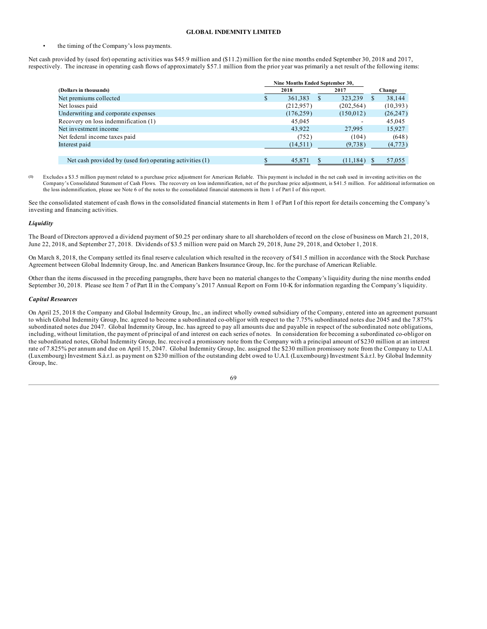• the timing of the Company's loss payments.

Net cash provided by (used for) operating activities was \$45.9 million and (\$11.2) million for the nine months ended September 30, 2018 and 2017, respectively. The increase in operating cash flows of approximately \$57.1 million from the prior year was primarily a net result of the following items:

|                                                          | Nine Months Ended September 30, |            |          |            |  |           |  |  |
|----------------------------------------------------------|---------------------------------|------------|----------|------------|--|-----------|--|--|
| (Dollars in thousands)                                   |                                 | 2018       | Change   |            |  |           |  |  |
| Net premiums collected                                   | S                               | 361.383    | <b>S</b> | 323.239    |  | 38,144    |  |  |
| Net losses paid                                          |                                 | (212.957)  |          | (202, 564) |  | (10,393)  |  |  |
| Underwriting and corporate expenses                      |                                 | (176, 259) |          | (150, 012) |  | (26, 247) |  |  |
| Recovery on loss indemnification (1)                     |                                 | 45,045     |          |            |  | 45,045    |  |  |
| Net investment income                                    |                                 | 43,922     |          | 27.995     |  | 15,927    |  |  |
| Net federal income taxes paid                            |                                 | (752)      |          | (104)      |  | (648)     |  |  |
| Interest paid                                            |                                 | (14, 511)  |          | (9,738)    |  | (4,773)   |  |  |
|                                                          |                                 |            |          |            |  |           |  |  |
| Net cash provided by (used for) operating activities (1) |                                 | 45.871     |          | (11, 184)  |  | 57,055    |  |  |

**(1)** Excludes a \$3.5 million payment related to a purchase price adjustment for American Reliable. This payment is included in the net cash used in investing activities on the Company's Consolidated Statement of Cash Flows. The recovery on loss indemnification, net of the purchase price adjustment, is \$41.5 million. For additional information on the loss indemnification, please see Note 6 of the notes to the consolidated financial statements in Item 1 of Part I of this report.

See the consolidated statement of cash flows in the consolidated financial statements in Item 1 of Part I of this report for details concerning the Company's investing and financing activities.

## *Liquidity*

The Board of Directors approved a dividend payment of \$0.25 per ordinary share to all shareholders of record on the close of business on March 21, 2018, June 22, 2018, and September 27, 2018. Dividends of \$3.5 million were paid on March 29, 2018, June 29, 2018, and October 1, 2018.

On March 8, 2018, the Company settled its final reserve calculation which resulted in the recovery of \$41.5 million in accordance with the Stock Purchase Agreement between Global Indemnity Group, Inc. and American Bankers Insurance Group, Inc. for the purchase of American Reliable.

Other than the items discussed in the preceding paragraphs, there have been no material changes to the Company's liquidity during the nine months ended September 30, 2018. Please see Item 7 of Part II in the Company's 2017 Annual Report on Form 10-K for information regarding the Company's liquidity.

#### *Capital Resources*

On April 25, 2018 the Company and Global Indemnity Group, Inc., an indirect wholly owned subsidiary of the Company, entered into an agreement pursuant to which Global Indemnity Group, Inc. agreed to become a subordinated co-obligor with respect to the 7.75% subordinated notes due 2045 and the 7.875% subordinated notes due 2047. Global Indemnity Group, Inc. has agreed to pay all amounts due and payable in respect of the subordinated note obligations, including, without limitation, the payment of principal of and interest on each series of notes. In consideration for becoming a subordinated co-obligor on the subordinated notes, Global Indemnity Group, Inc. received a promissory note from the Company with a principal amount of \$230 million at an interest rate of 7.825% per annum and due on April 15, 2047. Global Indemnity Group, Inc. assigned the \$230 million promissory note from the Company to U.A.I. (Luxembourg) Investment S.à.r.l. as payment on \$230 million of the outstanding debt owed to U.A.I. (Luxembourg) Investment S.à.r.l. by Global Indemnity Group, Inc.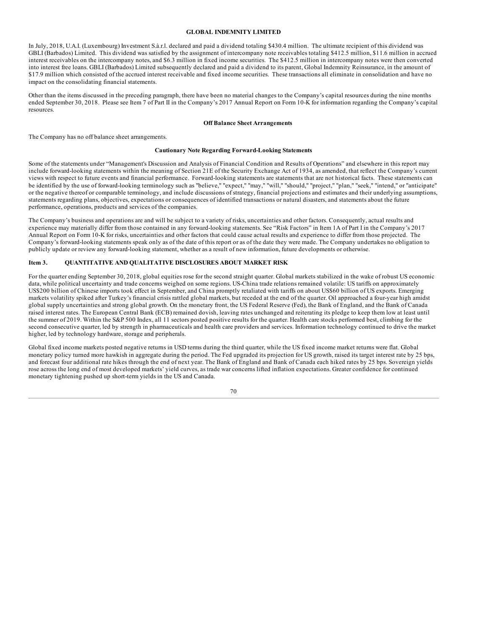In July, 2018, U.A.I. (Luxembourg) Investment S.à.r.l. declared and paid a dividend totaling \$430.4 million. The ultimate recipient of this dividend was GBLI (Barbados) Limited. This dividend was satisfied by the assignment of intercompany note receivables totaling \$412.5 million, \$11.6 million in accrued interest receivables on the intercompany notes, and \$6.3 million in fixed income securities. The \$412.5 million in intercompany notes were then converted into interest free loans. GBLI (Barbados) Limited subsequently declared and paid a dividend to its parent, Global Indemnity Reinsurance, in the amount of \$17.9 million which consisted of the accrued interest receivable and fixed income securities. These transactions all eliminate in consolidation and have no impact on the consolidating financial statements.

Other than the items discussed in the preceding paragraph, there have been no material changes to the Company's capital resources during the nine months ended September 30, 2018. Please see Item 7 of Part II in the Company's 2017 Annual Report on Form 10-K for information regarding the Company's capital resources.

#### **Off Balance Sheet Arrangements**

The Company has no off balance sheet arrangements.

#### **Cautionary Note Regarding Forward-Looking Statements**

Some of the statements under "Management's Discussion and Analysis of Financial Condition and Results of Operations" and elsewhere in this report may include forward-looking statements within the meaning of Section 21E of the Security Exchange Act of 1934, as amended, that reflect the Company's current views with respect to future events and financial performance. Forward-looking statements are statements that are not historical facts. These statements can be identified by the use of forward-looking terminology such as "believe," "expect," "may," "will," "should," "project," "plan," "seek," "intend," or "anticipate" or the negative thereof or comparable terminology, and include discussions of strategy, financial projections and estimates and their underlying assumptions, statements regarding plans, objectives, expectations or consequences of identified transactions or natural disasters, and statements about the future performance, operations, products and services of the companies.

The Company's business and operations are and will be subject to a variety of risks, uncertainties and other factors. Consequently, actual results and experience may materially differ from those contained in any forward-looking statements. See "Risk Factors" in Item 1A of Part I in the Company's 2017 Annual Report on Form 10-K for risks, uncertainties and other factors that could cause actual results and experience to differ from those projected. The Company's forward-looking statements speak only as of the date of this report or as of the date they were made. The Company undertakes no obligation to publicly update or review any forward-looking statement, whether as a result of new information, future developments or otherwise.

## **Item 3. QUANTITATIVE AND QUALITATIVE DISCLOSURES ABOUT MARKET RISK**

For the quarter ending September 30, 2018, global equities rose for the second straight quarter. Global markets stabilized in the wake of robust US economic data, while political uncertainty and trade concerns weighed on some regions. US-China trade relations remained volatile: US tariffs on approximately US\$200 billion of Chinese imports took effect in September, and China promptly retaliated with tariffs on about US\$60 billion of US exports. Emerging markets volatility spiked after Turkey's financial crisis rattled global markets, but receded at the end of the quarter. Oil approached a four-year high amidst global supply uncertainties and strong global growth. On the monetary front, the US Federal Reserve (Fed), the Bank of England, and the Bank of Canada raised interest rates. The European Central Bank (ECB) remained dovish, leaving rates unchanged and reiterating its pledge to keep them low at least until the summer of 2019. Within the S&P 500 Index, all 11 sectors posted positive results for the quarter. Health care stocks performed best, climbing for the second consecutive quarter, led by strength in pharmaceuticals and health care providers and services. Information technology continued to drive the market higher, led by technology hardware, storage and peripherals.

Global fixed income markets posted negative returns in USD terms during the third quarter, while the US fixed income market returns were flat. Global monetary policy turned more hawkish in aggregate during the period. The Fed upgraded its projection for US growth, raised its target interest rate by 25 bps, and forecast four additional rate hikes through the end of next year. The Bank of England and Bank of Canada each hiked rates by 25 bps. Sovereign yields rose across the long end of most developed markets' yield curves, as trade war concerns lifted inflation expectations. Greater confidence for continued monetary tightening pushed up short-term yields in the US and Canada.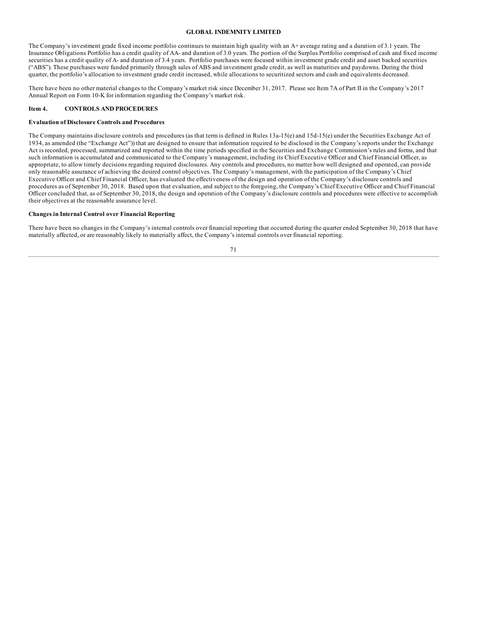The Company's investment grade fixed income portfolio continues to maintain high quality with an A+ average rating and a duration of 3.1 years. The Insurance Obligations Portfolio has a credit quality of AA- and duration of 3.0 years. The portion of the Surplus Portfolio comprised of cash and fixed income securities has a credit quality of A- and duration of 3.4 years. Portfolio purchases were focused within investment grade credit and asset backed securities ("ABS"). These purchases were funded primarily through sales of ABS and investment grade credit, as well as maturities and paydowns. During the third quarter, the portfolio's allocation to investment grade credit increased, while allocations to securitized sectors and cash and equivalents decreased.

There have been no other material changes to the Company's market risk since December 31, 2017. Please see Item 7A of Part II in the Company's 2017 Annual Report on Form 10-K for information regarding the Company's market risk.

## **Item 4. CONTROLS AND PROCEDURES**

## **Evaluation of Disclosure Controls and Procedures**

The Company maintains disclosure controls and procedures (as that term is defined in Rules 13a-15(e) and 15d-15(e) under the Securities Exchange Act of 1934, as amended (the "Exchange Act")) that are designed to ensure that information required to be disclosed in the Company's reports under the Exchange Act is recorded, processed, summarized and reported within the time periods specified in the Securities and Exchange Commission's rules and forms, and that such information is accumulated and communicated to the Company's management, including its Chief Executive Officer and Chief Financial Officer, as appropriate, to allow timely decisions regarding required disclosures. Any controls and procedures, no matter how well designed and operated, can provide only reasonable assurance of achieving the desired control objectives. The Company's management, with the participation of the Company's Chief Executive Officer and Chief Financial Officer, has evaluated the effectiveness of the design and operation of the Company's disclosure controls and procedures as of September 30, 2018. Based upon that evaluation, and subject to the foregoing, the Company's Chief Executive Officer and Chief Financial Officer concluded that, as of September 30, 2018, the design and operation of the Company's disclosure controls and procedures were effective to accomplish their objectives at the reasonable assurance level.

## **Changes in Internal Control over Financial Reporting**

There have been no changes in the Company's internal controls over financial reporting that occurred during the quarter ended September 30, 2018 that have materially affected, or are reasonably likely to materially affect, the Company's internal controls over financial reporting.

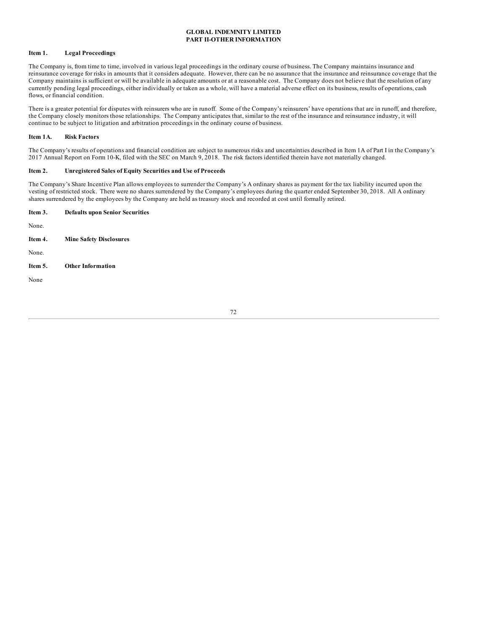#### **GLOBAL INDEMNITY LIMITED PART II-OTHER INFORMATION**

## **Item 1. Legal Proceedings**

The Company is, from time to time, involved in various legal proceedings in the ordinary course of business. The Company maintains insurance and reinsurance coverage for risks in amounts that it considers adequate. However, there can be no assurance that the insurance and reinsurance coverage that the Company maintains is sufficient or will be available in adequate amounts or at a reasonable cost. The Company does not believe that the resolution of any currently pending legal proceedings, either individually or taken as a whole, will have a material adverse effect on its business, results of operations, cash flows, or financial condition.

There is a greater potential for disputes with reinsurers who are in runoff. Some of the Company's reinsurers' have operations that are in runoff, and therefore, the Company closely monitors those relationships. The Company anticipates that, similar to the rest of the insurance and reinsurance industry, it will continue to be subject to litigation and arbitration proceedings in the ordinary course of business.

## **Item 1A. Risk Factors**

The Company's results of operations and financial condition are subject to numerous risks and uncertainties described in Item 1A of Part I in the Company's 2017 Annual Report on Form 10-K, filed with the SEC on March 9, 2018. The risk factors identified therein have not materially changed.

## **Item 2. Unregistered Sales of Equity Securities and Use of Proceeds**

The Company's Share Incentive Plan allows employees to surrender the Company's A ordinary shares as payment for the tax liability incurred upon the vesting of restricted stock. There were no shares surrendered by the Company's employees during the quarter ended September 30, 2018. All A ordinary shares surrendered by the employees by the Company are held as treasury stock and recorded at cost until formally retired.

#### **Item 3. Defaults upon Senior Securities**

None.

**Item 4. Mine Safety Disclosures**

None.

**Item 5. Other Information**

None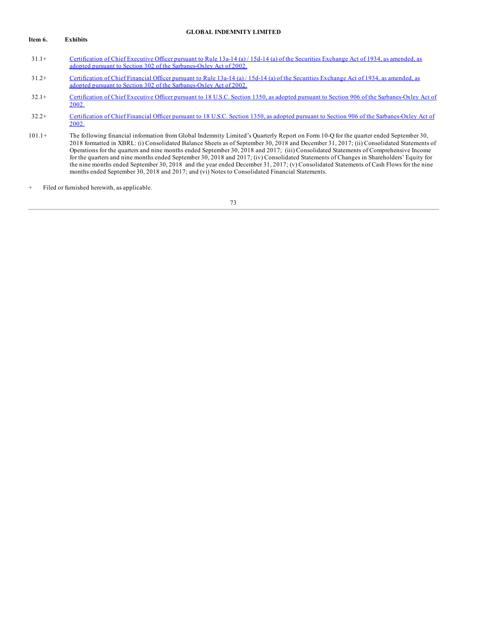#### **Item 6. Exhibits**

#### **GLOBAL INDEMNITY LIMITED**

- 31.1+ Certification of Chief Executive Officer pursuant to Rule 13a-14 (a) / 15d-14 (a) of the Securities Exchange Act of 1934, as amended, as adopted pursuant to Section 302 of the [Sarbanes-Oxley](#page-74-0) Act of 2002.
- 31.2+ [Certification](#page-75-0) of Chief Financial Officer pursuant to Rule 13a-14 (a) / 15d-14 (a) of the Securities Exchange Act of 1934, as amended, as adopted pursuant to Section 302 of the Sarbanes-Oxley Act of 2002.
- 32.1+ Certification of Chief Executive Officer pursuant to 18 U.S.C. Section 1350, as adopted pursuant to Section 906 of the [Sarbanes-Oxley](#page-76-0) Act of 2002.
- 32.2+ Certification of Chief Financial Officer pursuant to 18 U.S.C. Section 1350, as adopted pursuant to Section 906 of the [Sarbanes-Oxley](#page-77-0) Act of 2002.
- 101.1+ The following financial information from Global Indemnity Limited's Quarterly Report on Form 10-Q for the quarter ended September 30, 2018 formatted in XBRL: (i) Consolidated Balance Sheets as of September 30, 2018 and December 31, 2017; (ii) Consolidated Statements of Operations for the quarters and nine months ended September 30, 2018 and 2017; (iii) Consolidated Statements of Comprehensive Income for the quarters and nine months ended September 30, 2018 and 2017; (iv) Consolidated Statements of Changes in Shareholders' Equity for the nine months ended September 30, 2018 and the year ended December 31, 2017; (v) Consolidated Statements of Cash Flows for the nine months ended September 30, 2018 and 2017; and (vi) Notes to Consolidated Financial Statements.
- + Filed or furnished herewith, as applicable.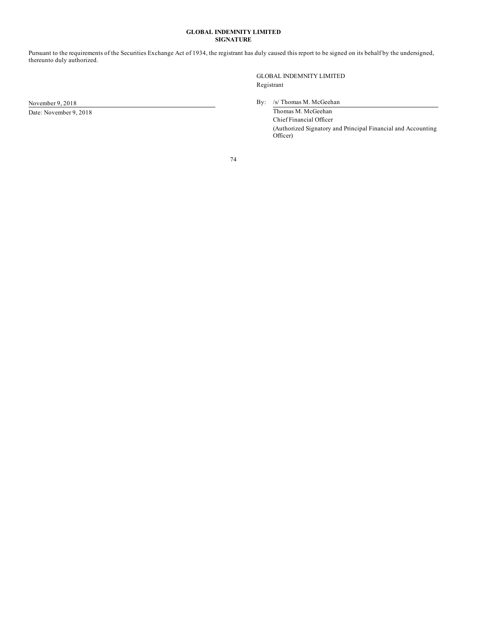## **GLOBAL INDEMNITY LIMITED SIGNATURE**

Pursuant to the requirements of the Securities Exchange Act of 1934, the registrant has duly caused this report to be signed on its behalf by the undersigned, thereunto duly authorized.

Date: November 9, 2018

# GLOBAL INDEMNITY LIMITED Registrant

November 9, 2018<br>
Date: November 9, 2018<br>
Date: November 9, 2018<br>
By: /s/ Thomas M. McGeehan<br>
Thomas M. McGeehan

Officer)

Chief Financial Officer (Authorized Signatory and Principal Financial and Accounting

74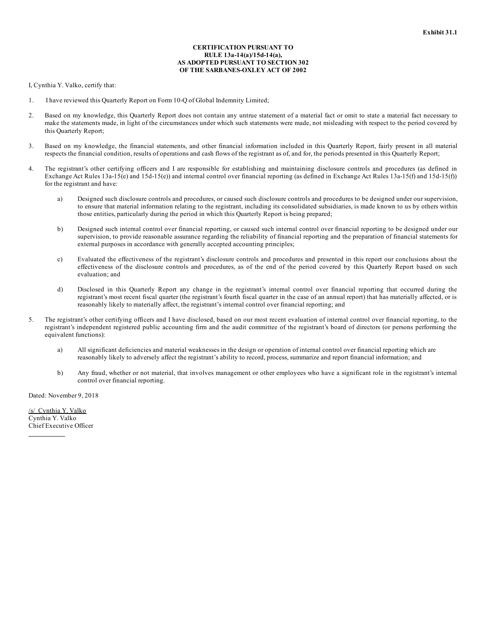## **CERTIFICATION PURSUANT TO RULE 13a-14(a)/15d-14(a), AS ADOPTED PURSUANT TO SECTION 302 OF THE SARBANES-OXLEY ACT OF 2002**

<span id="page-74-0"></span>I, Cynthia Y. Valko, certify that:

- 1. I have reviewed this Quarterly Report on Form 10-Q of Global Indemnity Limited;
- 2. Based on my knowledge, this Quarterly Report does not contain any untrue statement of a material fact or omit to state a material fact necessary to make the statements made, in light of the circumstances under which such statements were made, not misleading with respect to the period covered by this Quarterly Report;
- 3. Based on my knowledge, the financial statements, and other financial information included in this Quarterly Report, fairly present in all material respects the financial condition, results of operations and cash flows of the registrant as of, and for, the periods presented in this Quarterly Report;
- 4. The registrant's other certifying officers and I are responsible for establishing and maintaining disclosure controls and procedures (as defined in Exchange Act Rules 13a-15(e) and 15d-15(e)) and internal control over financial reporting (as defined in Exchange Act Rules 13a-15(f) and 15d-15(f)) for the registrant and have:
	- a) Designed such disclosure controls and procedures, or caused such disclosure controls and procedures to be designed under our supervision, to ensure that material information relating to the registrant, including its consolidated subsidiaries, is made known to us by others within those entities, particularly during the period in which this Quarterly Report is being prepared;
	- b) Designed such internal control over financial reporting, or caused such internal control over financial reporting to be designed under our supervision, to provide reasonable assurance regarding the reliability of financial reporting and the preparation of financial statements for external purposes in accordance with generally accepted accounting principles;
	- c) Evaluated the effectiveness of the registrant's disclosure controls and procedures and presented in this report our conclusions about the effectiveness of the disclosure controls and procedures, as of the end of the period covered by this Quarterly Report based on such evaluation; and
	- d) Disclosed in this Quarterly Report any change in the registrant's internal control over financial reporting that occurred during the registrant's most recent fiscal quarter (the registrant's fourth fiscal quarter in the case of an annual report) that has materially affected, or is reasonably likely to materially affect, the registrant's internal control over financial reporting; and
- 5. The registrant's other certifying officers and I have disclosed, based on our most recent evaluation of internal control over financial reporting, to the registrant's independent registered public accounting firm and the audit committee of the registrant's board of directors (or persons performing the equivalent functions):
	- a) All significant deficiencies and material weaknesses in the design or operation of internal control over financial reporting which are reasonably likely to adversely affect the registrant's ability to record, process, summarize and report financial information; and
	- b) Any fraud, whether or not material, that involves management or other employees who have a significant role in the registrant's internal control over financial reporting.

Dated: November 9, 2018

/s/ Cynthia Y. Valko Cynthia Y. Valko Chief Executive Officer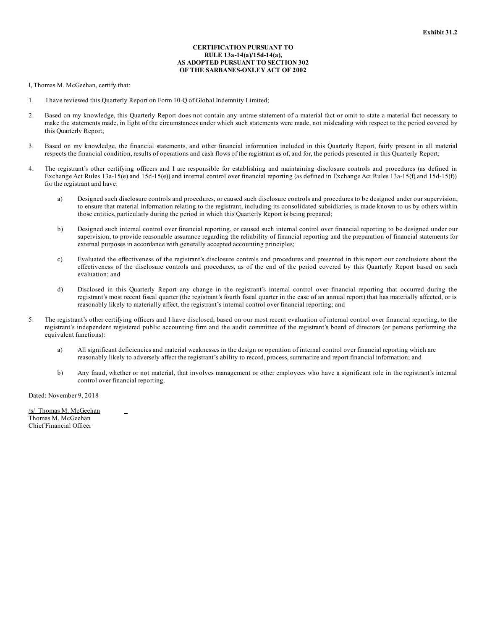### **CERTIFICATION PURSUANT TO RULE 13a-14(a)/15d-14(a), AS ADOPTED PURSUANT TO SECTION 302 OF THE SARBANES-OXLEY ACT OF 2002**

<span id="page-75-0"></span>I, Thomas M. McGeehan, certify that:

- 1. I have reviewed this Quarterly Report on Form 10-Q of Global Indemnity Limited;
- 2. Based on my knowledge, this Quarterly Report does not contain any untrue statement of a material fact or omit to state a material fact necessary to make the statements made, in light of the circumstances under which such statements were made, not misleading with respect to the period covered by this Quarterly Report;
- 3. Based on my knowledge, the financial statements, and other financial information included in this Quarterly Report, fairly present in all material respects the financial condition, results of operations and cash flows of the registrant as of, and for, the periods presented in this Quarterly Report;
- 4. The registrant's other certifying officers and I are responsible for establishing and maintaining disclosure controls and procedures (as defined in Exchange Act Rules 13a-15(e) and 15d-15(e)) and internal control over financial reporting (as defined in Exchange Act Rules 13a-15(f) and 15d-15(f)) for the registrant and have:
	- a) Designed such disclosure controls and procedures, or caused such disclosure controls and procedures to be designed under our supervision, to ensure that material information relating to the registrant, including its consolidated subsidiaries, is made known to us by others within those entities, particularly during the period in which this Quarterly Report is being prepared;
	- b) Designed such internal control over financial reporting, or caused such internal control over financial reporting to be designed under our supervision, to provide reasonable assurance regarding the reliability of financial reporting and the preparation of financial statements for external purposes in accordance with generally accepted accounting principles;
	- c) Evaluated the effectiveness of the registrant's disclosure controls and procedures and presented in this report our conclusions about the effectiveness of the disclosure controls and procedures, as of the end of the period covered by this Quarterly Report based on such evaluation; and
	- d) Disclosed in this Quarterly Report any change in the registrant's internal control over financial reporting that occurred during the registrant's most recent fiscal quarter (the registrant's fourth fiscal quarter in the case of an annual report) that has materially affected, or is reasonably likely to materially affect, the registrant's internal control over financial reporting; and
- 5. The registrant's other certifying officers and I have disclosed, based on our most recent evaluation of internal control over financial reporting, to the registrant's independent registered public accounting firm and the audit committee of the registrant's board of directors (or persons performing the equivalent functions):
	- a) All significant deficiencies and material weaknesses in the design or operation of internal control over financial reporting which are reasonably likely to adversely affect the registrant's ability to record, process, summarize and report financial information; and
	- b) Any fraud, whether or not material, that involves management or other employees who have a significant role in the registrant's internal control over financial reporting.

Dated: November 9, 2018

/s/ Thomas M. McGeehan Thomas M. McGeehan Chief Financial Officer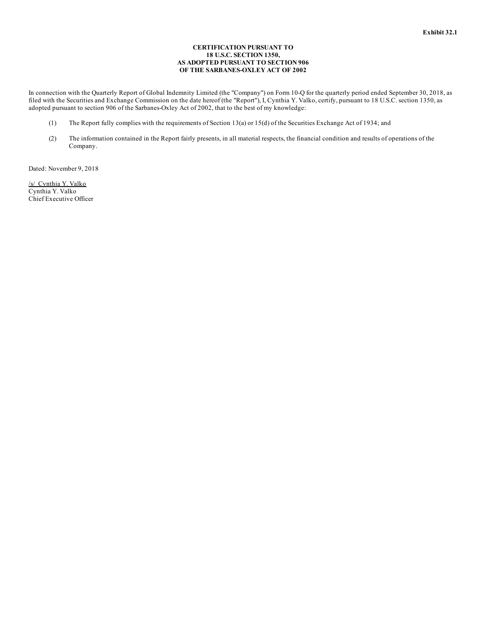### **CERTIFICATION PURSUANT TO 18 U.S.C. SECTION 1350, AS ADOPTED PURSUANT TO SECTION 906 OF THE SARBANES-OXLEY ACT OF 2002**

<span id="page-76-0"></span>In connection with the Quarterly Report of Global Indemnity Limited (the "Company") on Form 10-Q for the quarterly period ended September 30, 2018, as filed with the Securities and Exchange Commission on the date hereof (the "Report"), I, Cynthia Y. Valko, certify, pursuant to 18 U.S.C. section 1350, as adopted pursuant to section 906 of the Sarbanes-Oxley Act of 2002, that to the best of my knowledge:

- (1) The Report fully complies with the requirements of Section 13(a) or 15(d) of the Securities Exchange Act of 1934; and
- (2) The information contained in the Report fairly presents, in all material respects, the financial condition and results of operations of the Company.

Dated: November 9, 2018

/s/ Cynthia Y. Valko Cynthia Y. Valko Chief Executive Officer